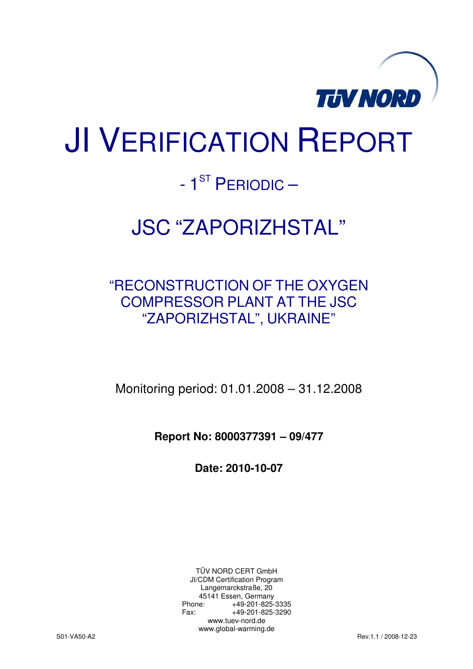

# JI VERIFICATION REPORT

# - 1<sup>ST</sup> PERIODIC –

# JSC "ZAPORIZHSTAL"

# "RECONSTRUCTION OF THE OXYGEN COMPRESSOR PLANT AT THE JSC "ZAPORIZHSTAL", UKRAINE"

Monitoring period: 01.01.2008 – 31.12.2008

**Report No: 8000377391 – 09/477** 

**Date: 2010-10-07** 

TÜV NORD CERT GmbH JI/CDM Certification Program Langemarckstraße, 20 45141 Essen, Germany<br>+49-201-825-49 +49-201-825-3335 Fax: +49-201-825-3290 www.tuev-nord.de www.global-warming.de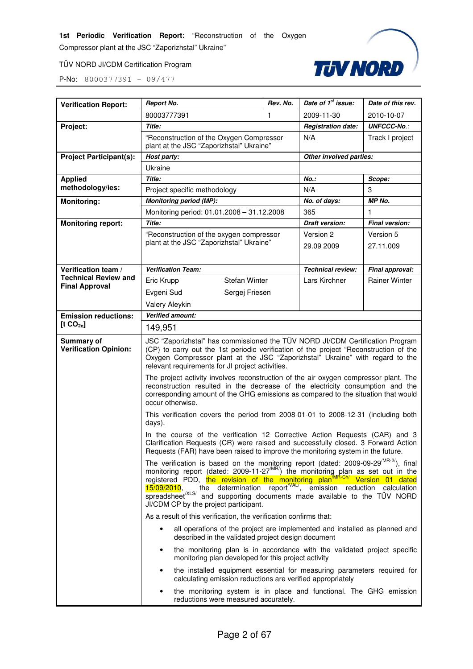Compressor plant at the JSC "Zaporizhstal" Ukraine"

TÜV NORD JI/CDM Certification Program



| <b>Verification Report:</b>                | <b>Report No.</b>                                                                                                                                                                                                                                                                                                                                                                                 | Rev. No.                  | Date of 1 <sup>st</sup> issue: | Date of this rev.     |  |
|--------------------------------------------|---------------------------------------------------------------------------------------------------------------------------------------------------------------------------------------------------------------------------------------------------------------------------------------------------------------------------------------------------------------------------------------------------|---------------------------|--------------------------------|-----------------------|--|
|                                            | 80003777391<br>1                                                                                                                                                                                                                                                                                                                                                                                  |                           | 2009-11-30                     | 2010-10-07            |  |
| Project:                                   | <b>Title:</b>                                                                                                                                                                                                                                                                                                                                                                                     | <b>Registration date:</b> | <b>UNFCCC-No.:</b>             |                       |  |
|                                            | "Reconstruction of the Oxygen Compressor<br>plant at the JSC "Zaporizhstal" Ukraine"                                                                                                                                                                                                                                                                                                              | N/A                       | Track I project                |                       |  |
| <b>Project Participant(s):</b>             | Host party:                                                                                                                                                                                                                                                                                                                                                                                       |                           | Other involved parties:        |                       |  |
|                                            | Ukraine                                                                                                                                                                                                                                                                                                                                                                                           |                           |                                |                       |  |
| <b>Applied</b>                             | Title:                                                                                                                                                                                                                                                                                                                                                                                            |                           | <b>No.:</b>                    | Scope:                |  |
| methodology/ies:                           | Project specific methodology                                                                                                                                                                                                                                                                                                                                                                      |                           | N/A                            | 3                     |  |
| <b>Monitoring:</b>                         | <b>Monitoring period (MP):</b>                                                                                                                                                                                                                                                                                                                                                                    |                           | No. of days:                   | MP No.                |  |
|                                            | Monitoring period: 01.01.2008 - 31.12.2008                                                                                                                                                                                                                                                                                                                                                        |                           | 365                            | 1                     |  |
| <b>Monitoring report:</b>                  | Title:                                                                                                                                                                                                                                                                                                                                                                                            |                           | <b>Draft version:</b>          | <b>Final version:</b> |  |
|                                            | "Reconstruction of the oxygen compressor                                                                                                                                                                                                                                                                                                                                                          |                           | Version 2                      | Version 5             |  |
|                                            | plant at the JSC "Zaporizhstal" Ukraine"                                                                                                                                                                                                                                                                                                                                                          |                           | 29.09 2009                     | 27.11.009             |  |
| Verification team /                        | <b>Verification Team:</b>                                                                                                                                                                                                                                                                                                                                                                         |                           | Technical review:              | Final approval:       |  |
| <b>Technical Review and</b>                | <b>Stefan Winter</b><br>Eric Krupp                                                                                                                                                                                                                                                                                                                                                                |                           | Lars Kirchner                  | <b>Rainer Winter</b>  |  |
| <b>Final Approval</b>                      | Evgeni Sud<br>Sergej Friesen                                                                                                                                                                                                                                                                                                                                                                      |                           |                                |                       |  |
|                                            | Valery Aleykin                                                                                                                                                                                                                                                                                                                                                                                    |                           |                                |                       |  |
| <b>Emission reductions:</b>                | Verified amount:                                                                                                                                                                                                                                                                                                                                                                                  |                           |                                |                       |  |
| [t CO <sub>2e</sub> ]                      | 149,951                                                                                                                                                                                                                                                                                                                                                                                           |                           |                                |                       |  |
| Summary of<br><b>Verification Opinion:</b> | JSC "Zaporizhstal" has commissioned the TÜV NORD JI/CDM Certification Program<br>(CP) to carry out the 1st periodic verification of the project "Reconstruction of the<br>Oxygen Compressor plant at the JSC "Zaporizhstal" Ukraine" with regard to the<br>relevant requirements for JI project activities.                                                                                       |                           |                                |                       |  |
|                                            | The project activity involves reconstruction of the air oxygen compressor plant. The<br>reconstruction resulted in the decrease of the electricity consumption and the<br>corresponding amount of the GHG emissions as compared to the situation that would<br>occur otherwise.                                                                                                                   |                           |                                |                       |  |
|                                            | This verification covers the period from 2008-01-01 to 2008-12-31 (including both<br>days).                                                                                                                                                                                                                                                                                                       |                           |                                |                       |  |
|                                            | In the course of the verification 12 Corrective Action Requests (CAR) and 3<br>Clarification Requests (CR) were raised and successfully closed. 3 Forward Action<br>Requests (FAR) have been raised to improve the monitoring system in the future.                                                                                                                                               |                           |                                |                       |  |
|                                            | The verification is based on the monitoring report (dated: $2009-09-29^{MR-2}$ ), final<br>monitoring report (dated: 2009-11-27 <sup>MR)</sup> ) the monitoring plan as set out in the registered PDD, the revision of the monitoring plan <sup>MR-Ch</sup> / Version 01 dated 15/09/2010, the determination report <sup>VAL/</sup> , emission reduction<br>JI/CDM CP by the project participant. |                           |                                |                       |  |
|                                            | As a result of this verification, the verification confirms that:                                                                                                                                                                                                                                                                                                                                 |                           |                                |                       |  |
|                                            | all operations of the project are implemented and installed as planned and<br>described in the validated project design document                                                                                                                                                                                                                                                                  |                           |                                |                       |  |
|                                            | the monitoring plan is in accordance with the validated project specific<br>$\bullet$<br>monitoring plan developed for this project activity                                                                                                                                                                                                                                                      |                           |                                |                       |  |
|                                            | the installed equipment essential for measuring parameters required for<br>$\bullet$<br>calculating emission reductions are verified appropriately                                                                                                                                                                                                                                                |                           |                                |                       |  |
|                                            | the monitoring system is in place and functional. The GHG emission<br>٠<br>reductions were measured accurately.                                                                                                                                                                                                                                                                                   |                           |                                |                       |  |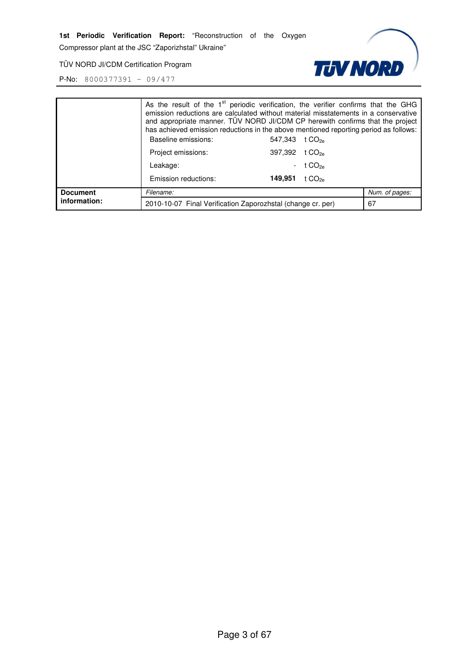Compressor plant at the JSC "Zaporizhstal" Ukraine"

**TUV NORD** 

TÜV NORD JI/CDM Certification Program

|                                 | As the result of the $1st$ periodic verification, the verifier confirms that the GHG<br>emission reductions are calculated without material misstatements in a conservative<br>and appropriate manner. TUV NORD JI/CDM CP herewith confirms that the project<br>has achieved emission reductions in the above mentioned reporting period as follows:<br>Baseline emissions: | 547,343 t CO <sub>2e</sub> |                    |                |
|---------------------------------|-----------------------------------------------------------------------------------------------------------------------------------------------------------------------------------------------------------------------------------------------------------------------------------------------------------------------------------------------------------------------------|----------------------------|--------------------|----------------|
|                                 | Project emissions:                                                                                                                                                                                                                                                                                                                                                          | 397,392 t CO <sub>2e</sub> |                    |                |
|                                 | Leakage:                                                                                                                                                                                                                                                                                                                                                                    | $\sim$                     | t $CO_{2e}$        |                |
|                                 | Emission reductions:                                                                                                                                                                                                                                                                                                                                                        | 149,951                    | t CO <sub>2e</sub> |                |
| <b>Document</b><br>information: | Filename:                                                                                                                                                                                                                                                                                                                                                                   |                            |                    | Num. of pages: |
|                                 | 2010-10-07 Final Verification Zaporozhstal (change cr. per)                                                                                                                                                                                                                                                                                                                 |                            |                    | 67             |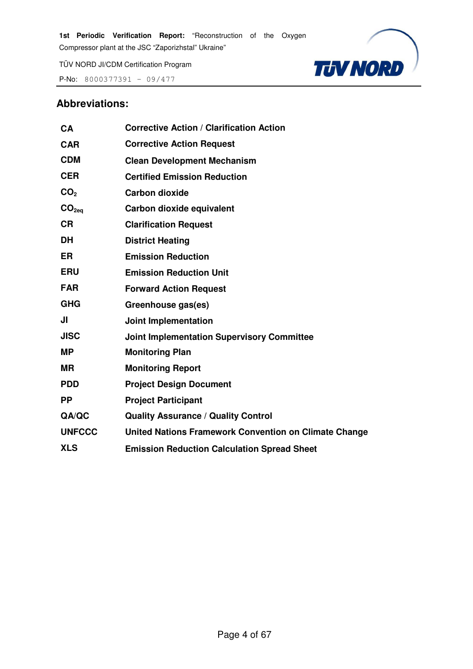P-No:  $8000377391 - 09/477$ 



## **Abbreviations:**

| CA                | <b>Corrective Action / Clarification Action</b>       |
|-------------------|-------------------------------------------------------|
| <b>CAR</b>        | <b>Corrective Action Request</b>                      |
| <b>CDM</b>        | <b>Clean Development Mechanism</b>                    |
| <b>CER</b>        | <b>Certified Emission Reduction</b>                   |
| CO <sub>2</sub>   | <b>Carbon dioxide</b>                                 |
| CO <sub>2ea</sub> | Carbon dioxide equivalent                             |
| <b>CR</b>         | <b>Clarification Request</b>                          |
| <b>DH</b>         | <b>District Heating</b>                               |
| <b>ER</b>         | <b>Emission Reduction</b>                             |
| <b>ERU</b>        | <b>Emission Reduction Unit</b>                        |
| <b>FAR</b>        | <b>Forward Action Request</b>                         |
| <b>GHG</b>        | Greenhouse gas(es)                                    |
| JI                | <b>Joint Implementation</b>                           |
| <b>JISC</b>       | <b>Joint Implementation Supervisory Committee</b>     |
| <b>MP</b>         | <b>Monitoring Plan</b>                                |
| <b>MR</b>         | <b>Monitoring Report</b>                              |
| <b>PDD</b>        | <b>Project Design Document</b>                        |
| <b>PP</b>         | <b>Project Participant</b>                            |
| QA/QC             | <b>Quality Assurance / Quality Control</b>            |
| <b>UNFCCC</b>     | United Nations Framework Convention on Climate Change |
| <b>XLS</b>        | <b>Emission Reduction Calculation Spread Sheet</b>    |
|                   |                                                       |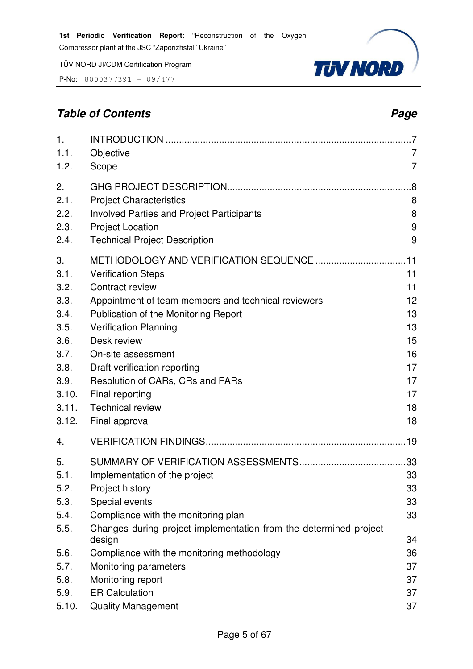P-No: 8000377391 – 09/477

# **Table of Contents Page 2014**



| 1.    |                                                                   |                |
|-------|-------------------------------------------------------------------|----------------|
| 1.1.  | Objective                                                         | 7              |
| 1.2.  | Scope                                                             | $\overline{7}$ |
| 2.    |                                                                   |                |
| 2.1.  | <b>Project Characteristics</b>                                    | 8              |
| 2.2.  | <b>Involved Parties and Project Participants</b>                  | 8              |
| 2.3.  | <b>Project Location</b>                                           | 9              |
| 2.4.  | <b>Technical Project Description</b>                              | 9              |
| 3.    |                                                                   |                |
| 3.1.  | <b>Verification Steps</b>                                         | 11             |
| 3.2.  | Contract review                                                   | 11             |
| 3.3.  | Appointment of team members and technical reviewers               | 12             |
| 3.4.  | Publication of the Monitoring Report                              | 13             |
| 3.5.  | <b>Verification Planning</b>                                      | 13             |
| 3.6.  | Desk review                                                       | 15             |
| 3.7.  | On-site assessment                                                | 16             |
| 3.8.  | Draft verification reporting                                      | 17             |
| 3.9.  | Resolution of CARs, CRs and FARs                                  | 17             |
| 3.10. | Final reporting                                                   | 17             |
| 3.11. | <b>Technical review</b>                                           | 18             |
| 3.12. | Final approval                                                    | 18             |
| 4.    |                                                                   |                |
| 5.    |                                                                   |                |
| 5.1.  | Implementation of the project                                     | 33             |
| 5.2.  | Project history                                                   | 33             |
| 5.3.  | Special events                                                    | 33             |
| 5.4.  | Compliance with the monitoring plan                               | 33             |
| 5.5.  | Changes during project implementation from the determined project |                |

design 34

5.6. Compliance with the monitoring methodology 36 5.7. Monitoring parameters 37 5.8. Monitoring report 37 5.9. ER Calculation 37 5.10. Quality Management 37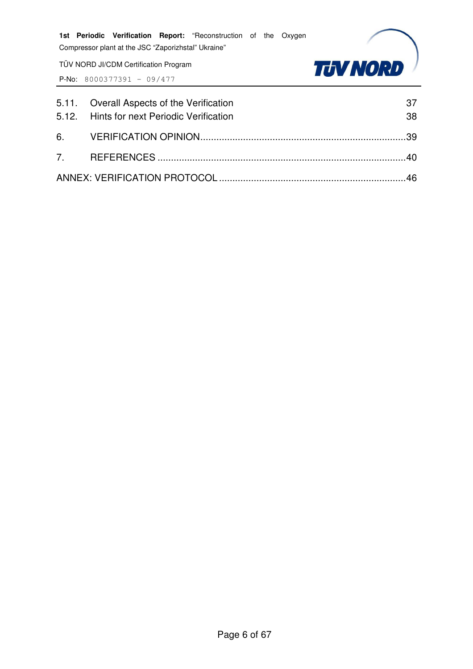TÜV NORD JI/CDM Certification Program



| 5.11. Overall Aspects of the Verification<br>5.12. Hints for next Periodic Verification | 37<br>38 |
|-----------------------------------------------------------------------------------------|----------|
|                                                                                         |          |
|                                                                                         |          |
|                                                                                         |          |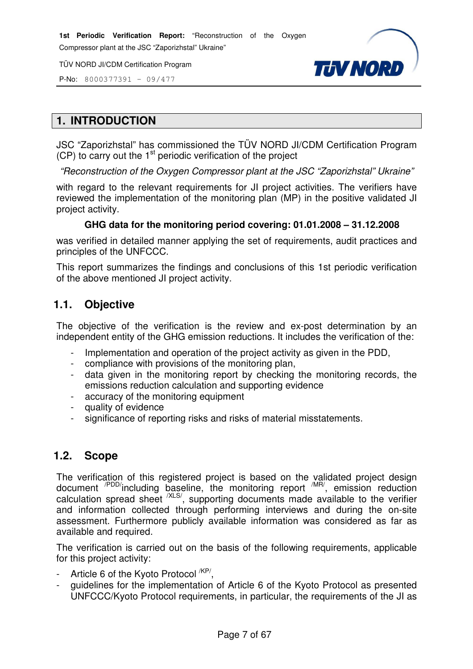P-No: 8000377391 – 09/477



# **1. INTRODUCTION**

JSC "Zaporizhstal" has commissioned the TÜV NORD JI/CDM Certification Program  $(CP)$  to carry out the  $1<sup>st</sup>$  periodic verification of the project

"Reconstruction of the Oxygen Compressor plant at the JSC "Zaporizhstal" Ukraine"

with regard to the relevant requirements for JI project activities. The verifiers have reviewed the implementation of the monitoring plan (MP) in the positive validated JI project activity.

#### **GHG data for the monitoring period covering: 01.01.2008 – 31.12.2008**

was verified in detailed manner applying the set of requirements, audit practices and principles of the UNFCCC.

This report summarizes the findings and conclusions of this 1st periodic verification of the above mentioned JI project activity.

# **1.1. Objective**

The objective of the verification is the review and ex-post determination by an independent entity of the GHG emission reductions. It includes the verification of the:

- Implementation and operation of the project activity as given in the PDD.
- compliance with provisions of the monitoring plan,
- data given in the monitoring report by checking the monitoring records, the emissions reduction calculation and supporting evidence
- accuracy of the monitoring equipment
- quality of evidence
- significance of reporting risks and risks of material misstatements.

# **1.2. Scope**

The verification of this registered project is based on the validated project design document <sup>/PDD/</sup>including baseline, the monitoring report <sup>/MR/</sup>, emission reduction calculation spread sheet  $XLS$ , supporting documents made available to the verifier and information collected through performing interviews and during the on-site assessment. Furthermore publicly available information was considered as far as available and required.

The verification is carried out on the basis of the following requirements, applicable for this project activity:

- Article 6 of the Kyoto Protocol <sup>/KP/</sup>,
- quidelines for the implementation of Article 6 of the Kyoto Protocol as presented UNFCCC/Kyoto Protocol requirements, in particular, the requirements of the JI as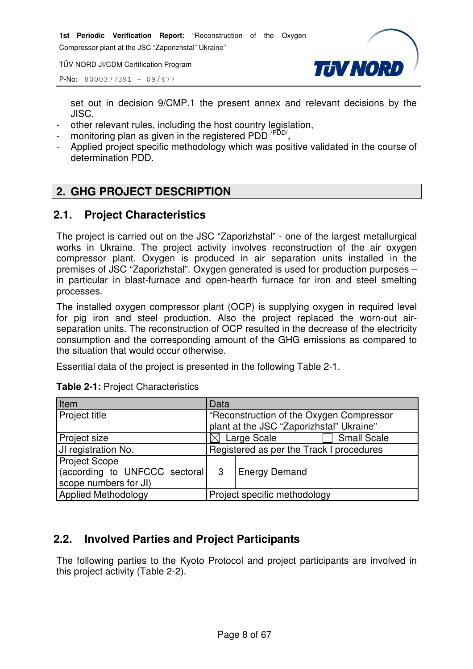Compressor plant at the JSC "Zaporizhstal" Ukraine"

TÜV NORD JI/CDM Certification Program



P-No: 8000377391 – 09/477

set out in decision 9/CMP.1 the present annex and relevant decisions by the JISC,

- other relevant rules, including the host country legislation,
- monitoring plan as given in the registered PDD<sup>/PDD/</sup>
- , - Applied project specific methodology which was positive validated in the course of determination PDD.

# **2. GHG PROJECT DESCRIPTION**

# **2.1. Project Characteristics**

The project is carried out on the JSC "Zaporizhstal" - one of the largest metallurgical works in Ukraine. The project activity involves reconstruction of the air oxygen compressor plant. Oxygen is produced in air separation units installed in the premises of JSC "Zaporizhstal". Oxygen generated is used for production purposes – in particular in blast-furnace and open-hearth furnace for iron and steel smelting processes.

The installed oxygen compressor plant (OCP) is supplying oxygen in required level for pig iron and steel production. Also the project replaced the worn-out airseparation units. The reconstruction of OCP resulted in the decrease of the electricity consumption and the corresponding amount of the GHG emissions as compared to the situation that would occur otherwise.

Essential data of the project is presented in the following Table 2-1.

| Item                           | Data                                     |                                          |  |  |
|--------------------------------|------------------------------------------|------------------------------------------|--|--|
| <b>Project title</b>           |                                          | "Reconstruction of the Oxygen Compressor |  |  |
|                                |                                          | plant at the JSC "Zaporizhstal" Ukraine" |  |  |
| Project size                   |                                          | <b>Small Scale</b><br>Large Scale        |  |  |
| JI registration No.            | Registered as per the Track I procedures |                                          |  |  |
| <b>Project Scope</b>           |                                          |                                          |  |  |
| (according to UNFCCC sectoral) | 3                                        | Energy Demand                            |  |  |
| scope numbers for JI)          |                                          |                                          |  |  |
| <b>Applied Methodology</b>     |                                          | Project specific methodology             |  |  |

### **Table 2-1:** Project Characteristics

# **2.2. Involved Parties and Project Participants**

The following parties to the Kyoto Protocol and project participants are involved in this project activity (Table 2-2).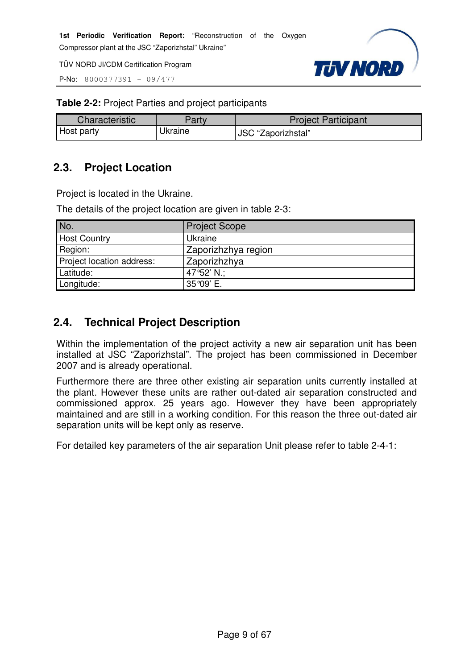P-No: 8000377391 – 09/477



**Table 2-2:** Project Parties and project participants

| Characteristic    | Party   | <b>Project Participant</b> |
|-------------------|---------|----------------------------|
| <b>Host party</b> | Jkraine | JSC "Zaporizhstal"         |

# **2.3. Project Location**

Project is located in the Ukraine.

The details of the project location are given in table 2-3:

| No.                       | <b>Project Scope</b> |
|---------------------------|----------------------|
| <b>Host Country</b>       | Ukraine              |
| Region:                   | Zaporizhzhya region  |
| Project location address: | Zaporizhzhya         |
| Latitude:                 | 47°52' N.;           |
| Longitude:                | 35°09' E.            |

# **2.4. Technical Project Description**

Within the implementation of the project activity a new air separation unit has been installed at JSC "Zaporizhstal". The project has been commissioned in December 2007 and is already operational.

Furthermore there are three other existing air separation units currently installed at the plant. However these units are rather out-dated air separation constructed and commissioned approx. 25 years ago. However they have been appropriately maintained and are still in a working condition. For this reason the three out-dated air separation units will be kept only as reserve.

For detailed key parameters of the air separation Unit please refer to table 2-4-1: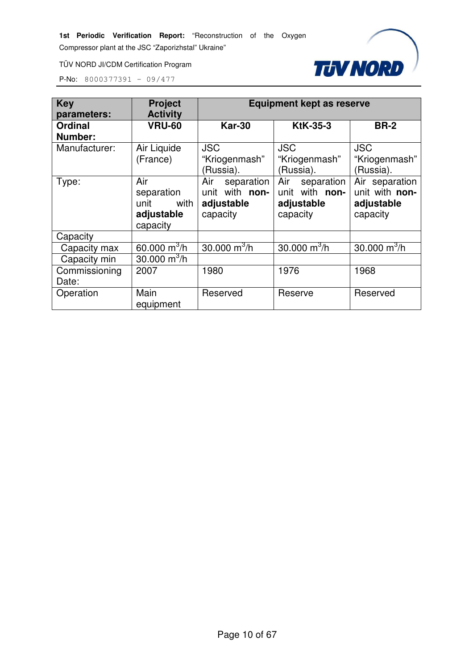Compressor plant at the JSC "Zaporizhstal" Ukraine"

TÜV NORD JI/CDM Certification Program



| <b>Key</b><br>parameters: | <b>Project</b><br><b>Activity</b>                           | <b>Equipment kept as reserve</b>                              |                                                               |                                                            |  |  |
|---------------------------|-------------------------------------------------------------|---------------------------------------------------------------|---------------------------------------------------------------|------------------------------------------------------------|--|--|
| <b>Ordinal</b><br>Number: | <b>VRU-60</b>                                               | <b>Kar-30</b>                                                 | <b>KtK-35-3</b>                                               | <b>BR-2</b>                                                |  |  |
| Manufacturer:             | Air Liquide<br>(France)                                     | <b>JSC</b><br>"Kriogenmash"<br>(Russia).                      | <b>JSC</b><br>"Kriogenmash"<br>(Russia).                      | <b>JSC</b><br>"Kriogenmash"<br>(Russia).                   |  |  |
| Type:                     | Air<br>separation<br>unit<br>with<br>adjustable<br>capacity | Air<br>separation<br>unit with non-<br>adjustable<br>capacity | Air<br>separation<br>unit with non-<br>adjustable<br>capacity | Air separation<br>unit with non-<br>adjustable<br>capacity |  |  |
| Capacity                  |                                                             |                                                               |                                                               |                                                            |  |  |
| Capacity max              | 60.000 $m^3/h$                                              | $30.000 \text{ m}^3/h$                                        | 30.000 $\mathrm{m}^3/\mathrm{h}$                              | 30.000 $m^3/h$                                             |  |  |
| Capacity min              | 30.000 $\mathrm{m}^3$ /h                                    |                                                               |                                                               |                                                            |  |  |
| Commissioning<br>Date:    | 2007                                                        | 1980                                                          | 1976                                                          | 1968                                                       |  |  |
| Operation                 | Main<br>equipment                                           | Reserved                                                      | Reserve                                                       | Reserved                                                   |  |  |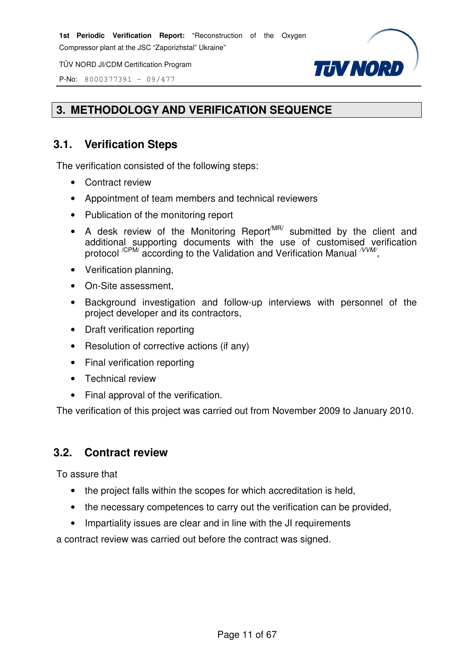P-No: 8000377391 – 09/477



# **3. METHODOLOGY AND VERIFICATION SEQUENCE**

# **3.1. Verification Steps**

The verification consisted of the following steps:

- Contract review
- Appointment of team members and technical reviewers
- Publication of the monitoring report
- A desk review of the Monitoring Report<sup>MR/</sup> submitted by the client and additional supporting documents with the use of customised verification protocol <sup>/CPM/</sup> according to the Validation and Verification Manual <sup>/VVM/</sup>,
- Verification planning,
- On-Site assessment,
- Background investigation and follow-up interviews with personnel of the project developer and its contractors,
- Draft verification reporting
- Resolution of corrective actions (if any)
- Final verification reporting
- Technical review
- Final approval of the verification.

The verification of this project was carried out from November 2009 to January 2010.

# **3.2. Contract review**

To assure that

- the project falls within the scopes for which accreditation is held,
- the necessary competences to carry out the verification can be provided,
- Impartiality issues are clear and in line with the JI requirements

a contract review was carried out before the contract was signed.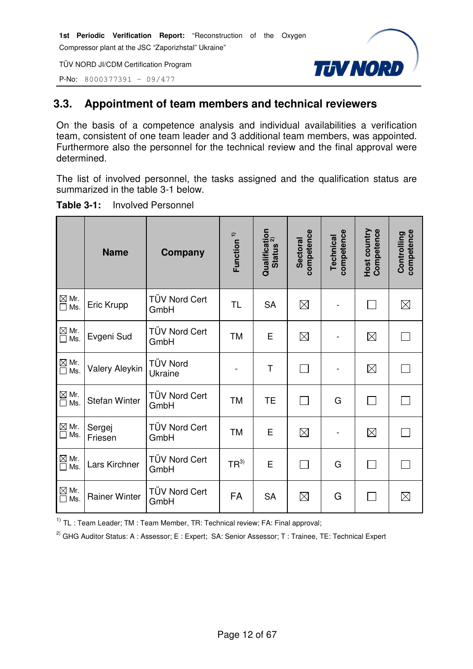P-No: 8000377391 – 09/477



# **3.3. Appointment of team members and technical reviewers**

On the basis of a competence analysis and individual availabilities a verification team, consistent of one team leader and 3 additional team members, was appointed. Furthermore also the personnel for the technical review and the final approval were determined.

The list of involved personnel, the tasks assigned and the qualification status are summarized in the table 3-1 below.

|                                                        | <b>Name</b>           | Company                      | Function <sup>1)</sup> | Qualification<br>Status <sup>2)</sup> | competence<br><b>Sectoral</b> | competence<br>Technical | Host country<br>Competence | competence<br>Controlling |
|--------------------------------------------------------|-----------------------|------------------------------|------------------------|---------------------------------------|-------------------------------|-------------------------|----------------------------|---------------------------|
| $\boxtimes$ Mr.<br>$\Box$ Ms.                          | Eric Krupp            | TÜV Nord Cert<br>GmbH        | <b>TL</b>              | <b>SA</b>                             | $\boxtimes$                   |                         |                            | $\boxtimes$               |
| $\mathbb{\underline{\boxtimes}}$ Mr.<br>$\square$ Ms.  | Evgeni Sud            | <b>TÜV Nord Cert</b><br>GmbH | <b>TM</b>              | E                                     | $\boxtimes$                   |                         | $\boxtimes$                |                           |
| $\overline{\square}$ Mr.<br>$\overline{\square}$ Ms.   | <b>Valery Aleykin</b> | <b>TÜV Nord</b><br>Ukraine   |                        | T                                     | $\mathcal{L}$                 |                         | $\boxtimes$                |                           |
| $\overline{\text{M}}$ Mr.<br>$\Box$ Ms.                | <b>Stefan Winter</b>  | <b>TÜV Nord Cert</b><br>GmbH | <b>TM</b>              | <b>TE</b>                             | $\sim 10$                     | G                       |                            |                           |
| $\overline{\text{M}}$ Mr.<br>$\Box$ Ms.                | Sergej<br>Friesen     | <b>TÜV Nord Cert</b><br>GmbH | <b>TM</b>              | E                                     | $\boxtimes$                   |                         | $\boxtimes$                |                           |
| $\overline{\text{M}}$ Mr.<br>$\Box$ Ms.                | Lars Kirchner         | <b>TÜV Nord Cert</b><br>GmbH | $TR^{3)}$              | E                                     |                               | G                       |                            |                           |
| $\overline{\text{M}}$ Mr.<br>$\overline{\text{M}}$ Ms. | <b>Rainer Winter</b>  | <b>TÜV Nord Cert</b><br>GmbH | FA                     | <b>SA</b>                             | $\boxtimes$                   | G                       |                            | $\boxtimes$               |

#### **Table 3-1:** Involved Personnel

 $1)$  TL : Team Leader; TM : Team Member, TR: Technical review; FA: Final approval;

<sup>2)</sup> GHG Auditor Status: A : Assessor; E : Expert; SA: Senior Assessor; T : Trainee, TE: Technical Expert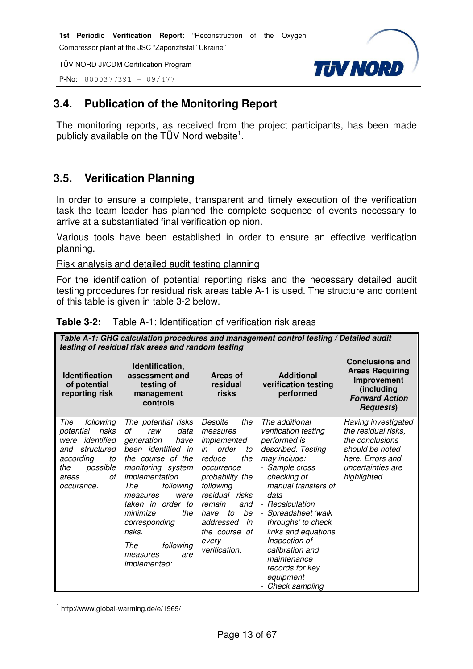P-No: 8000377391 – 09/477



# **3.4. Publication of the Monitoring Report**

The monitoring reports, as received from the project participants, has been made publicly available on the TÜV Nord website<sup>1</sup>.

# **3.5. Verification Planning**

In order to ensure a complete, transparent and timely execution of the verification task the team leader has planned the complete sequence of events necessary to arrive at a substantiated final verification opinion.

Various tools have been established in order to ensure an effective verification planning.

Risk analysis and detailed audit testing planning

For the identification of potential reporting risks and the necessary detailed audit testing procedures for residual risk areas table A-1 is used. The structure and content of this table is given in table 3-2 below.

| <b>Table 3-2:</b> Table A-1; Identification of verification risk areas |  |
|------------------------------------------------------------------------|--|
|                                                                        |  |

| Table A-1: GHG calculation procedures and management control testing / Detailed audit<br>testing of residual risk areas and random testing           |                                                                                                                                                                                                                                                                                                                     |                                                                                                                                                                                                                                                    |                                                                                                                                                                                                                                                                                                                                                            |                                                                                                                                           |  |
|------------------------------------------------------------------------------------------------------------------------------------------------------|---------------------------------------------------------------------------------------------------------------------------------------------------------------------------------------------------------------------------------------------------------------------------------------------------------------------|----------------------------------------------------------------------------------------------------------------------------------------------------------------------------------------------------------------------------------------------------|------------------------------------------------------------------------------------------------------------------------------------------------------------------------------------------------------------------------------------------------------------------------------------------------------------------------------------------------------------|-------------------------------------------------------------------------------------------------------------------------------------------|--|
| <b>Identification</b><br>of potential<br>reporting risk                                                                                              | Identification,<br>assessment and<br>testing of<br>management<br>controls                                                                                                                                                                                                                                           | Areas of<br>residual<br>risks                                                                                                                                                                                                                      | <b>Additional</b><br>verification testing<br>performed                                                                                                                                                                                                                                                                                                     | <b>Conclusions and</b><br><b>Areas Requiring</b><br>Improvement<br>(including<br><b>Forward Action</b><br><b>Requests</b> )               |  |
| following<br>The<br>risks<br>potential<br>identified<br>were<br>structured<br>and<br>according<br>to<br>possible<br>the<br>οf<br>areas<br>occurance. | The potential risks<br>οf<br>data<br>raw<br>generation<br>have<br>been identified in<br>the course of the<br>monitoring system<br>implementation.<br>The<br>following<br>were<br>measures<br>taken in order to<br>minimize<br>the<br>corresponding<br>risks.<br>following<br>The<br>are<br>measures<br>implemented: | Despite<br>the<br>measures<br>implemented<br>order<br>in<br>to<br>reduce<br>the<br>occurrence<br>probability the<br>following<br>residual risks<br>remain<br>and<br>be<br>to<br>have<br>addressed<br>in<br>the course of<br>every<br>verification. | The additional<br>verification testing<br>performed is<br>described. Testing<br>may include:<br>- Sample cross<br>checking of<br>manual transfers of<br>data<br>- Recalculation<br>- Spreadsheet 'walk<br>throughs' to check<br>links and equations<br>- Inspection of<br>calibration and<br>maintenance<br>records for key<br>equipment<br>Check sampling | Having investigated<br>the residual risks,<br>the conclusions<br>should be noted<br>here. Errors and<br>uncertainties are<br>highlighted. |  |

l 1 http://www.global-warming.de/e/1969/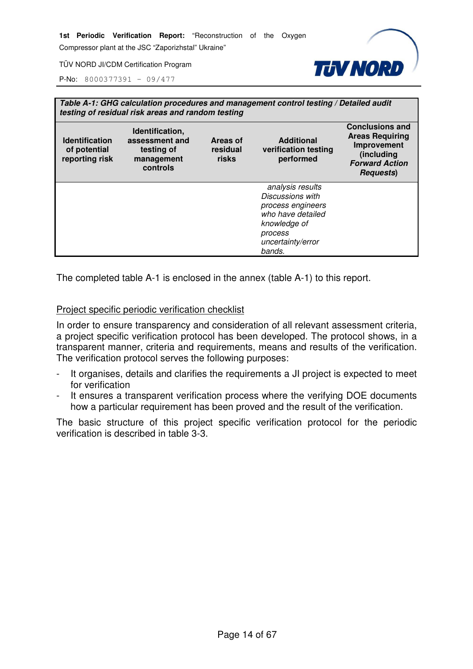Compressor plant at the JSC "Zaporizhstal" Ukraine"

**TUV NORD** 

TÜV NORD JI/CDM Certification Program

P-No: 8000377391 – 09/477

| Table A-1: GHG calculation procedures and management control testing / Detailed audit<br>testing of residual risk areas and random testing                                                                                      |  |  |                                                                                                                                          |                                                                                                                             |  |
|---------------------------------------------------------------------------------------------------------------------------------------------------------------------------------------------------------------------------------|--|--|------------------------------------------------------------------------------------------------------------------------------------------|-----------------------------------------------------------------------------------------------------------------------------|--|
| Identification,<br><b>Additional</b><br><b>Identification</b><br>assessment and<br>Areas of<br>verification testing<br>residual<br>of potential<br>testing of<br>reporting risk<br>risks<br>performed<br>management<br>controls |  |  |                                                                                                                                          | <b>Conclusions and</b><br><b>Areas Requiring</b><br>Improvement<br>(including<br><b>Forward Action</b><br><b>Requests</b> ) |  |
|                                                                                                                                                                                                                                 |  |  | analysis results<br>Discussions with<br>process engineers<br>who have detailed<br>knowledge of<br>process<br>uncertainty/error<br>bands. |                                                                                                                             |  |

The completed table A-1 is enclosed in the annex (table A-1) to this report.

#### Project specific periodic verification checklist

In order to ensure transparency and consideration of all relevant assessment criteria, a project specific verification protocol has been developed. The protocol shows, in a transparent manner, criteria and requirements, means and results of the verification. The verification protocol serves the following purposes:

- It organises, details and clarifies the requirements a JI project is expected to meet for verification
- It ensures a transparent verification process where the verifying DOE documents how a particular requirement has been proved and the result of the verification.

The basic structure of this project specific verification protocol for the periodic verification is described in table 3-3.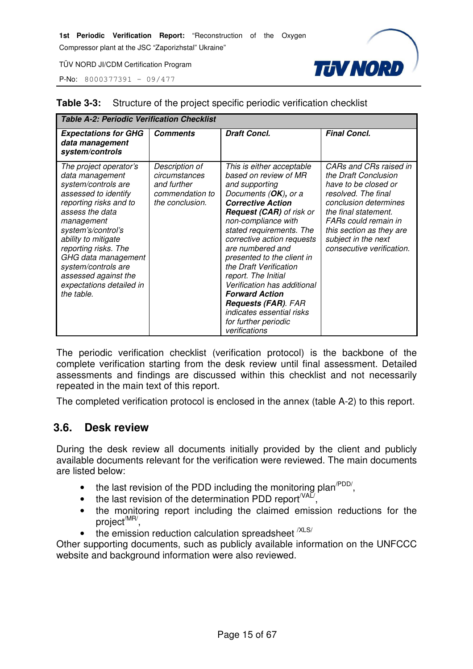**Table 3-3:** Structure of the project specific periodic verification checklist

Compressor plant at the JSC "Zaporizhstal" Ukraine"

**TUV NORD** 

TÜV NORD JI/CDM Certification Program

P-No: 8000377391 – 09/477

| <b>Table A-2: Periodic Verification Checklist</b>                                                                                                                                                                                                                                                                                        |                                                                                      |                                                                                                                                                                                                                                                                                                                                                                                                                                                                                                             |                                                                                                                                                                                                                                                        |  |  |
|------------------------------------------------------------------------------------------------------------------------------------------------------------------------------------------------------------------------------------------------------------------------------------------------------------------------------------------|--------------------------------------------------------------------------------------|-------------------------------------------------------------------------------------------------------------------------------------------------------------------------------------------------------------------------------------------------------------------------------------------------------------------------------------------------------------------------------------------------------------------------------------------------------------------------------------------------------------|--------------------------------------------------------------------------------------------------------------------------------------------------------------------------------------------------------------------------------------------------------|--|--|
| <b>Expectations for GHG</b><br>data management<br>system/controls                                                                                                                                                                                                                                                                        | <b>Comments</b>                                                                      | <b>Draft Concl.</b>                                                                                                                                                                                                                                                                                                                                                                                                                                                                                         | <b>Final Concl.</b>                                                                                                                                                                                                                                    |  |  |
| The project operator's<br>data management<br>system/controls are<br>assessed to identify<br>reporting risks and to<br>assess the data<br>management<br>system's/control's<br>ability to mitigate<br>reporting risks. The<br>GHG data management<br>system/controls are<br>assessed against the<br>expectations detailed in<br>the table. | Description of<br>circumstances<br>and further<br>commendation to<br>the conclusion. | This is either acceptable<br>based on review of MR<br>and supporting<br>Documents (OK), or a<br><b>Corrective Action</b><br><b>Request (CAR)</b> of risk or<br>non-compliance with<br>stated requirements. The<br>corrective action requests<br>are numbered and<br>presented to the client in<br>the Draft Verification<br>report. The Initial<br>Verification has additional<br><b>Forward Action</b><br><b>Requests (FAR). FAR</b><br>indicates essential risks<br>for further periodic<br>verifications | CARs and CRs raised in<br>the Draft Conclusion<br>have to be closed or<br>resolved. The final<br>conclusion determines<br>the final statement.<br>FARs could remain in<br>this section as they are<br>subject in the next<br>consecutive verification. |  |  |

The periodic verification checklist (verification protocol) is the backbone of the complete verification starting from the desk review until final assessment. Detailed assessments and findings are discussed within this checklist and not necessarily repeated in the main text of this report.

The completed verification protocol is enclosed in the annex (table A-2) to this report.

# **3.6. Desk review**

During the desk review all documents initially provided by the client and publicly available documents relevant for the verification were reviewed. The main documents are listed below:

- the last revision of the PDD including the monitoring plan<sup> $PDD/$ </sup>,
- the last revision of the determination PDD report  $\sqrt{A L}$ ,
- the monitoring report including the claimed emission reductions for the project<sup>/MR/</sup>,
- the emission reduction calculation spreadsheet  $XLS/$

Other supporting documents, such as publicly available information on the UNFCCC website and background information were also reviewed.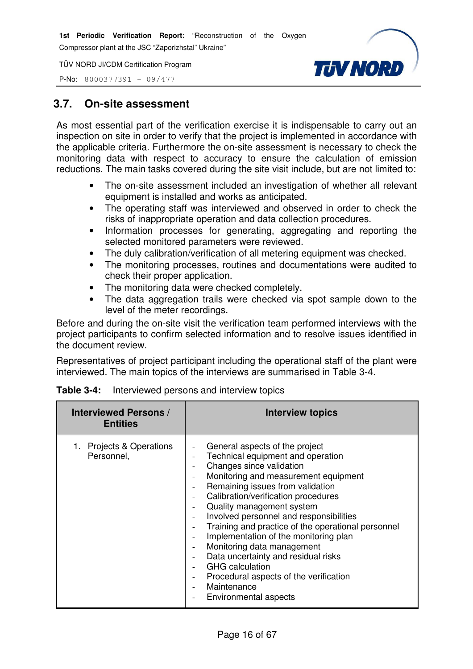TÜV NORD JI/CDM Certification Program



P-No: 8000377391 – 09/477

# **3.7. On-site assessment**

As most essential part of the verification exercise it is indispensable to carry out an inspection on site in order to verify that the project is implemented in accordance with the applicable criteria. Furthermore the on-site assessment is necessary to check the monitoring data with respect to accuracy to ensure the calculation of emission reductions. The main tasks covered during the site visit include, but are not limited to:

- The on-site assessment included an investigation of whether all relevant equipment is installed and works as anticipated.
- The operating staff was interviewed and observed in order to check the risks of inappropriate operation and data collection procedures.
- Information processes for generating, aggregating and reporting the selected monitored parameters were reviewed.
- The duly calibration/verification of all metering equipment was checked.
- The monitoring processes, routines and documentations were audited to check their proper application.
- The monitoring data were checked completely.
- The data aggregation trails were checked via spot sample down to the level of the meter recordings.

Before and during the on-site visit the verification team performed interviews with the project participants to confirm selected information and to resolve issues identified in the document review.

Representatives of project participant including the operational staff of the plant were interviewed. The main topics of the interviews are summarised in Table 3-4.

| <b>Interviewed Persons /</b><br><b>Entities</b> | <b>Interview topics</b>                                                                                                                                                                                                                                                                                                                                                                                                                                                                                                                                                                                                                                 |
|-------------------------------------------------|---------------------------------------------------------------------------------------------------------------------------------------------------------------------------------------------------------------------------------------------------------------------------------------------------------------------------------------------------------------------------------------------------------------------------------------------------------------------------------------------------------------------------------------------------------------------------------------------------------------------------------------------------------|
| Projects & Operations<br>Personnel,             | General aspects of the project<br>Technical equipment and operation<br>Changes since validation<br>Monitoring and measurement equipment<br>Remaining issues from validation<br>$\overline{\phantom{m}}$<br>Calibration/verification procedures<br>$\qquad \qquad -$<br>Quality management system<br>Involved personnel and responsibilities<br>Training and practice of the operational personnel<br>Implementation of the monitoring plan<br>Monitoring data management<br>$\overline{\phantom{a}}$<br>Data uncertainty and residual risks<br><b>GHG</b> calculation<br>Procedural aspects of the verification<br>Maintenance<br>Environmental aspects |

|  |  |  | <b>Table 3-4:</b> Interviewed persons and interview topics |
|--|--|--|------------------------------------------------------------|
|--|--|--|------------------------------------------------------------|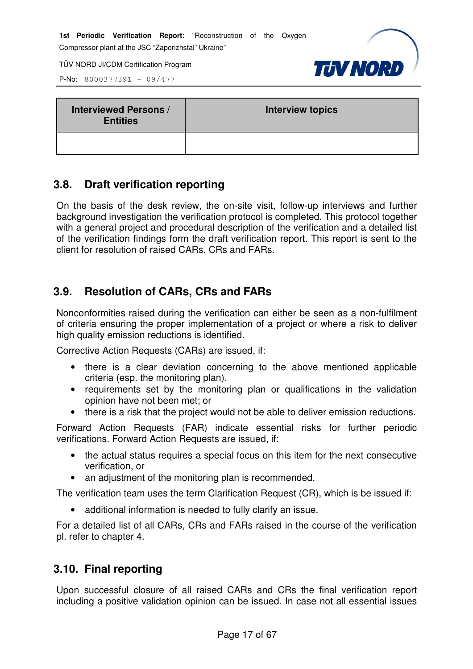P-No: 8000377391 – 09/477



| <b>Interviewed Persons /</b><br><b>Entities</b> | <b>Interview topics</b> |  |
|-------------------------------------------------|-------------------------|--|
|                                                 |                         |  |

# **3.8. Draft verification reporting**

On the basis of the desk review, the on-site visit, follow-up interviews and further background investigation the verification protocol is completed. This protocol together with a general project and procedural description of the verification and a detailed list of the verification findings form the draft verification report. This report is sent to the client for resolution of raised CARs, CRs and FARs.

# **3.9. Resolution of CARs, CRs and FARs**

Nonconformities raised during the verification can either be seen as a non-fulfilment of criteria ensuring the proper implementation of a project or where a risk to deliver high quality emission reductions is identified.

Corrective Action Requests (CARs) are issued, if:

- there is a clear deviation concerning to the above mentioned applicable criteria (esp. the monitoring plan).
- requirements set by the monitoring plan or qualifications in the validation opinion have not been met; or
- there is a risk that the project would not be able to deliver emission reductions.

Forward Action Requests (FAR) indicate essential risks for further periodic verifications. Forward Action Requests are issued, if:

- the actual status requires a special focus on this item for the next consecutive verification, or
- an adjustment of the monitoring plan is recommended.

The verification team uses the term Clarification Request (CR), which is be issued if:

• additional information is needed to fully clarify an issue.

For a detailed list of all CARs, CRs and FARs raised in the course of the verification pl. refer to chapter 4.

# **3.10. Final reporting**

Upon successful closure of all raised CARs and CRs the final verification report including a positive validation opinion can be issued. In case not all essential issues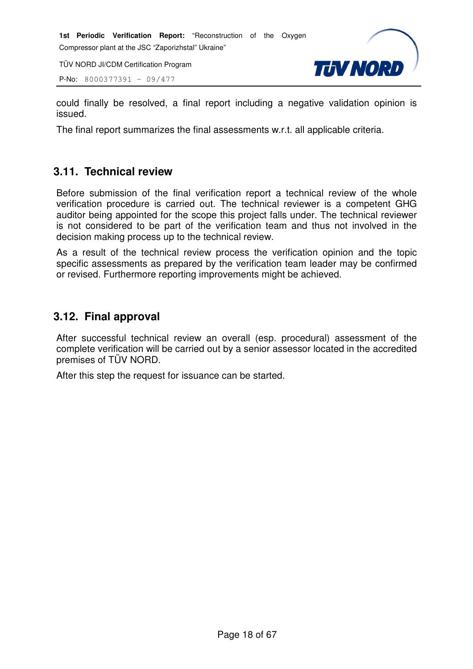P-No: 8000377391 – 09/477



could finally be resolved, a final report including a negative validation opinion is issued.

The final report summarizes the final assessments w.r.t. all applicable criteria.

# **3.11. Technical review**

Before submission of the final verification report a technical review of the whole verification procedure is carried out. The technical reviewer is a competent GHG auditor being appointed for the scope this project falls under. The technical reviewer is not considered to be part of the verification team and thus not involved in the decision making process up to the technical review.

As a result of the technical review process the verification opinion and the topic specific assessments as prepared by the verification team leader may be confirmed or revised. Furthermore reporting improvements might be achieved.

# **3.12. Final approval**

After successful technical review an overall (esp. procedural) assessment of the complete verification will be carried out by a senior assessor located in the accredited premises of TÜV NORD.

After this step the request for issuance can be started.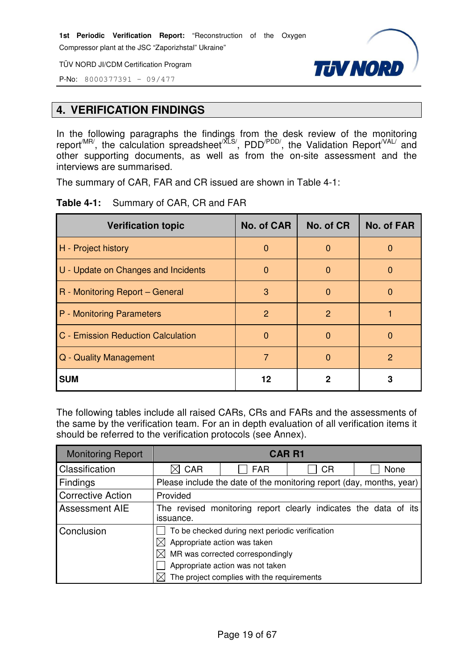TÜV NORD JI/CDM Certification Program



P-No: 8000377391 – 09/477

# **4. VERIFICATION FINDINGS**

In the following paragraphs the findings from the desk review of the monitoring report<sup>/MR/</sup>, the calculation spreadsheet<sup>/XLS/</sup>, PDD<sup>/PDD/</sup>, the Validation Report<sup>/VAL/</sup> and other supporting documents, as well as from the on-site assessment and the interviews are summarised.

The summary of CAR, FAR and CR issued are shown in Table 4-1:

|  | Table 4-1: Summary of CAR, CR and FAR |  |
|--|---------------------------------------|--|
|--|---------------------------------------|--|

| <b>Verification topic</b>           | <b>No. of CAR</b> | No. of CR | <b>No. of FAR</b> |
|-------------------------------------|-------------------|-----------|-------------------|
| H - Project history                 | $\Omega$          | $\Omega$  | O                 |
| U - Update on Changes and Incidents | O                 | $\Omega$  | O                 |
| R - Monitoring Report - General     | 3                 | $\Omega$  | O                 |
| P - Monitoring Parameters           | 2                 | 2         |                   |
| C - Emission Reduction Calculation  | 0                 | 0         | O                 |
| Q - Quality Management              | 7                 | n         | $\mathcal{P}$     |
| <b>SUM</b>                          | 12                | 2         | 3                 |

The following tables include all raised CARs, CRs and FARs and the assessments of the same by the verification team. For an in depth evaluation of all verification items it should be referred to the verification protocols (see Annex).

| <b>Monitoring Report</b> | <b>CAR R1</b>                                                                                                                                                                                         |            |           |                                                                      |  |
|--------------------------|-------------------------------------------------------------------------------------------------------------------------------------------------------------------------------------------------------|------------|-----------|----------------------------------------------------------------------|--|
| Classification           | CAR                                                                                                                                                                                                   | <b>FAR</b> | <b>CR</b> | None                                                                 |  |
| <b>Findings</b>          |                                                                                                                                                                                                       |            |           | Please include the date of the monitoring report (day, months, year) |  |
| <b>Corrective Action</b> | Provided                                                                                                                                                                                              |            |           |                                                                      |  |
| <b>Assessment AIE</b>    | The revised monitoring report clearly indicates the data of its<br>issuance.                                                                                                                          |            |           |                                                                      |  |
| Conclusion               | To be checked during next periodic verification<br>Appropriate action was taken<br>MR was corrected correspondingly<br>Appropriate action was not taken<br>The project complies with the requirements |            |           |                                                                      |  |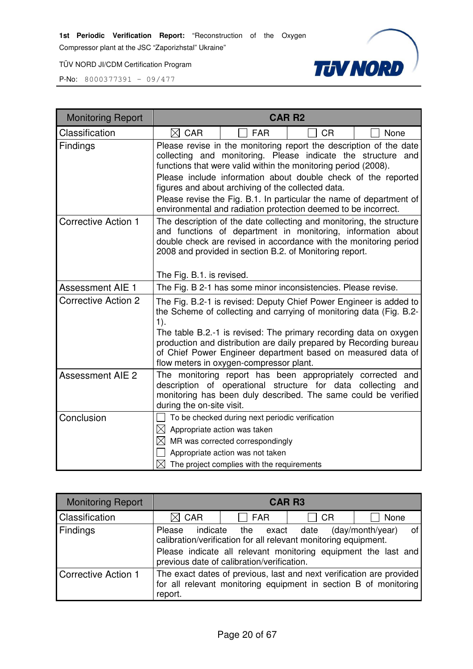Compressor plant at the JSC "Zaporizhstal" Ukraine"

TÜV NORD JI/CDM Certification Program



| <b>Monitoring Report</b>   | <b>CAR R2</b>                                                                                                                                                                                                                                                                                                                                                                                                                                                        |  |  |  |
|----------------------------|----------------------------------------------------------------------------------------------------------------------------------------------------------------------------------------------------------------------------------------------------------------------------------------------------------------------------------------------------------------------------------------------------------------------------------------------------------------------|--|--|--|
| Classification             | $\boxtimes$ CAR<br><b>FAR</b><br><b>CR</b><br>None                                                                                                                                                                                                                                                                                                                                                                                                                   |  |  |  |
| Findings                   | Please revise in the monitoring report the description of the date<br>collecting and monitoring. Please indicate the structure and<br>functions that were valid within the monitoring period (2008).<br>Please include information about double check of the reported<br>figures and about archiving of the collected data.<br>Please revise the Fig. B.1. In particular the name of department of<br>environmental and radiation protection deemed to be incorrect. |  |  |  |
| <b>Corrective Action 1</b> | The description of the date collecting and monitoring, the structure<br>and functions of department in monitoring, information about<br>double check are revised in accordance with the monitoring period<br>2008 and provided in section B.2. of Monitoring report.<br>The Fig. B.1. is revised.                                                                                                                                                                    |  |  |  |
| <b>Assessment AIE 1</b>    | The Fig. B 2-1 has some minor inconsistencies. Please revise.                                                                                                                                                                                                                                                                                                                                                                                                        |  |  |  |
| <b>Corrective Action 2</b> | The Fig. B.2-1 is revised: Deputy Chief Power Engineer is added to<br>the Scheme of collecting and carrying of monitoring data (Fig. B.2-<br>$1$ ).<br>The table B.2.-1 is revised: The primary recording data on oxygen<br>production and distribution are daily prepared by Recording bureau<br>of Chief Power Engineer department based on measured data of<br>flow meters in oxygen-compressor plant.                                                            |  |  |  |
| <b>Assessment AIE 2</b>    | The monitoring report has been appropriately corrected<br>and<br>description of operational structure for data collecting<br>and<br>monitoring has been duly described. The same could be verified<br>during the on-site visit.                                                                                                                                                                                                                                      |  |  |  |
| Conclusion                 | To be checked during next periodic verification<br>$\boxtimes$ Appropriate action was taken<br>$\boxtimes$ MR was corrected correspondingly<br>Appropriate action was not taken<br>$\boxtimes$ The project complies with the requirements                                                                                                                                                                                                                            |  |  |  |

| <b>Monitoring Report</b>   | <b>CAR R3</b>                                                                                                                                       |                                                                                                                                                                                                   |           |                        |
|----------------------------|-----------------------------------------------------------------------------------------------------------------------------------------------------|---------------------------------------------------------------------------------------------------------------------------------------------------------------------------------------------------|-----------|------------------------|
| Classification             | $\boxtimes$ CAR                                                                                                                                     | $\sqcap$ FAR                                                                                                                                                                                      | <b>CR</b> | None                   |
| Findings                   | indicate<br>Please                                                                                                                                  | the exact date<br>calibration/verification for all relevant monitoring equipment.<br>Please indicate all relevant monitoring equipment the last and<br>previous date of calibration/verification. |           | of<br>(day/month/year) |
| <b>Corrective Action 1</b> | The exact dates of previous, last and next verification are provided<br>for all relevant monitoring equipment in section B of monitoring<br>report. |                                                                                                                                                                                                   |           |                        |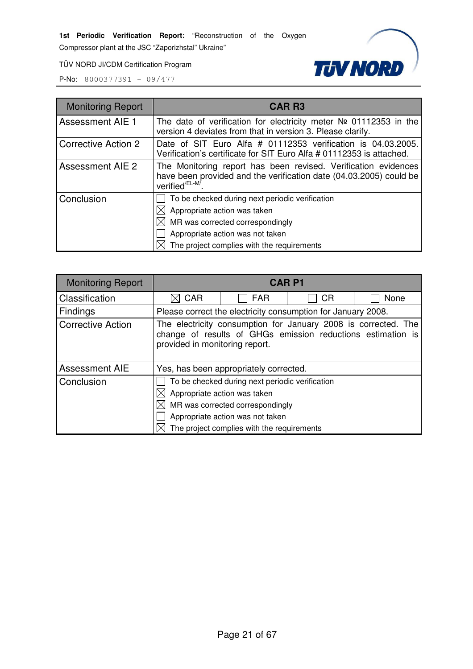Compressor plant at the JSC "Zaporizhstal" Ukraine"

**TUV NORD** 

TÜV NORD JI/CDM Certification Program

| <b>Monitoring Report</b>   | <b>CAR R3</b>                                                                                                                                                                                         |  |  |  |
|----------------------------|-------------------------------------------------------------------------------------------------------------------------------------------------------------------------------------------------------|--|--|--|
| <b>Assessment AIE 1</b>    | The date of verification for electricity meter $N2$ 01112353 in the<br>version 4 deviates from that in version 3. Please clarify.                                                                     |  |  |  |
| <b>Corrective Action 2</b> | Date of SIT Euro Alfa # 01112353 verification is 04.03.2005.<br>Verification's certificate for SIT Euro Alfa # 01112353 is attached.                                                                  |  |  |  |
| <b>Assessment AIE 2</b>    | The Monitoring report has been revised. Verification evidences<br>have been provided and the verification date (04.03.2005) could be<br>verified <sup>/EL-M/</sup>                                    |  |  |  |
| Conclusion                 | To be checked during next periodic verification<br>Appropriate action was taken<br>MR was corrected correspondingly<br>Appropriate action was not taken<br>The project complies with the requirements |  |  |  |

| <b>Monitoring Report</b> | <b>CARP1</b>                                                                                                                                                                                          |            |                                                              |      |
|--------------------------|-------------------------------------------------------------------------------------------------------------------------------------------------------------------------------------------------------|------------|--------------------------------------------------------------|------|
| Classification           | CAR                                                                                                                                                                                                   | <b>FAR</b> | СR                                                           | None |
| <b>Findings</b>          |                                                                                                                                                                                                       |            | Please correct the electricity consumption for January 2008. |      |
| <b>Corrective Action</b> | The electricity consumption for January 2008 is corrected. The<br>change of results of GHGs emission reductions estimation is<br>provided in monitoring report.                                       |            |                                                              |      |
| Assessment AIE           | Yes, has been appropriately corrected.                                                                                                                                                                |            |                                                              |      |
| Conclusion               | To be checked during next periodic verification<br>Appropriate action was taken<br>MR was corrected correspondingly<br>Appropriate action was not taken<br>The project complies with the requirements |            |                                                              |      |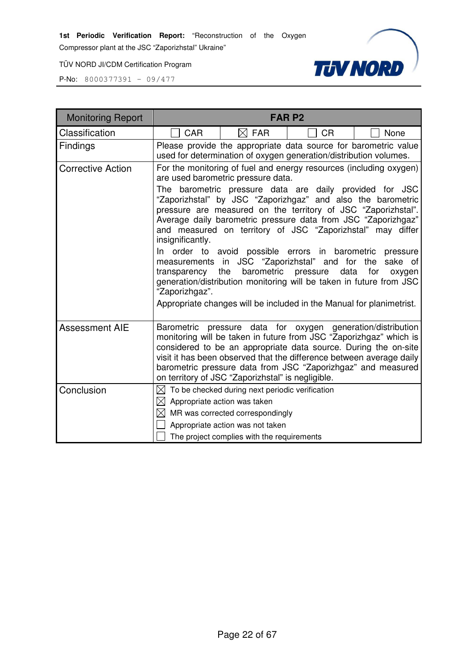Compressor plant at the JSC "Zaporizhstal" Ukraine"

TÜV NORD JI/CDM Certification Program



| <b>Monitoring Report</b> |                                                               |                                                                                                                                                                                                                                                                                                                                                                                                                                                                                                                                                                                                                                                                                                  | <b>FARP2</b>     |                                         |
|--------------------------|---------------------------------------------------------------|--------------------------------------------------------------------------------------------------------------------------------------------------------------------------------------------------------------------------------------------------------------------------------------------------------------------------------------------------------------------------------------------------------------------------------------------------------------------------------------------------------------------------------------------------------------------------------------------------------------------------------------------------------------------------------------------------|------------------|-----------------------------------------|
| Classification           | <b>CAR</b>                                                    | $\boxtimes$ FAR                                                                                                                                                                                                                                                                                                                                                                                                                                                                                                                                                                                                                                                                                  | <b>CR</b>        | None                                    |
| <b>Findings</b>          |                                                               | Please provide the appropriate data source for barometric value<br>used for determination of oxygen generation/distribution volumes.                                                                                                                                                                                                                                                                                                                                                                                                                                                                                                                                                             |                  |                                         |
| <b>Corrective Action</b> | The<br>insignificantly.<br>transparency the<br>"Zaporizhgaz". | For the monitoring of fuel and energy resources (including oxygen)<br>are used barometric pressure data.<br>barometric pressure data are daily provided for JSC<br>"Zaporizhstal" by JSC "Zaporizhgaz" and also the barometric<br>pressure are measured on the territory of JSC "Zaporizhstal".<br>Average daily barometric pressure data from JSC "Zaporizhgaz"<br>and measured on territory of JSC "Zaporizhstal" may differ<br>In order to avoid possible errors in barometric<br>measurements in JSC "Zaporizhstal" and for the<br>barometric<br>generation/distribution monitoring will be taken in future from JSC<br>Appropriate changes will be included in the Manual for planimetrist. | pressure<br>data | pressure<br>sake of<br>for<br>oxygen    |
| <b>Assessment AIE</b>    | Barometric pressure                                           | monitoring will be taken in future from JSC "Zaporizhgaz" which is<br>considered to be an appropriate data source. During the on-site<br>visit it has been observed that the difference between average daily<br>barometric pressure data from JSC "Zaporizhgaz" and measured<br>on territory of JSC "Zaporizhstal" is negligible.                                                                                                                                                                                                                                                                                                                                                               |                  | data for oxygen generation/distribution |
| Conclusion               | $\boxtimes$ Appropriate action was taken                      | $\boxtimes$ To be checked during next periodic verification<br>$\boxtimes$ MR was corrected correspondingly<br>Appropriate action was not taken<br>The project complies with the requirements                                                                                                                                                                                                                                                                                                                                                                                                                                                                                                    |                  |                                         |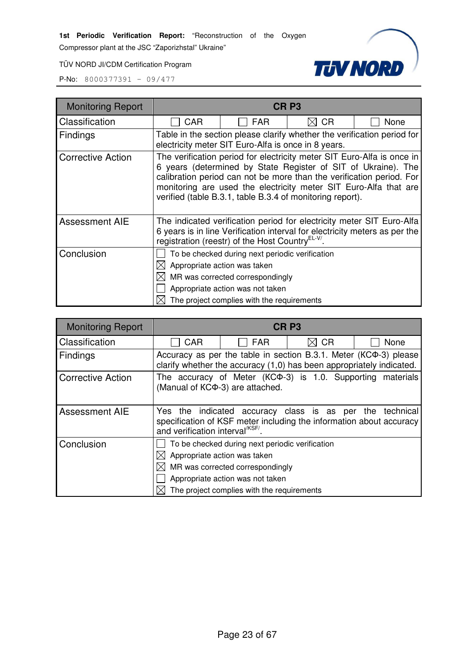Compressor plant at the JSC "Zaporizhstal" Ukraine"

**TUV NORD** 

TÜV NORD JI/CDM Certification Program

| <b>Monitoring Report</b> | CR <sub>P3</sub>                                                                                                                                                                                                                                                                                                                                 |                                                                                                                                                                                                       |                |      |  |
|--------------------------|--------------------------------------------------------------------------------------------------------------------------------------------------------------------------------------------------------------------------------------------------------------------------------------------------------------------------------------------------|-------------------------------------------------------------------------------------------------------------------------------------------------------------------------------------------------------|----------------|------|--|
| Classification           | <b>CAR</b>                                                                                                                                                                                                                                                                                                                                       | <b>FAR</b>                                                                                                                                                                                            | <b>CR</b><br>M | None |  |
| <b>Findings</b>          |                                                                                                                                                                                                                                                                                                                                                  | Table in the section please clarify whether the verification period for<br>electricity meter SIT Euro-Alfa is once in 8 years.                                                                        |                |      |  |
| <b>Corrective Action</b> | The verification period for electricity meter SIT Euro-Alfa is once in<br>6 years (determined by State Register of SIT of Ukraine). The<br>calibration period can not be more than the verification period. For<br>monitoring are used the electricity meter SIT Euro-Alfa that are<br>verified (table B.3.1, table B.3.4 of monitoring report). |                                                                                                                                                                                                       |                |      |  |
| <b>Assessment AIE</b>    | The indicated verification period for electricity meter SIT Euro-Alfa<br>6 years is in line Verification interval for electricity meters as per the<br>registration (reestr) of the Host Country <sup>EL-V/</sup>                                                                                                                                |                                                                                                                                                                                                       |                |      |  |
| Conclusion               |                                                                                                                                                                                                                                                                                                                                                  | To be checked during next periodic verification<br>Appropriate action was taken<br>MR was corrected correspondingly<br>Appropriate action was not taken<br>The project complies with the requirements |                |      |  |

| <b>Monitoring Report</b> |                                              |                                                                                                                                                                                                       | CR <sub>P3</sub> |                                                                   |
|--------------------------|----------------------------------------------|-------------------------------------------------------------------------------------------------------------------------------------------------------------------------------------------------------|------------------|-------------------------------------------------------------------|
| Classification           | <b>CAR</b>                                   | <b>FAR</b>                                                                                                                                                                                            | <b>CR</b>        | None                                                              |
| Findings                 |                                              | clarify whether the accuracy (1,0) has been appropriately indicated.                                                                                                                                  |                  | Accuracy as per the table in section B.3.1. Meter (KCФ-3) please  |
| <b>Corrective Action</b> |                                              | (Manual of KCФ-3) are attached.                                                                                                                                                                       |                  | The accuracy of Meter (KC $\Phi$ -3) is 1.0. Supporting materials |
| <b>Assessment AIE</b>    | and verification interval <sup>/KSF/</sup> . | Yes the indicated accuracy class is as per the<br>specification of KSF meter including the information about accuracy                                                                                 |                  | technical                                                         |
| Conclusion               |                                              | To be checked during next periodic verification<br>Appropriate action was taken<br>MR was corrected correspondingly<br>Appropriate action was not taken<br>The project complies with the requirements |                  |                                                                   |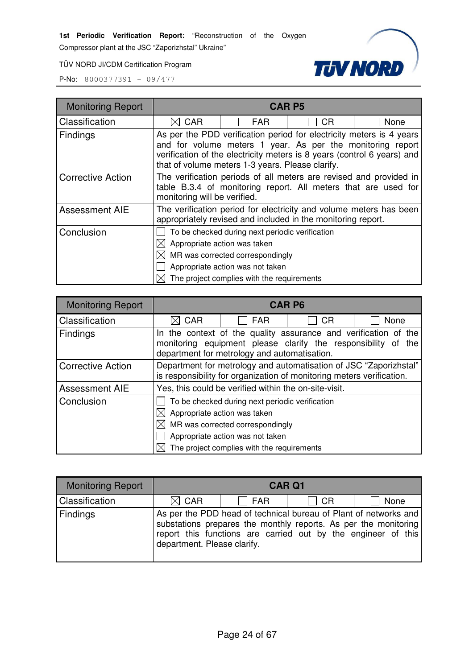Compressor plant at the JSC "Zaporizhstal" Ukraine"

TÜV NORD JI/CDM Certification Program



| <b>Monitoring Report</b> |                                                                                                                                                                                                                                                                   |                                            | <b>CAR P5</b> |      |  |  |
|--------------------------|-------------------------------------------------------------------------------------------------------------------------------------------------------------------------------------------------------------------------------------------------------------------|--------------------------------------------|---------------|------|--|--|
| Classification           | <b>CAR</b>                                                                                                                                                                                                                                                        | <b>FAR</b>                                 | СR            | None |  |  |
| Findings                 | As per the PDD verification period for electricity meters is 4 years<br>and for volume meters 1 year. As per the monitoring report<br>verification of the electricity meters is 8 years (control 6 years) and<br>that of volume meters 1-3 years. Please clarify. |                                            |               |      |  |  |
| <b>Corrective Action</b> | The verification periods of all meters are revised and provided in<br>table B.3.4 of monitoring report. All meters that are used for<br>monitoring will be verified.                                                                                              |                                            |               |      |  |  |
| <b>Assessment AIE</b>    | The verification period for electricity and volume meters has been<br>appropriately revised and included in the monitoring report.                                                                                                                                |                                            |               |      |  |  |
| Conclusion               | To be checked during next periodic verification                                                                                                                                                                                                                   |                                            |               |      |  |  |
|                          | Appropriate action was taken                                                                                                                                                                                                                                      |                                            |               |      |  |  |
|                          | MR was corrected correspondingly                                                                                                                                                                                                                                  |                                            |               |      |  |  |
|                          |                                                                                                                                                                                                                                                                   | Appropriate action was not taken           |               |      |  |  |
|                          |                                                                                                                                                                                                                                                                   | The project complies with the requirements |               |      |  |  |

| <b>Monitoring Report</b> | <b>CAR P6</b>                                                                                                                                                                    |                                            |           |      |  |  |
|--------------------------|----------------------------------------------------------------------------------------------------------------------------------------------------------------------------------|--------------------------------------------|-----------|------|--|--|
| Classification           | CAR                                                                                                                                                                              | <b>FAR</b>                                 | <b>CR</b> | None |  |  |
| <b>Findings</b>          | In the context of the quality assurance and verification of the<br>monitoring equipment please clarify the responsibility of the<br>department for metrology and automatisation. |                                            |           |      |  |  |
| <b>Corrective Action</b> | Department for metrology and automatisation of JSC "Zaporizhstal"<br>is responsibility for organization of monitoring meters verification.                                       |                                            |           |      |  |  |
| <b>Assessment AIE</b>    | Yes, this could be verified within the on-site-visit.                                                                                                                            |                                            |           |      |  |  |
| Conclusion               | To be checked during next periodic verification                                                                                                                                  |                                            |           |      |  |  |
|                          | $\boxtimes$ Appropriate action was taken                                                                                                                                         |                                            |           |      |  |  |
|                          | $\boxtimes$ MR was corrected correspondingly                                                                                                                                     |                                            |           |      |  |  |
|                          |                                                                                                                                                                                  | Appropriate action was not taken           |           |      |  |  |
|                          |                                                                                                                                                                                  | The project complies with the requirements |           |      |  |  |

| <b>Monitoring Report</b> | <b>CAR Q1</b>               |                                                                                                                                                                                                      |           |      |
|--------------------------|-----------------------------|------------------------------------------------------------------------------------------------------------------------------------------------------------------------------------------------------|-----------|------|
| Classification           | $\boxtimes$ CAR             | $\Box$ FAR                                                                                                                                                                                           | $\Box$ CR | None |
| Findings                 | department. Please clarify. | As per the PDD head of technical bureau of Plant of networks and<br>substations prepares the monthly reports. As per the monitoring<br>report this functions are carried out by the engineer of this |           |      |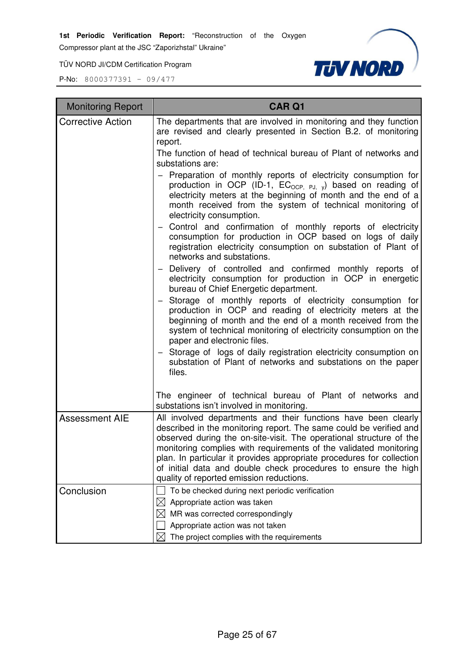Compressor plant at the JSC "Zaporizhstal" Ukraine"

TÜV NORD JI/CDM Certification Program



| <b>Monitoring Report</b> | <b>CAR Q1</b>                                                                                                                                                                                                                                                                                                                                                                                                                                                           |
|--------------------------|-------------------------------------------------------------------------------------------------------------------------------------------------------------------------------------------------------------------------------------------------------------------------------------------------------------------------------------------------------------------------------------------------------------------------------------------------------------------------|
| <b>Corrective Action</b> | The departments that are involved in monitoring and they function<br>are revised and clearly presented in Section B.2. of monitoring<br>report.                                                                                                                                                                                                                                                                                                                         |
|                          | The function of head of technical bureau of Plant of networks and<br>substations are:                                                                                                                                                                                                                                                                                                                                                                                   |
|                          | - Preparation of monthly reports of electricity consumption for<br>production in OCP (ID-1, $EC_{OCP, PJ, y}$ ) based on reading of<br>electricity meters at the beginning of month and the end of a<br>month received from the system of technical monitoring of<br>electricity consumption.                                                                                                                                                                           |
|                          | - Control and confirmation of monthly reports of electricity<br>consumption for production in OCP based on logs of daily<br>registration electricity consumption on substation of Plant of<br>networks and substations.                                                                                                                                                                                                                                                 |
|                          | - Delivery of controlled and confirmed monthly reports of<br>electricity consumption for production in OCP in energetic<br>bureau of Chief Energetic department.                                                                                                                                                                                                                                                                                                        |
|                          | - Storage of monthly reports of electricity consumption for<br>production in OCP and reading of electricity meters at the<br>beginning of month and the end of a month received from the<br>system of technical monitoring of electricity consumption on the<br>paper and electronic files.                                                                                                                                                                             |
|                          | Storage of logs of daily registration electricity consumption on<br>substation of Plant of networks and substations on the paper<br>files.                                                                                                                                                                                                                                                                                                                              |
|                          | The engineer of technical bureau of Plant of networks and<br>substations isn't involved in monitoring.                                                                                                                                                                                                                                                                                                                                                                  |
| <b>Assessment AIE</b>    | All involved departments and their functions have been clearly<br>described in the monitoring report. The same could be verified and<br>observed during the on-site-visit. The operational structure of the<br>monitoring complies with requirements of the validated monitoring<br>plan. In particular it provides appropriate procedures for collection<br>of initial data and double check procedures to ensure the high<br>quality of reported emission reductions. |
| Conclusion               | To be checked during next periodic verification                                                                                                                                                                                                                                                                                                                                                                                                                         |
|                          | Appropriate action was taken<br>⊠<br>MR was corrected correspondingly                                                                                                                                                                                                                                                                                                                                                                                                   |
|                          | Appropriate action was not taken                                                                                                                                                                                                                                                                                                                                                                                                                                        |
|                          | The project complies with the requirements<br>IХI                                                                                                                                                                                                                                                                                                                                                                                                                       |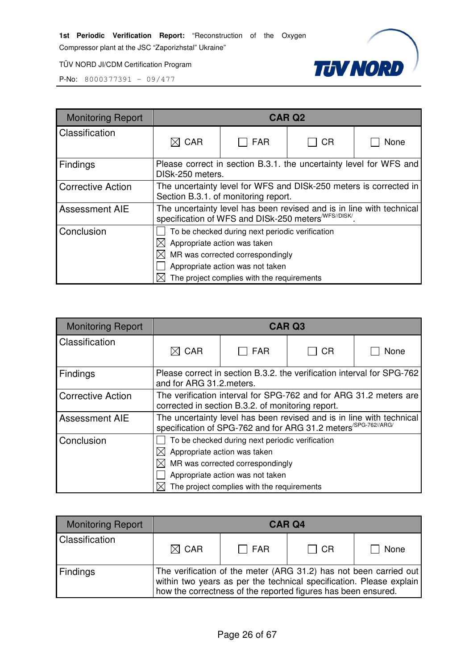Compressor plant at the JSC "Zaporizhstal" Ukraine"

**TUV NORD** 

TÜV NORD JI/CDM Certification Program

| <b>Monitoring Report</b> | <b>CAR Q2</b>                                                                                                                             |                                                                                        |    |      |  |  |
|--------------------------|-------------------------------------------------------------------------------------------------------------------------------------------|----------------------------------------------------------------------------------------|----|------|--|--|
| Classification           | $\boxtimes$ CAR                                                                                                                           | <b>FAR</b>                                                                             | CR | None |  |  |
| Findings                 |                                                                                                                                           | Please correct in section B.3.1. the uncertainty level for WFS and<br>DISk-250 meters. |    |      |  |  |
| <b>Corrective Action</b> | The uncertainty level for WFS and DISk-250 meters is corrected in<br>Section B.3.1. of monitoring report.                                 |                                                                                        |    |      |  |  |
| <b>Assessment AIE</b>    | The uncertainty level has been revised and is in line with technical<br>specification of WFS and DISk-250 meters <sup>/WFS//DISK/</sup> . |                                                                                        |    |      |  |  |
| Conclusion               | To be checked during next periodic verification                                                                                           |                                                                                        |    |      |  |  |
|                          | Appropriate action was taken                                                                                                              |                                                                                        |    |      |  |  |
|                          | MR was corrected correspondingly                                                                                                          |                                                                                        |    |      |  |  |
|                          |                                                                                                                                           | Appropriate action was not taken                                                       |    |      |  |  |
|                          |                                                                                                                                           | The project complies with the requirements                                             |    |      |  |  |

| <b>Monitoring Report</b> | <b>CAR Q3</b>                                                                                                                                                                                         |                                                                        |    |      |  |
|--------------------------|-------------------------------------------------------------------------------------------------------------------------------------------------------------------------------------------------------|------------------------------------------------------------------------|----|------|--|
| Classification           | $\boxtimes$ CAR                                                                                                                                                                                       | <b>FAR</b>                                                             | CR | None |  |
| Findings                 | and for ARG 31.2 meters.                                                                                                                                                                              | Please correct in section B.3.2. the verification interval for SPG-762 |    |      |  |
| <b>Corrective Action</b> | The verification interval for SPG-762 and for ARG 31.2 meters are<br>corrected in section B.3.2. of monitoring report.                                                                                |                                                                        |    |      |  |
| <b>Assessment AIE</b>    | The uncertainty level has been revised and is in line with technical<br>specification of SPG-762 and for ARG 31.2 meters <sup>/SPG-762//ARG/</sup>                                                    |                                                                        |    |      |  |
| Conclusion               | To be checked during next periodic verification<br>Appropriate action was taken<br>MR was corrected correspondingly<br>Appropriate action was not taken<br>The project complies with the requirements |                                                                        |    |      |  |

| <b>Monitoring Report</b> | <b>CAR Q4</b>                                                                                                                                                                                             |            |           |      |  |
|--------------------------|-----------------------------------------------------------------------------------------------------------------------------------------------------------------------------------------------------------|------------|-----------|------|--|
| Classification           | $\boxtimes$ CAR                                                                                                                                                                                           | $\Box$ FAR | $\Box$ CR | None |  |
| Findings                 | The verification of the meter (ARG 31.2) has not been carried out<br>within two years as per the technical specification. Please explain<br>how the correctness of the reported figures has been ensured. |            |           |      |  |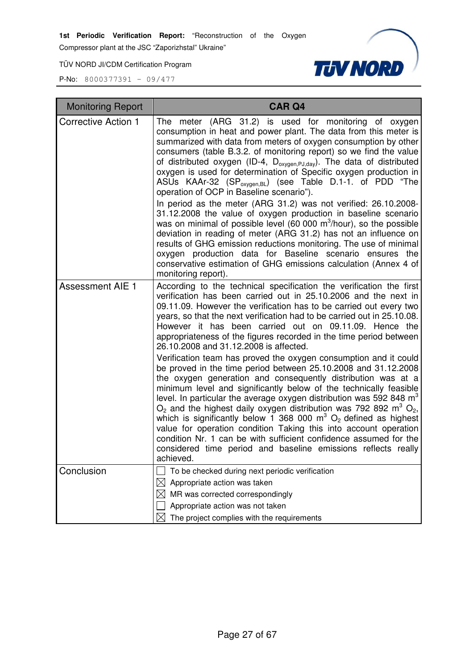Compressor plant at the JSC "Zaporizhstal" Ukraine"

TÜV NORD JI/CDM Certification Program



| <b>Monitoring Report</b>   | <b>CAR Q4</b>                                                                                                                                                                                                                                                                                                                                                                                                                                                                                                                                                                                                                                                                                                                                                                                                                                                                                                                                                                                                                                                                                                                                                                                                        |
|----------------------------|----------------------------------------------------------------------------------------------------------------------------------------------------------------------------------------------------------------------------------------------------------------------------------------------------------------------------------------------------------------------------------------------------------------------------------------------------------------------------------------------------------------------------------------------------------------------------------------------------------------------------------------------------------------------------------------------------------------------------------------------------------------------------------------------------------------------------------------------------------------------------------------------------------------------------------------------------------------------------------------------------------------------------------------------------------------------------------------------------------------------------------------------------------------------------------------------------------------------|
| <b>Corrective Action 1</b> | (ARG 31.2) is used for monitoring of oxygen<br>The<br>meter<br>consumption in heat and power plant. The data from this meter is<br>summarized with data from meters of oxygen consumption by other<br>consumers (table B.3.2. of monitoring report) so we find the value<br>of distributed oxygen (ID-4, D <sub>oxygen,PJ,day</sub> ). The data of distributed<br>oxygen is used for determination of Specific oxygen production in<br>ASUs KAAr-32 (SP <sub>oxygen,BL</sub> ) (see Table D.1-1. of PDD "The<br>operation of OCP in Baseline scenario").<br>In period as the meter (ARG 31.2) was not verified: 26.10.2008-<br>31.12.2008 the value of oxygen production in baseline scenario<br>was on minimal of possible level (60 000 $\mathrm{m}^3$ /hour), so the possible<br>deviation in reading of meter (ARG 31.2) has not an influence on<br>results of GHG emission reductions monitoring. The use of minimal<br>oxygen production data for Baseline scenario ensures the<br>conservative estimation of GHG emissions calculation (Annex 4 of<br>monitoring report).                                                                                                                                     |
| <b>Assessment AIE 1</b>    | According to the technical specification the verification the first<br>verification has been carried out in 25.10.2006 and the next in<br>09.11.09. However the verification has to be carried out every two<br>years, so that the next verification had to be carried out in 25.10.08.<br>However it has been carried out on 09.11.09. Hence the<br>appropriateness of the figures recorded in the time period between<br>26.10.2008 and 31.12.2008 is affected.<br>Verification team has proved the oxygen consumption and it could<br>be proved in the time period between 25.10.2008 and 31.12.2008<br>the oxygen generation and consequently distribution was at a<br>minimum level and significantly below of the technically feasible<br>level. In particular the average oxygen distribution was 592 848 $m3$<br>$O_2$ and the highest daily oxygen distribution was 792 892 m <sup>3</sup> $O_2$ ,<br>which is significantly below 1 368 000 $m^3$ O <sub>2</sub> defined as highest<br>value for operation condition Taking this into account operation<br>condition Nr. 1 can be with sufficient confidence assumed for the<br>considered time period and baseline emissions reflects really<br>achieved. |
| Conclusion                 | To be checked during next periodic verification<br>Appropriate action was taken                                                                                                                                                                                                                                                                                                                                                                                                                                                                                                                                                                                                                                                                                                                                                                                                                                                                                                                                                                                                                                                                                                                                      |
|                            | MR was corrected correspondingly                                                                                                                                                                                                                                                                                                                                                                                                                                                                                                                                                                                                                                                                                                                                                                                                                                                                                                                                                                                                                                                                                                                                                                                     |
|                            | Appropriate action was not taken                                                                                                                                                                                                                                                                                                                                                                                                                                                                                                                                                                                                                                                                                                                                                                                                                                                                                                                                                                                                                                                                                                                                                                                     |
|                            | The project complies with the requirements                                                                                                                                                                                                                                                                                                                                                                                                                                                                                                                                                                                                                                                                                                                                                                                                                                                                                                                                                                                                                                                                                                                                                                           |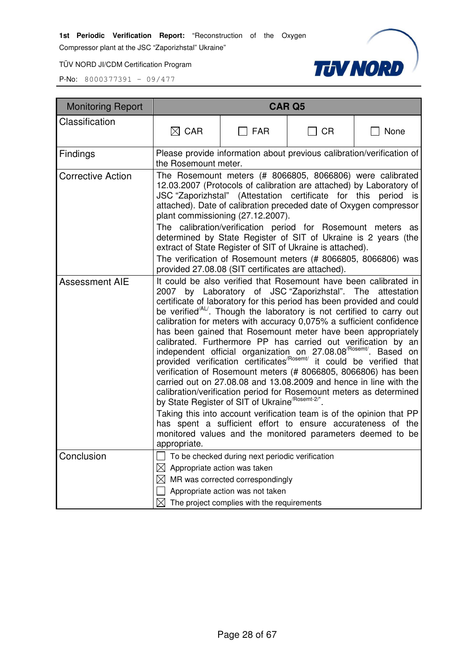Compressor plant at the JSC "Zaporizhstal" Ukraine"

TÜV NORD JI/CDM Certification Program



| <b>Monitoring Report</b> |                                                                                                                                                                                                                                                                                                                                                                                                                                                                                                                                                                                                                                                                                                                                                                                                                                                                                                                                                                                                                                                                                                                                                                                                                                  |                                                                                                                                       | <b>CAR Q5</b> |      |  |
|--------------------------|----------------------------------------------------------------------------------------------------------------------------------------------------------------------------------------------------------------------------------------------------------------------------------------------------------------------------------------------------------------------------------------------------------------------------------------------------------------------------------------------------------------------------------------------------------------------------------------------------------------------------------------------------------------------------------------------------------------------------------------------------------------------------------------------------------------------------------------------------------------------------------------------------------------------------------------------------------------------------------------------------------------------------------------------------------------------------------------------------------------------------------------------------------------------------------------------------------------------------------|---------------------------------------------------------------------------------------------------------------------------------------|---------------|------|--|
| Classification           | $\boxtimes$ CAR                                                                                                                                                                                                                                                                                                                                                                                                                                                                                                                                                                                                                                                                                                                                                                                                                                                                                                                                                                                                                                                                                                                                                                                                                  | <b>FAR</b>                                                                                                                            | ∃ CR          | None |  |
| Findings                 | the Rosemount meter.                                                                                                                                                                                                                                                                                                                                                                                                                                                                                                                                                                                                                                                                                                                                                                                                                                                                                                                                                                                                                                                                                                                                                                                                             | Please provide information about previous calibration/verification of                                                                 |               |      |  |
| <b>Corrective Action</b> | The Rosemount meters (# 8066805, 8066806) were calibrated<br>12.03.2007 (Protocols of calibration are attached) by Laboratory of<br>JSC "Zaporizhstal" (Attestation certificate for this period is<br>attached). Date of calibration preceded date of Oxygen compressor<br>plant commissioning (27.12.2007).<br>The calibration/verification period for Rosemount meters as<br>determined by State Register of SIT of Ukraine is 2 years (the<br>extract of State Register of SIT of Ukraine is attached).<br>The verification of Rosemount meters (# 8066805, 8066806) was                                                                                                                                                                                                                                                                                                                                                                                                                                                                                                                                                                                                                                                      |                                                                                                                                       |               |      |  |
| <b>Assessment AIE</b>    | provided 27.08.08 (SIT certificates are attached).<br>It could be also verified that Rosemount have been calibrated in<br>2007 by Laboratory of JSC "Zaporizhstal". The<br>attestation<br>certificate of laboratory for this period has been provided and could<br>be verified <sup>/AL/</sup> . Though the laboratory is not certified to carry out<br>calibration for meters with accuracy 0,075% a sufficient confidence<br>has been gained that Rosemount meter have been appropriately<br>calibrated. Furthermore PP has carried out verification by an<br>independent official organization on 27.08.08 <sup>/Rosemt/</sup> . Based on<br>provided verification certificates <sup>/Rosemt/</sup> it could be verified that<br>verification of Rosemount meters (# 8066805, 8066806) has been<br>carried out on 27.08.08 and 13.08.2009 and hence in line with the<br>calibration/verification period for Rosemount meters as determined<br>by State Register of SIT of Ukraine <sup>/Rosemt-2/*</sup><br>Taking this into account verification team is of the opinion that PP<br>has spent a sufficient effort to ensure accurateness of the<br>monitored values and the monitored parameters deemed to be<br>appropriate. |                                                                                                                                       |               |      |  |
| Conclusion               | $\boxtimes$ Appropriate action was taken                                                                                                                                                                                                                                                                                                                                                                                                                                                                                                                                                                                                                                                                                                                                                                                                                                                                                                                                                                                                                                                                                                                                                                                         | △ To be checked during next periodic verification<br>$\boxtimes$ MR was corrected correspondingly<br>Appropriate action was not taken |               |      |  |
|                          |                                                                                                                                                                                                                                                                                                                                                                                                                                                                                                                                                                                                                                                                                                                                                                                                                                                                                                                                                                                                                                                                                                                                                                                                                                  | $\boxtimes$ The project complies with the requirements                                                                                |               |      |  |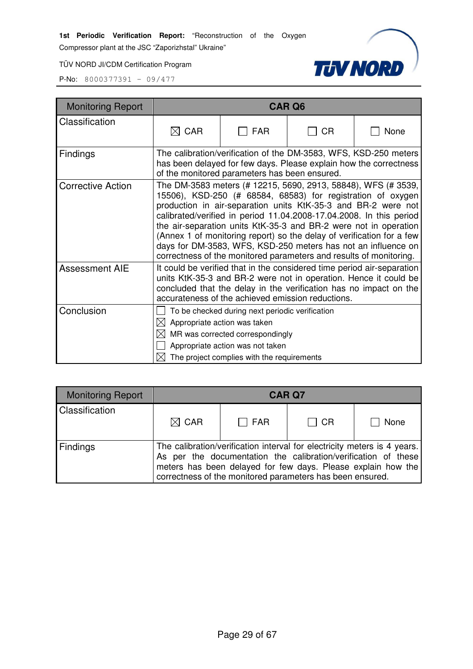Compressor plant at the JSC "Zaporizhstal" Ukraine"

TÜV NORD JI/CDM Certification Program



| <b>Monitoring Report</b> | <b>CAR Q6</b>                                                                                                                                                                                                                                                                                                                                                                                                                                                                                                                                            |                                                                                                                                                                       |    |                                                                                                                                                                                                                 |
|--------------------------|----------------------------------------------------------------------------------------------------------------------------------------------------------------------------------------------------------------------------------------------------------------------------------------------------------------------------------------------------------------------------------------------------------------------------------------------------------------------------------------------------------------------------------------------------------|-----------------------------------------------------------------------------------------------------------------------------------------------------------------------|----|-----------------------------------------------------------------------------------------------------------------------------------------------------------------------------------------------------------------|
| Classification           | $\boxtimes$ CAR                                                                                                                                                                                                                                                                                                                                                                                                                                                                                                                                          | <b>FAR</b>                                                                                                                                                            | СR | None                                                                                                                                                                                                            |
| <b>Findings</b>          |                                                                                                                                                                                                                                                                                                                                                                                                                                                                                                                                                          | of the monitored parameters has been ensured.                                                                                                                         |    | The calibration/verification of the DM-3583, WFS, KSD-250 meters<br>has been delayed for few days. Please explain how the correctness                                                                           |
| <b>Corrective Action</b> | The DM-3583 meters (# 12215, 5690, 2913, 58848), WFS (# 3539,<br>15506), KSD-250 (# 68584, 68583) for registration of oxygen<br>production in air-separation units KtK-35-3 and BR-2 were not<br>calibrated/verified in period 11.04.2008-17.04.2008. In this period<br>the air-separation units KtK-35-3 and BR-2 were not in operation<br>(Annex 1 of monitoring report) so the delay of verification for a few<br>days for DM-3583, WFS, KSD-250 meters has not an influence on<br>correctness of the monitored parameters and results of monitoring. |                                                                                                                                                                       |    |                                                                                                                                                                                                                 |
| <b>Assessment AIE</b>    |                                                                                                                                                                                                                                                                                                                                                                                                                                                                                                                                                          | accurateness of the achieved emission reductions.                                                                                                                     |    | It could be verified that in the considered time period air-separation<br>units KtK-35-3 and BR-2 were not in operation. Hence it could be<br>concluded that the delay in the verification has no impact on the |
| Conclusion               | $\boxtimes$ Appropriate action was taken                                                                                                                                                                                                                                                                                                                                                                                                                                                                                                                 | To be checked during next periodic verification<br>MR was corrected correspondingly<br>Appropriate action was not taken<br>The project complies with the requirements |    |                                                                                                                                                                                                                 |

| Monitoring Report | <b>CAR Q7</b>                                                                                                                                                                                                                                                           |            |           |      |
|-------------------|-------------------------------------------------------------------------------------------------------------------------------------------------------------------------------------------------------------------------------------------------------------------------|------------|-----------|------|
| Classification    | $\boxtimes$ CAR                                                                                                                                                                                                                                                         | $\Box$ FAR | $\Box$ CR | None |
| <b>Findings</b>   | The calibration/verification interval for electricity meters is 4 years.<br>As per the documentation the calibration/verification of these<br>meters has been delayed for few days. Please explain how the<br>correctness of the monitored parameters has been ensured. |            |           |      |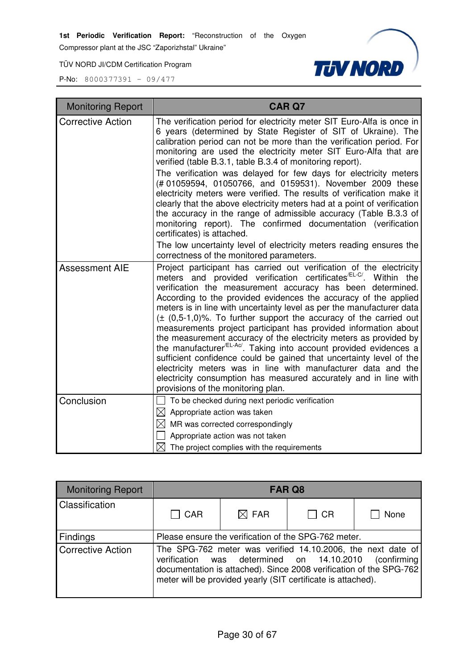Compressor plant at the JSC "Zaporizhstal" Ukraine"

TÜV NORD JI/CDM Certification Program



| <b>Monitoring Report</b> | <b>CAR Q7</b>                                                                                                                                                                                                                                                                                                                                                                                                                                                                                                                                                                                                                                                                                                                                                                                                                                                                                                              |
|--------------------------|----------------------------------------------------------------------------------------------------------------------------------------------------------------------------------------------------------------------------------------------------------------------------------------------------------------------------------------------------------------------------------------------------------------------------------------------------------------------------------------------------------------------------------------------------------------------------------------------------------------------------------------------------------------------------------------------------------------------------------------------------------------------------------------------------------------------------------------------------------------------------------------------------------------------------|
| <b>Corrective Action</b> | The verification period for electricity meter SIT Euro-Alfa is once in<br>6 years (determined by State Register of SIT of Ukraine). The<br>calibration period can not be more than the verification period. For<br>monitoring are used the electricity meter SIT Euro-Alfa that are<br>verified (table B.3.1, table B.3.4 of monitoring report).<br>The verification was delayed for few days for electricity meters<br>(#01059594, 01050766, and 0159531). November 2009 these<br>electricity meters were verified. The results of verification make it<br>clearly that the above electricity meters had at a point of verification<br>the accuracy in the range of admissible accuracy (Table B.3.3 of<br>monitoring report). The confirmed documentation (verification<br>certificates) is attached.<br>The low uncertainty level of electricity meters reading ensures the<br>correctness of the monitored parameters. |
| <b>Assessment AIE</b>    | Project participant has carried out verification of the electricity<br>meters and provided verification certificates <sup>/EL-C/</sup> . Within the<br>verification the measurement accuracy has been determined.<br>According to the provided evidences the accuracy of the applied<br>meters is in line with uncertainty level as per the manufacturer data<br>$(\pm (0.5-1.0)\%$ . To further support the accuracy of the carried out<br>measurements project participant has provided information about<br>the measurement accuracy of the electricity meters as provided by<br>the manufacturer <sup>/EL-Ac/</sup> . Taking into account provided evidences a<br>sufficient confidence could be gained that uncertainty level of the<br>electricity meters was in line with manufacturer data and the<br>electricity consumption has measured accurately and in line with<br>provisions of the monitoring plan.       |
| Conclusion               | To be checked during next periodic verification<br>$\boxtimes$ Appropriate action was taken<br>$\boxtimes$ MR was corrected correspondingly<br>Appropriate action was not taken<br>$\boxtimes$ The project complies with the requirements                                                                                                                                                                                                                                                                                                                                                                                                                                                                                                                                                                                                                                                                                  |

| <b>Monitoring Report</b> | FAR Q8                                                                                                                                                                                                                                                                                                    |                 |           |             |
|--------------------------|-----------------------------------------------------------------------------------------------------------------------------------------------------------------------------------------------------------------------------------------------------------------------------------------------------------|-----------------|-----------|-------------|
| Classification           | $\Box$ CAR                                                                                                                                                                                                                                                                                                | $\boxtimes$ FAR | $\Box$ CR | None        |
| Findings                 |                                                                                                                                                                                                                                                                                                           |                 |           |             |
| <b>Corrective Action</b> | Please ensure the verification of the SPG-762 meter.<br>The SPG-762 meter was verified 14.10.2006, the next date of<br>was determined on 14.10.2010<br>verification<br>documentation is attached). Since 2008 verification of the SPG-762<br>meter will be provided yearly (SIT certificate is attached). |                 |           | (confirming |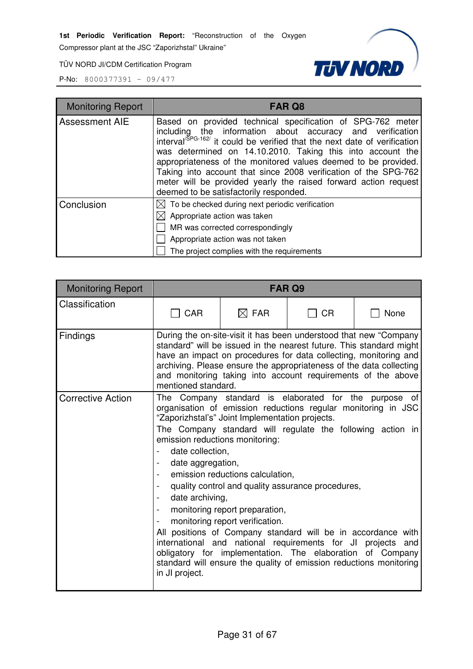Compressor plant at the JSC "Zaporizhstal" Ukraine"

TÜV NORD JI/CDM Certification Program



| <b>Monitoring Report</b> | <b>FAR Q8</b>                                                                                                                                                                                                                                                                                                                                                                                                                                                                                                                 |
|--------------------------|-------------------------------------------------------------------------------------------------------------------------------------------------------------------------------------------------------------------------------------------------------------------------------------------------------------------------------------------------------------------------------------------------------------------------------------------------------------------------------------------------------------------------------|
| <b>Assessment AIE</b>    | Based on provided technical specification of SPG-762 meter<br>including the information about accuracy and verification interval <sup>(SPG-162/</sup> it could be verified that the next date of verification<br>was determined on 14.10.2010. Taking this into account the<br>appropriateness of the monitored values deemed to be provided.<br>Taking into account that since 2008 verification of the SPG-762<br>meter will be provided yearly the raised forward action request<br>deemed to be satisfactorily responded. |
| Conclusion               | $\boxtimes$ To be checked during next periodic verification<br>$\boxtimes$ Appropriate action was taken<br>MR was corrected correspondingly<br>Appropriate action was not taken<br>The project complies with the requirements                                                                                                                                                                                                                                                                                                 |

| <b>Monitoring Report</b> |                                                                                                                                                             |                                                                                                                                                                                                                                                                                                                                                                                                                                                                                                                                                                                                | FAR <sub>Q9</sub> |                                                                             |
|--------------------------|-------------------------------------------------------------------------------------------------------------------------------------------------------------|------------------------------------------------------------------------------------------------------------------------------------------------------------------------------------------------------------------------------------------------------------------------------------------------------------------------------------------------------------------------------------------------------------------------------------------------------------------------------------------------------------------------------------------------------------------------------------------------|-------------------|-----------------------------------------------------------------------------|
| Classification           | <b>CAR</b>                                                                                                                                                  | $\boxtimes$ FAR                                                                                                                                                                                                                                                                                                                                                                                                                                                                                                                                                                                | CR                | None                                                                        |
| <b>Findings</b>          | mentioned standard.                                                                                                                                         | During the on-site-visit it has been understood that new "Company"<br>standard" will be issued in the nearest future. This standard might<br>have an impact on procedures for data collecting, monitoring and<br>archiving. Please ensure the appropriateness of the data collecting<br>and monitoring taking into account requirements of the above                                                                                                                                                                                                                                           |                   |                                                                             |
| <b>Corrective Action</b> | emission reductions monitoring:<br>date collection,<br>date aggregation,<br>date archiving,<br>$\blacksquare$<br>$\overline{\phantom{a}}$<br>in JI project. | The Company standard is elaborated for the<br>organisation of emission reductions regular monitoring in JSC<br>"Zaporizhstal's" Joint Implementation projects.<br>emission reductions calculation,<br>quality control and quality assurance procedures,<br>monitoring report preparation,<br>monitoring report verification.<br>All positions of Company standard will be in accordance with<br>international and national requirements for JI projects and<br>obligatory for implementation. The elaboration of Company<br>standard will ensure the quality of emission reductions monitoring |                   | purpose<br>of<br>The Company standard will regulate the following action in |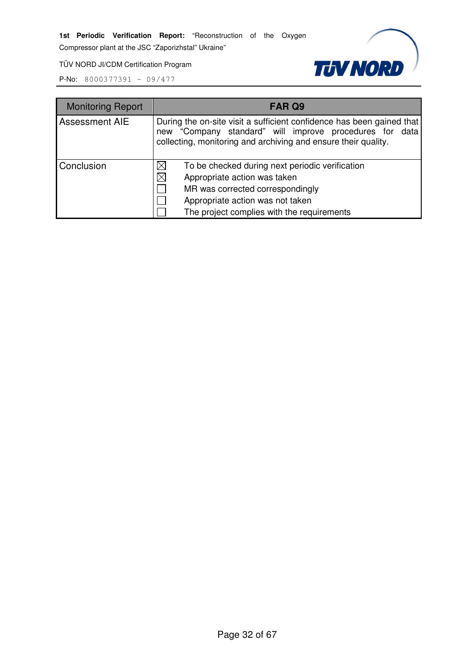Compressor plant at the JSC "Zaporizhstal" Ukraine"

**TUV NORD** 

TÜV NORD JI/CDM Certification Program

| <b>Monitoring Report</b> | FAR Q9                                                                                                                                                                                                                        |
|--------------------------|-------------------------------------------------------------------------------------------------------------------------------------------------------------------------------------------------------------------------------|
| <b>Assessment AIE</b>    | During the on-site visit a sufficient confidence has been gained that<br>new "Company standard" will improve procedures for data<br>collecting, monitoring and archiving and ensure their quality.                            |
| Conclusion               | To be checked during next periodic verification<br>$\times$<br>$\times$<br>Appropriate action was taken<br>MR was corrected correspondingly<br>Appropriate action was not taken<br>The project complies with the requirements |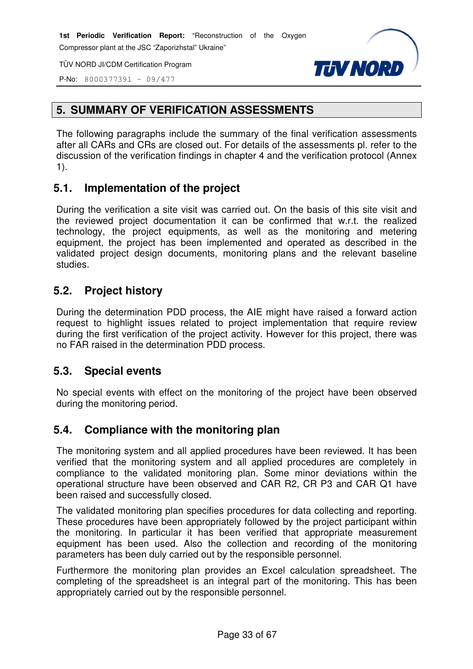Compressor plant at the JSC "Zaporizhstal" Ukraine"

TÜV NORD JI/CDM Certification Program



P-No: 8000377391 – 09/477

# **5. SUMMARY OF VERIFICATION ASSESSMENTS**

The following paragraphs include the summary of the final verification assessments after all CARs and CRs are closed out. For details of the assessments pl. refer to the discussion of the verification findings in chapter 4 and the verification protocol (Annex 1).

# **5.1. Implementation of the project**

During the verification a site visit was carried out. On the basis of this site visit and the reviewed project documentation it can be confirmed that w.r.t. the realized technology, the project equipments, as well as the monitoring and metering equipment, the project has been implemented and operated as described in the validated project design documents, monitoring plans and the relevant baseline studies.

# **5.2. Project history**

During the determination PDD process, the AIE might have raised a forward action request to highlight issues related to project implementation that require review during the first verification of the project activity. However for this project, there was no FAR raised in the determination PDD process.

# **5.3. Special events**

No special events with effect on the monitoring of the project have been observed during the monitoring period.

# **5.4. Compliance with the monitoring plan**

The monitoring system and all applied procedures have been reviewed. It has been verified that the monitoring system and all applied procedures are completely in compliance to the validated monitoring plan. Some minor deviations within the operational structure have been observed and CAR R2, CR P3 and CAR Q1 have been raised and successfully closed.

The validated monitoring plan specifies procedures for data collecting and reporting. These procedures have been appropriately followed by the project participant within the monitoring. In particular it has been verified that appropriate measurement equipment has been used. Also the collection and recording of the monitoring parameters has been duly carried out by the responsible personnel.

Furthermore the monitoring plan provides an Excel calculation spreadsheet. The completing of the spreadsheet is an integral part of the monitoring. This has been appropriately carried out by the responsible personnel.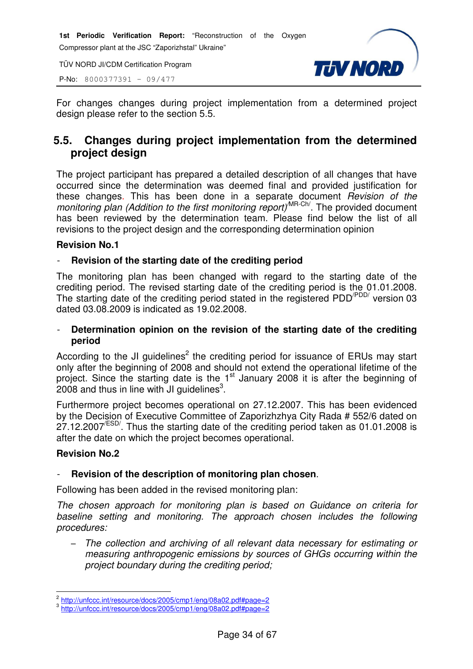TÜV NORD JI/CDM Certification Program

P-No: 8000377391 – 09/477



For changes changes during project implementation from a determined project design please refer to the section 5.5.

# **5.5. Changes during project implementation from the determined project design**

The project participant has prepared a detailed description of all changes that have occurred since the determination was deemed final and provided justification for these changes. This has been done in a separate document Revision of the monitoring plan (Addition to the first monitoring report)<sup>MR-Ch/</sup>. The provided document has been reviewed by the determination team. Please find below the list of all revisions to the project design and the corresponding determination opinion

#### **Revision No.1**

#### - **Revision of the starting date of the crediting period**

The monitoring plan has been changed with regard to the starting date of the crediting period. The revised starting date of the crediting period is the 01.01.2008. The starting date of the crediting period stated in the registered PDD<sup>/PDD/</sup> version 03 dated 03.08.2009 is indicated as 19.02.2008.

#### - **Determination opinion on the revision of the starting date of the crediting period**

According to the JI guidelines<sup>2</sup> the crediting period for issuance of ERUs may start only after the beginning of 2008 and should not extend the operational lifetime of the project. Since the starting date is the 1<sup>st</sup> January 2008 it is after the beginning of  $2008$  and thus in line with JI guidelines<sup>3</sup>.

Furthermore project becomes operational on 27.12.2007. This has been evidenced by the Decision of Executive Committee of Zaporizhzhya City Rada # 552/6 dated on  $27.12.2007^{ESD}$ . Thus the starting date of the crediting period taken as 01.01.2008 is after the date on which the project becomes operational.

#### **Revision No.2**

#### - **Revision of the description of monitoring plan chosen**.

Following has been added in the revised monitoring plan:

The chosen approach for monitoring plan is based on Guidance on criteria for baseline setting and monitoring. The approach chosen includes the following procedures:

− The collection and archiving of all relevant data necessary for estimating or measuring anthropogenic emissions by sources of GHGs occurring within the project boundary during the crediting period;

 2 http://unfccc.int/resource/docs/2005/cmp1/eng/08a02.pdf#page=2 3 http://unfccc.int/resource/docs/2005/cmp1/eng/08a02.pdf#page=2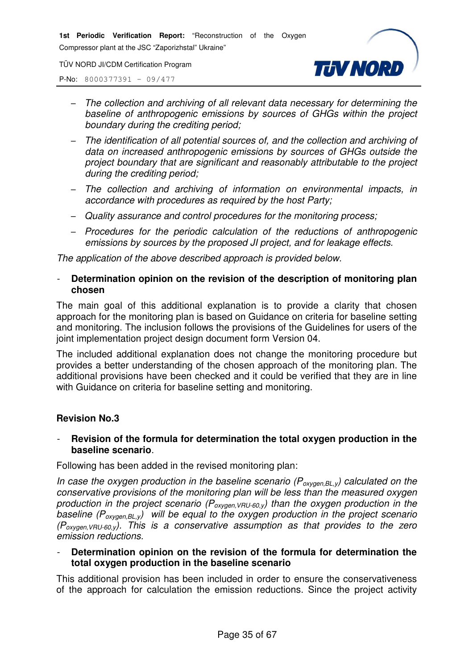TÜV NORD JI/CDM Certification Program



P-No: 8000377391 – 09/477

- − The collection and archiving of all relevant data necessary for determining the baseline of anthropogenic emissions by sources of GHGs within the project boundary during the crediting period;
- − The identification of all potential sources of, and the collection and archiving of data on increased anthropogenic emissions by sources of GHGs outside the project boundary that are significant and reasonably attributable to the project during the crediting period;
- − The collection and archiving of information on environmental impacts, in accordance with procedures as required by the host Party;
- − Quality assurance and control procedures for the monitoring process;
- − Procedures for the periodic calculation of the reductions of anthropogenic emissions by sources by the proposed JI project, and for leakage effects.

The application of the above described approach is provided below.

#### - **Determination opinion on the revision of the description of monitoring plan chosen**

The main goal of this additional explanation is to provide a clarity that chosen approach for the monitoring plan is based on Guidance on criteria for baseline setting and monitoring. The inclusion follows the provisions of the Guidelines for users of the joint implementation project design document form Version 04.

The included additional explanation does not change the monitoring procedure but provides a better understanding of the chosen approach of the monitoring plan. The additional provisions have been checked and it could be verified that they are in line with Guidance on criteria for baseline setting and monitoring.

#### **Revision No.3**

#### - **Revision of the formula for determination the total oxygen production in the baseline scenario**.

Following has been added in the revised monitoring plan:

In case the oxygen production in the baseline scenario ( $P_{oxygen, BL, y}$ ) calculated on the conservative provisions of the monitoring plan will be less than the measured oxygen production in the project scenario ( $P_{oxygen,VRU-60,y}$ ) than the oxygen production in the baseline  $(P_{oxygen, BL, y})$  will be equal to the oxygen production in the project scenario  $(P_{oxven, VRI-60v})$ . This is a conservative assumption as that provides to the zero emission reductions.

- **Determination opinion on the revision of the formula for determination the total oxygen production in the baseline scenario** 

This additional provision has been included in order to ensure the conservativeness of the approach for calculation the emission reductions. Since the project activity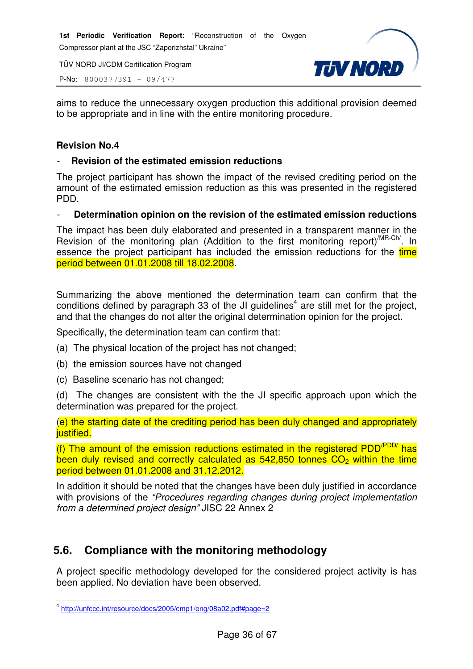TÜV NORD JI/CDM Certification Program

P-No: 8000377391 – 09/477



aims to reduce the unnecessary oxygen production this additional provision deemed to be appropriate and in line with the entire monitoring procedure.

#### **Revision No.4**

#### - **Revision of the estimated emission reductions**

The project participant has shown the impact of the revised crediting period on the amount of the estimated emission reduction as this was presented in the registered PDD.

#### - **Determination opinion on the revision of the estimated emission reductions**

The impact has been duly elaborated and presented in a transparent manner in the Revision of the monitoring plan (Addition to the first monitoring report)<sup>/MR-Ch/</sup>. In essence the project participant has included the emission reductions for the time period between 01.01.2008 till 18.02.2008.

Summarizing the above mentioned the determination team can confirm that the conditions defined by paragraph 33 of the JI guidelines<sup>4</sup> are still met for the project, and that the changes do not alter the original determination opinion for the project.

Specifically, the determination team can confirm that:

- (a) The physical location of the project has not changed;
- (b) the emission sources have not changed
- (c) Baseline scenario has not changed;

(d) The changes are consistent with the the JI specific approach upon which the determination was prepared for the project.

(e) the starting date of the crediting period has been duly changed and appropriately iustified.

(f) The amount of the emission reductions estimated in the registered PDD<sup>(PDD/</sup> has been duly revised and correctly calculated as  $542,850$  tonnes  $CO<sub>2</sub>$  within the time period between 01.01.2008 and 31.12.2012.

In addition it should be noted that the changes have been duly justified in accordance with provisions of the "Procedures regarding changes during project implementation from a determined project design" JISC 22 Annex 2

# **5.6. Compliance with the monitoring methodology**

A project specific methodology developed for the considered project activity is has been applied. No deviation have been observed.

 4 http://unfccc.int/resource/docs/2005/cmp1/eng/08a02.pdf#page=2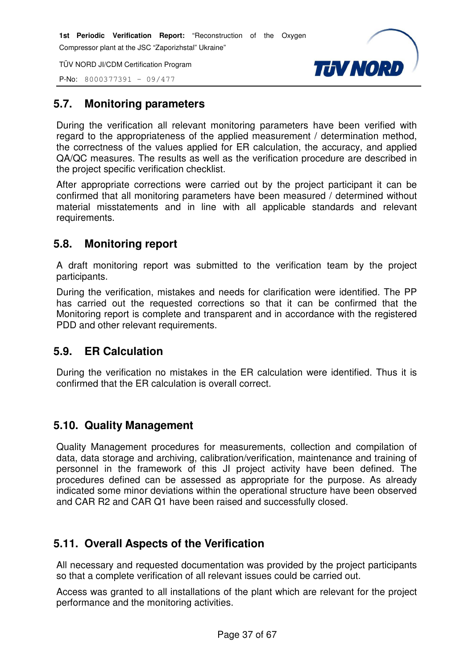TÜV NORD JI/CDM Certification Program





# **5.7. Monitoring parameters**

During the verification all relevant monitoring parameters have been verified with regard to the appropriateness of the applied measurement / determination method, the correctness of the values applied for ER calculation, the accuracy, and applied QA/QC measures. The results as well as the verification procedure are described in the project specific verification checklist.

After appropriate corrections were carried out by the project participant it can be confirmed that all monitoring parameters have been measured / determined without material misstatements and in line with all applicable standards and relevant requirements.

# **5.8. Monitoring report**

A draft monitoring report was submitted to the verification team by the project participants.

During the verification, mistakes and needs for clarification were identified. The PP has carried out the requested corrections so that it can be confirmed that the Monitoring report is complete and transparent and in accordance with the registered PDD and other relevant requirements.

# **5.9. ER Calculation**

During the verification no mistakes in the ER calculation were identified. Thus it is confirmed that the ER calculation is overall correct.

# **5.10. Quality Management**

Quality Management procedures for measurements, collection and compilation of data, data storage and archiving, calibration/verification, maintenance and training of personnel in the framework of this JI project activity have been defined. The procedures defined can be assessed as appropriate for the purpose. As already indicated some minor deviations within the operational structure have been observed and CAR R2 and CAR Q1 have been raised and successfully closed.

# **5.11. Overall Aspects of the Verification**

All necessary and requested documentation was provided by the project participants so that a complete verification of all relevant issues could be carried out.

Access was granted to all installations of the plant which are relevant for the project performance and the monitoring activities.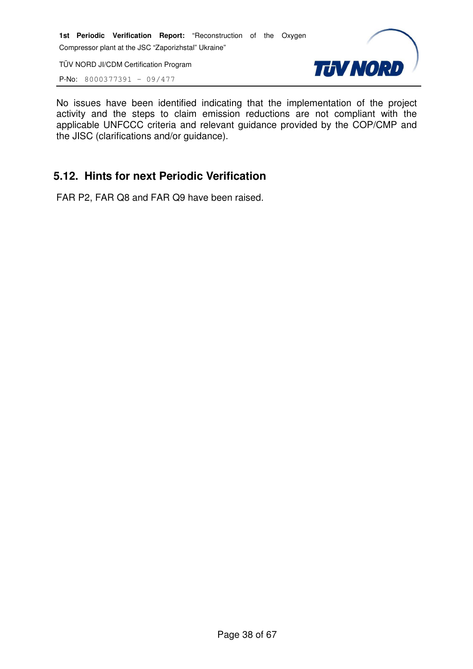TÜV NORD JI/CDM Certification Program

P-No: 8000377391 – 09/477



No issues have been identified indicating that the implementation of the project activity and the steps to claim emission reductions are not compliant with the applicable UNFCCC criteria and relevant guidance provided by the COP/CMP and the JISC (clarifications and/or guidance).

# **5.12. Hints for next Periodic Verification**

FAR P2, FAR Q8 and FAR Q9 have been raised.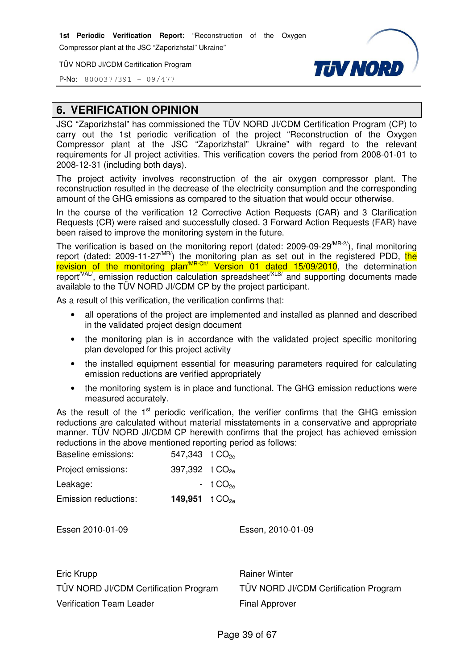Compressor plant at the JSC "Zaporizhstal" Ukraine"

TÜV NORD JI/CDM Certification Program



P-No: 8000377391 – 09/477

# **6. VERIFICATION OPINION**

JSC "Zaporizhstal" has commissioned the TÜV NORD JI/CDM Certification Program (CP) to carry out the 1st periodic verification of the project "Reconstruction of the Oxygen Compressor plant at the JSC "Zaporizhstal" Ukraine" with regard to the relevant requirements for JI project activities. This verification covers the period from 2008-01-01 to 2008-12-31 (including both days).

The project activity involves reconstruction of the air oxygen compressor plant. The reconstruction resulted in the decrease of the electricity consumption and the corresponding amount of the GHG emissions as compared to the situation that would occur otherwise.

In the course of the verification 12 Corrective Action Requests (CAR) and 3 Clarification Requests (CR) were raised and successfully closed. 3 Forward Action Requests (FAR) have been raised to improve the monitoring system in the future.

The verification is based on the monitoring report (dated:  $2009-09-29^{MR-2}$ ), final monitoring report (dated: 2009-11-27<sup>/MR/</sup>) the monitoring plan as set out in the registered PDD, the revision of the monitoring plan<sup>/MR-Ch/</sup> Version 01 dated 15/09/2010, the determination report<sup>/VAL/</sup>, emission reduction calculation spreadsheet<sup>/XLS/</sup> and supporting documents made available to the TÜV NORD JI/CDM CP by the project participant.

As a result of this verification, the verification confirms that:

- all operations of the project are implemented and installed as planned and described in the validated project design document
- the monitoring plan is in accordance with the validated project specific monitoring plan developed for this project activity
- the installed equipment essential for measuring parameters required for calculating emission reductions are verified appropriately
- the monitoring system is in place and functional. The GHG emission reductions were measured accurately.

As the result of the  $1<sup>st</sup>$  periodic verification, the verifier confirms that the GHG emission reductions are calculated without material misstatements in a conservative and appropriate manner. TÜV NORD JI/CDM CP herewith confirms that the project has achieved emission reductions in the above mentioned reporting period as follows:  $Boseolino omiscionov = 547,342 + CO$ 

| $341.340 \cup 1026$          |              |
|------------------------------|--------------|
| 397,392 t $CO_{2e}$          |              |
|                              | $-t CO_{2p}$ |
| 149,951 $\frac{1000e}{1000}$ |              |
|                              |              |

Essen 2010-01-09 Essen, 2010-01-09

| Eric Krupp                            | <b>Rainer Winter</b>                  |
|---------------------------------------|---------------------------------------|
| TÜV NORD JI/CDM Certification Program | TÜV NORD JI/CDM Certification Program |
| <b>Verification Team Leader</b>       | <b>Final Approver</b>                 |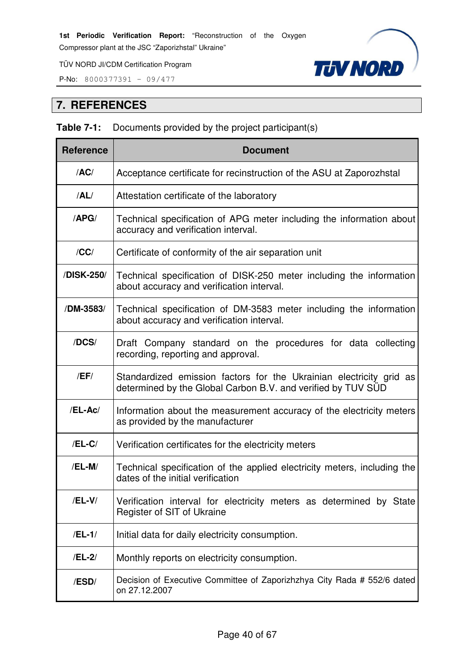P-No: 8000377391 – 09/477



# **7. REFERENCES**

| <b>Table 7-1:</b> Documents provided by the project participant(s) |  |  |  |  |  |
|--------------------------------------------------------------------|--|--|--|--|--|
|--------------------------------------------------------------------|--|--|--|--|--|

| <b>Reference</b> | <b>Document</b>                                                                                                                     |
|------------------|-------------------------------------------------------------------------------------------------------------------------------------|
| /AC/             | Acceptance certificate for recinstruction of the ASU at Zaporozhstal                                                                |
| /AL/             | Attestation certificate of the laboratory                                                                                           |
| /APG/            | Technical specification of APG meter including the information about<br>accuracy and verification interval.                         |
| /CC/             | Certificate of conformity of the air separation unit                                                                                |
| /DISK-250/       | Technical specification of DISK-250 meter including the information<br>about accuracy and verification interval.                    |
| /DM-3583/        | Technical specification of DM-3583 meter including the information<br>about accuracy and verification interval.                     |
| /DCS/            | Draft Company standard on the procedures for data collecting<br>recording, reporting and approval.                                  |
| /EF/             | Standardized emission factors for the Ukrainian electricity grid as<br>determined by the Global Carbon B.V. and verified by TUV SUD |
| /EL-Ac/          | Information about the measurement accuracy of the electricity meters<br>as provided by the manufacturer                             |
| $/EL-C/$         | Verification certificates for the electricity meters                                                                                |
| /EL-M/           | Technical specification of the applied electricity meters, including the<br>dates of the initial verification                       |
| $/EL-V/$         | Verification interval for electricity meters as determined by State<br>Register of SIT of Ukraine                                   |
| $/EL-1/$         | Initial data for daily electricity consumption.                                                                                     |
| /EL-2/           | Monthly reports on electricity consumption.                                                                                         |
| /ESD/            | Decision of Executive Committee of Zaporizhzhya City Rada # 552/6 dated<br>on 27.12.2007                                            |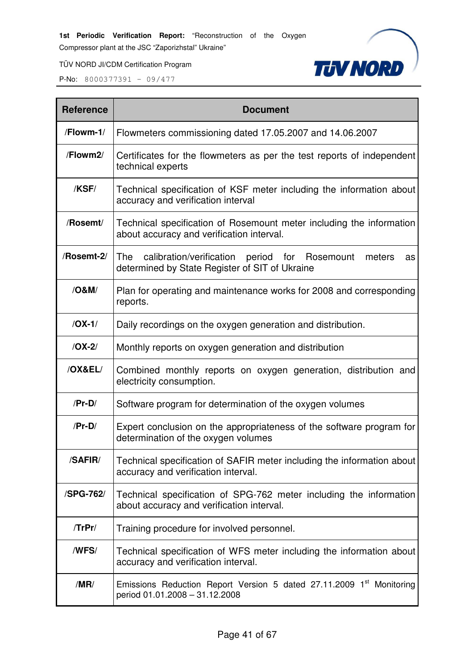Compressor plant at the JSC "Zaporizhstal" Ukraine"



TÜV NORD JI/CDM Certification Program

| <b>Reference</b> | <b>Document</b>                                                                                                     |
|------------------|---------------------------------------------------------------------------------------------------------------------|
| /Flowm-1/        | Flowmeters commissioning dated 17.05.2007 and 14.06.2007                                                            |
| /Flowm2/         | Certificates for the flowmeters as per the test reports of independent<br>technical experts                         |
| /KSF/            | Technical specification of KSF meter including the information about<br>accuracy and verification interval          |
| /Rosemt/         | Technical specification of Rosemount meter including the information<br>about accuracy and verification interval.   |
| /Rosemt-2/       | The calibration/verification period for Rosemount<br>meters<br>as<br>determined by State Register of SIT of Ukraine |
| /O&M/            | Plan for operating and maintenance works for 2008 and corresponding<br>reports.                                     |
| $/OX-1/$         | Daily recordings on the oxygen generation and distribution.                                                         |
| $/OX-2/$         | Monthly reports on oxygen generation and distribution                                                               |
| /OX&EL/          | Combined monthly reports on oxygen generation, distribution and<br>electricity consumption.                         |
| $/Pr-D/$         | Software program for determination of the oxygen volumes                                                            |
| $/Pr-D/$         | Expert conclusion on the appropriateness of the software program for<br>determination of the oxygen volumes         |
| /SAFIR/          | Technical specification of SAFIR meter including the information about<br>accuracy and verification interval.       |
| /SPG-762/        | Technical specification of SPG-762 meter including the information<br>about accuracy and verification interval.     |
| $T$ r $Pr/$      | Training procedure for involved personnel.                                                                          |
| /WFS/            | Technical specification of WFS meter including the information about<br>accuracy and verification interval.         |
| /MR/             | Emissions Reduction Report Version 5 dated 27.11.2009 1st Monitoring<br>period 01.01.2008 - 31.12.2008              |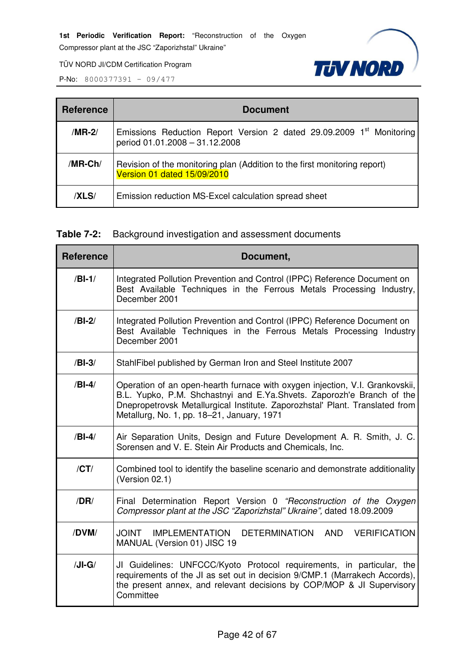Compressor plant at the JSC "Zaporizhstal" Ukraine"



TÜV NORD JI/CDM Certification Program

P-No: 8000377391 – 09/477

| <b>Reference</b>                                                                                                             | <b>Document</b>                                      |  |  |  |  |
|------------------------------------------------------------------------------------------------------------------------------|------------------------------------------------------|--|--|--|--|
| Emissions Reduction Report Version 2 dated 29.09.2009 1 <sup>st</sup> Monitoring<br>/MR-2/<br>period 01.01.2008 - 31.12.2008 |                                                      |  |  |  |  |
| /MR-Ch/<br>Revision of the monitoring plan (Addition to the first monitoring report)<br>Version 01 dated 15/09/2010          |                                                      |  |  |  |  |
| /XLS/                                                                                                                        | Emission reduction MS-Excel calculation spread sheet |  |  |  |  |

# **Table 7-2:** Background investigation and assessment documents

| <b>Reference</b> | Document,                                                                                                                                                                                                                                                                           |  |  |  |  |  |
|------------------|-------------------------------------------------------------------------------------------------------------------------------------------------------------------------------------------------------------------------------------------------------------------------------------|--|--|--|--|--|
| $/BI-1/$         | Integrated Pollution Prevention and Control (IPPC) Reference Document on<br>Best Available Techniques in the Ferrous Metals Processing Industry,<br>December 2001                                                                                                                   |  |  |  |  |  |
| $/BI-2/$         | Integrated Pollution Prevention and Control (IPPC) Reference Document on<br>Best Available Techniques in the Ferrous Metals Processing Industry<br>December 2001                                                                                                                    |  |  |  |  |  |
| $/BI-3/$         | StahlFibel published by German Iron and Steel Institute 2007                                                                                                                                                                                                                        |  |  |  |  |  |
| $/BI-4/$         | Operation of an open-hearth furnace with oxygen injection, V.I. Grankovskii,<br>B.L. Yupko, P.M. Shchastnyi and E.Ya.Shvets. Zaporozh'e Branch of the<br>Dnepropetrovsk Metallurgical Institute. Zaporozhstal' Plant. Translated from<br>Metallurg, No. 1, pp. 18-21, January, 1971 |  |  |  |  |  |
| $/BI-4/$         | Air Separation Units, Design and Future Development A. R. Smith, J. C.<br>Sorensen and V. E. Stein Air Products and Chemicals, Inc.                                                                                                                                                 |  |  |  |  |  |
| /CT/             | Combined tool to identify the baseline scenario and demonstrate additionality<br>(Version 02.1)                                                                                                                                                                                     |  |  |  |  |  |
| /DR/             | Final Determination Report Version 0 "Reconstruction of the Oxygen<br>Compressor plant at the JSC "Zaporizhstal" Ukraine", dated 18.09.2009                                                                                                                                         |  |  |  |  |  |
| /DVM/            | JOINT IMPLEMENTATION DETERMINATION AND<br><b>VERIFICATION</b><br>MANUAL (Version 01) JISC 19                                                                                                                                                                                        |  |  |  |  |  |
| $/JI-G/$         | JI Guidelines: UNFCCC/Kyoto Protocol requirements, in particular, the<br>requirements of the JI as set out in decision 9/CMP.1 (Marrakech Accords),<br>the present annex, and relevant decisions by COP/MOP & JI Supervisory<br>Committee                                           |  |  |  |  |  |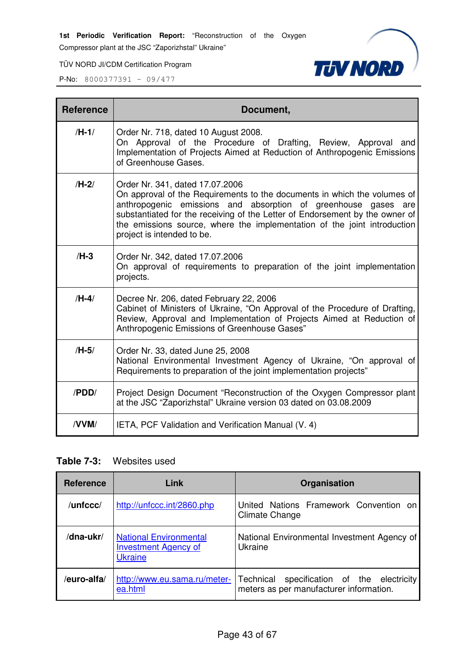Compressor plant at the JSC "Zaporizhstal" Ukraine"

TÜV NORD JI/CDM Certification Program



P-No: 8000377391 – 09/477

| <b>Reference</b> | Document,                                                                                                                                                                                                                                                                                                                                                               |  |  |  |
|------------------|-------------------------------------------------------------------------------------------------------------------------------------------------------------------------------------------------------------------------------------------------------------------------------------------------------------------------------------------------------------------------|--|--|--|
| $/H-1/$          | Order Nr. 718, dated 10 August 2008.<br>On Approval of the Procedure of Drafting, Review, Approval and<br>Implementation of Projects Aimed at Reduction of Anthropogenic Emissions<br>of Greenhouse Gases.                                                                                                                                                              |  |  |  |
| $/H-2/$          | Order Nr. 341, dated 17.07.2006<br>On approval of the Requirements to the documents in which the volumes of<br>anthropogenic emissions and absorption of greenhouse gases are<br>substantiated for the receiving of the Letter of Endorsement by the owner of<br>the emissions source, where the implementation of the joint introduction<br>project is intended to be. |  |  |  |
| $/H-3$           | Order Nr. 342, dated 17.07.2006<br>On approval of requirements to preparation of the joint implementation<br>projects.                                                                                                                                                                                                                                                  |  |  |  |
| $/H-4/$          | Decree Nr. 206, dated February 22, 2006<br>Cabinet of Ministers of Ukraine, "On Approval of the Procedure of Drafting,<br>Review, Approval and Implementation of Projects Aimed at Reduction of<br>Anthropogenic Emissions of Greenhouse Gases"                                                                                                                         |  |  |  |
| $/H-5/$          | Order Nr. 33, dated June 25, 2008<br>National Environmental Investment Agency of Ukraine, "On approval of<br>Requirements to preparation of the joint implementation projects"                                                                                                                                                                                          |  |  |  |
| /PDD/            | Project Design Document "Reconstruction of the Oxygen Compressor plant<br>at the JSC "Zaporizhstal" Ukraine version 03 dated on 03.08.2009                                                                                                                                                                                                                              |  |  |  |
| /VVM/            | IETA, PCF Validation and Verification Manual (V. 4)                                                                                                                                                                                                                                                                                                                     |  |  |  |

## **Table 7-3:** Websites used

| <b>Reference</b> | Link                                                                           | Organisation                                                                             |
|------------------|--------------------------------------------------------------------------------|------------------------------------------------------------------------------------------|
| /unfccc/         | http://unfccc.int/2860.php                                                     | United Nations Framework Convention on<br>Climate Change                                 |
| /dna-ukr/        | <b>National Environmental</b><br><b>Investment Agency of</b><br><b>Ukraine</b> | National Environmental Investment Agency of<br>Ukraine                                   |
| /euro-alfa/      | http://www.eu.sama.ru/meter-<br>ea.html                                        | specification of the electricity<br>Technical<br>meters as per manufacturer information. |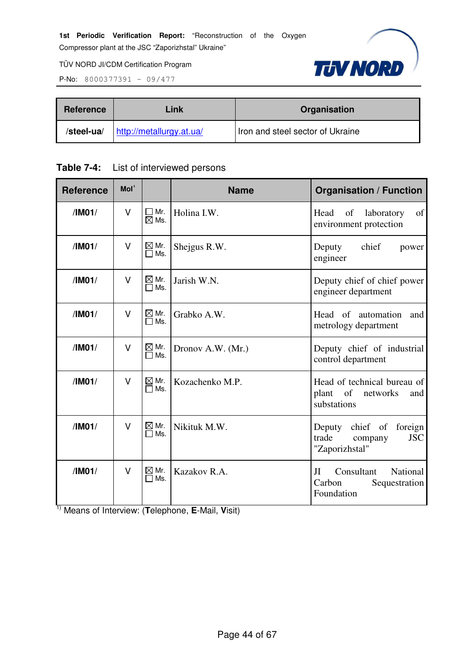

P-No: 8000377391 – 09/477

| Link<br>Reference |                          | Organisation                     |  |
|-------------------|--------------------------|----------------------------------|--|
| /steel-ua/        | http://metallurgy.at.ua/ | Iron and steel sector of Ukraine |  |

|  | <b>Table 7-4:</b> List of interviewed persons |
|--|-----------------------------------------------|
|--|-----------------------------------------------|

| <b>Reference</b> | Mol <sup>1</sup> |                                             | <b>Name</b>       | <b>Organisation / Function</b>                                                 |  |
|------------------|------------------|---------------------------------------------|-------------------|--------------------------------------------------------------------------------|--|
| /IM01/           | $\vee$           | $\square$ Mr.<br>$\overline{\boxtimes}$ Ms. | Holina I.W.       | of<br>Head<br>of<br>laboratory<br>environment protection                       |  |
| /IM01/           | $\vee$           | $\boxtimes$ Mr.<br>Ms.<br>П                 | Shejgus R.W.      | chief<br>Deputy<br>power<br>engineer                                           |  |
| /IM01/           | $\vee$           | $\boxtimes$ Mr.<br>$\Box$ Ms.               | Jarish W.N.       | Deputy chief of chief power<br>engineer department                             |  |
| /IM01/           | $\vee$           | $\boxtimes$ Mr.<br>Ms.                      | Grabko A.W.       | Head of automation<br>and<br>metrology department                              |  |
| /IM01/           | $\vee$           | $\boxtimes$ Mr.<br>$\Box$ Ms.               | Dronov A.W. (Mr.) | Deputy chief of industrial<br>control department                               |  |
| /IM01/           | $\vee$           | $\boxtimes$ Mr.<br>Ms.                      | Kozachenko M.P.   | Head of technical bureau of<br>plant<br>of<br>networks<br>and<br>substations   |  |
| /IM01/           | $\vee$           | $\boxtimes$ Mr.<br>Ms.                      | Nikituk M.W.      | Deputy chief of<br>foreign<br>trade<br><b>JSC</b><br>company<br>"Zaporizhstal" |  |
| /IM01/           | $\vee$           | $\boxtimes$ Mr.<br>Ms.                      | Kazakov R.A.      | Consultant<br>National<br>JI<br>Carbon<br>Sequestration<br>Foundation          |  |

1) Means of Interview: (**T**elephone, **E**-Mail, **V**isit)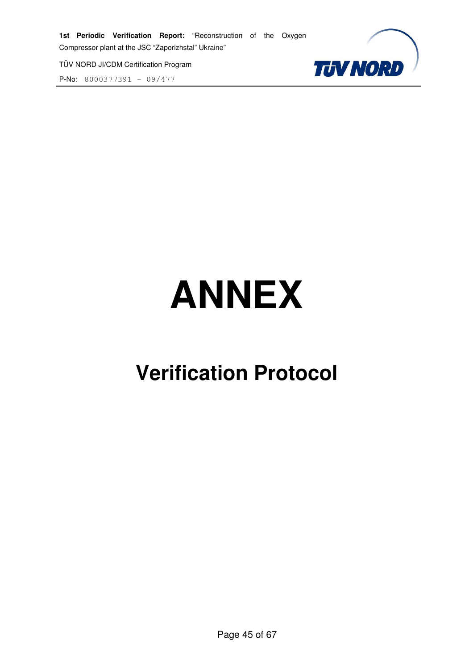P-No: 8000377391 – 09/477



# **ANNEX**

# **Verification Protocol**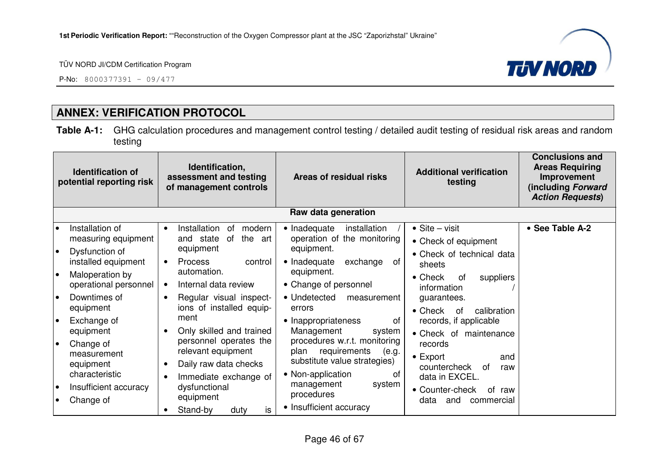

P-No: 8000377391 – 09/477

# **ANNEX: VERIFICATION PROTOCOL**

**Table A-1:** GHG calculation procedures and management control testing / detailed audit testing of residual risk areas and random testing

|                                                 | <b>Identification of</b><br>potential reporting risk                                                                                                                                                                                                                     | Identification,<br>assessment and testing<br>of management controls                                                                                                                                                                                                                                                                                                                          | Areas of residual risks                                                                                                                                                                                                                                                                                                                                                                                            | <b>Additional verification</b><br>testing                                                                                                                                                                                                                                                                                                                          | <b>Conclusions and</b><br><b>Areas Requiring</b><br>Improvement<br>(including Forward<br><b>Action Requests)</b> |
|-------------------------------------------------|--------------------------------------------------------------------------------------------------------------------------------------------------------------------------------------------------------------------------------------------------------------------------|----------------------------------------------------------------------------------------------------------------------------------------------------------------------------------------------------------------------------------------------------------------------------------------------------------------------------------------------------------------------------------------------|--------------------------------------------------------------------------------------------------------------------------------------------------------------------------------------------------------------------------------------------------------------------------------------------------------------------------------------------------------------------------------------------------------------------|--------------------------------------------------------------------------------------------------------------------------------------------------------------------------------------------------------------------------------------------------------------------------------------------------------------------------------------------------------------------|------------------------------------------------------------------------------------------------------------------|
|                                                 |                                                                                                                                                                                                                                                                          |                                                                                                                                                                                                                                                                                                                                                                                              | Raw data generation                                                                                                                                                                                                                                                                                                                                                                                                |                                                                                                                                                                                                                                                                                                                                                                    |                                                                                                                  |
| I۰<br>I۰<br>۰<br>l e<br>l o<br>l e<br>$\bullet$ | Installation of<br>measuring equipment<br>Dysfunction of<br>installed equipment<br>Maloperation by<br>operational personnel<br>Downtimes of<br>equipment<br>Exchange of<br>equipment<br>Change of<br>measurement<br>equipment<br>characteristic<br>Insufficient accuracy | Installation<br>modern<br>0f<br>the<br>and state<br>0f<br>art<br>equipment<br>Process<br>control<br>$\bullet$<br>automation.<br>Internal data review<br>$\bullet$<br>Regular visual inspect-<br>ions of installed equip-<br>ment<br>Only skilled and trained<br>personnel operates the<br>relevant equipment<br>Daily raw data checks<br>Immediate exchange of<br>dysfunctional<br>equipment | • Inadequate<br>installation<br>operation of the monitoring<br>equipment.<br>• Inadequate<br>exchange<br>0f<br>equipment.<br>• Change of personnel<br>• Undetected<br>measurement<br>errors<br>• Inappropriateness<br>0f<br>Management<br>system<br>procedures w.r.t. monitoring<br>requirements<br>(e.g.<br>plan<br>substitute value strategies)<br>• Non-application<br>of<br>management<br>system<br>procedures | $\bullet$ Site – visit<br>• Check of equipment<br>• Check of technical data<br>sheets<br>• Check<br>suppliers<br>0f<br>information<br>guarantees.<br>$\bullet$ Check<br>calibration<br>0f<br>records, if applicable<br>• Check of maintenance<br>records<br>$\bullet$ Export<br>and<br>countercheck<br>0f<br>raw<br>data in EXCEL.<br>• Counter-check<br>οf<br>raw | • See Table A-2                                                                                                  |
|                                                 | Change of                                                                                                                                                                                                                                                                | is<br>Stand-by<br>duty                                                                                                                                                                                                                                                                                                                                                                       | • Insufficient accuracy                                                                                                                                                                                                                                                                                                                                                                                            | data<br>and<br>commercial                                                                                                                                                                                                                                                                                                                                          |                                                                                                                  |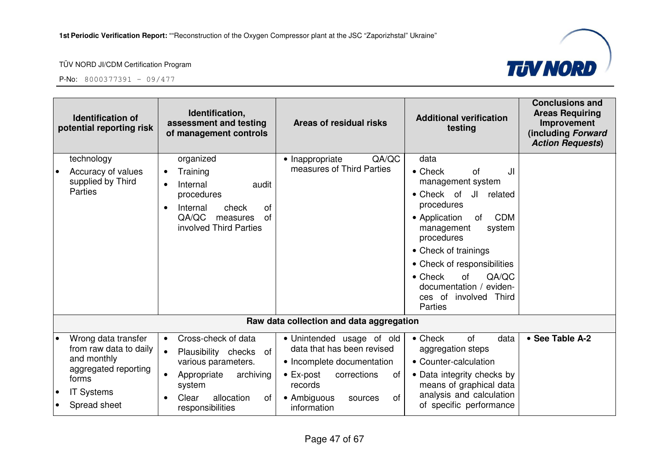

|                        | <b>Identification of</b><br>potential reporting risk                                                                               | Identification,<br>assessment and testing<br>of management controls                                                                                                                      | Areas of residual risks                                                                                                                                                                   | <b>Additional verification</b><br>testing                                                                                                                                                                                                                                                                                                              | <b>Conclusions and</b><br><b>Areas Requiring</b><br>Improvement<br>(including Forward<br><b>Action Requests)</b> |
|------------------------|------------------------------------------------------------------------------------------------------------------------------------|------------------------------------------------------------------------------------------------------------------------------------------------------------------------------------------|-------------------------------------------------------------------------------------------------------------------------------------------------------------------------------------------|--------------------------------------------------------------------------------------------------------------------------------------------------------------------------------------------------------------------------------------------------------------------------------------------------------------------------------------------------------|------------------------------------------------------------------------------------------------------------------|
| $\bullet$              | technology<br>Accuracy of values<br>supplied by Third<br>Parties                                                                   | organized<br>Training<br>$\bullet$<br>Internal<br>audit<br>$\bullet$<br>procedures<br>Internal<br>of<br>check<br>$\bullet$<br>QA/QC<br>of<br>measures<br>involved Third Parties          | QA/QC<br>• Inappropriate<br>measures of Third Parties                                                                                                                                     | data<br>JI<br>$\bullet$ Check<br><b>of</b><br>management system<br>JI related<br>• Check of<br>procedures<br><b>CDM</b><br>• Application<br>of<br>management<br>system<br>procedures<br>• Check of trainings<br>• Check of responsibilities<br>QA/QC<br>$\bullet$ Check<br><b>of</b><br>documentation /<br>eviden-<br>ces of involved Third<br>Parties |                                                                                                                  |
|                        |                                                                                                                                    |                                                                                                                                                                                          | Raw data collection and data aggregation                                                                                                                                                  |                                                                                                                                                                                                                                                                                                                                                        |                                                                                                                  |
| $\bullet$<br>$\bullet$ | Wrong data transfer<br>from raw data to daily<br>and monthly<br>aggregated reporting<br>forms<br><b>IT Systems</b><br>Spread sheet | Cross-check of data<br>$\bullet$<br>$\bullet$<br>Plausibility checks<br>of<br>various parameters.<br>Appropriate<br>archiving<br>system<br>Clear<br>allocation<br>of<br>responsibilities | · Unintended usage of old<br>data that has been revised<br>• Incomplete documentation<br>$\bullet$ Ex-post<br>corrections<br>of<br>records<br>of<br>• Ambiguous<br>sources<br>information | $\bullet$ Check<br>of<br>data<br>aggregation steps<br>• Counter-calculation<br>• Data integrity checks by<br>means of graphical data<br>analysis and calculation<br>of specific performance                                                                                                                                                            | • See Table A-2                                                                                                  |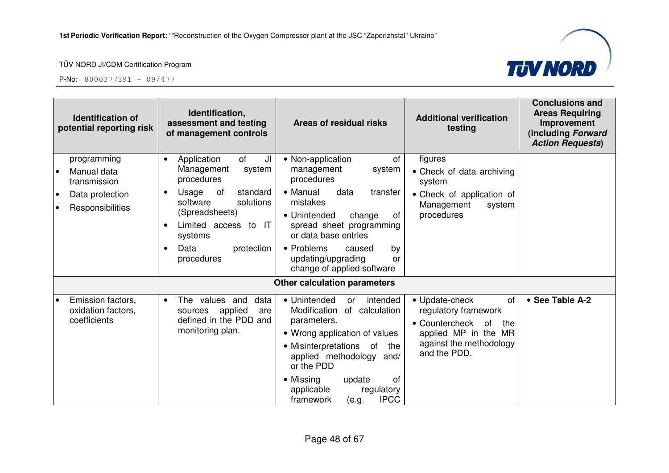



| <b>Identification of</b><br>potential reporting risk                                           | Identification,<br>assessment and testing<br>of management controls                                                                                                                                                                  | Areas of residual risks                                                                                                                                                                                                                                                                                 | <b>Additional verification</b><br>testing                                                                                                      | <b>Conclusions and</b><br><b>Areas Requiring</b><br>Improvement<br>(including Forward<br><b>Action Requests)</b> |
|------------------------------------------------------------------------------------------------|--------------------------------------------------------------------------------------------------------------------------------------------------------------------------------------------------------------------------------------|---------------------------------------------------------------------------------------------------------------------------------------------------------------------------------------------------------------------------------------------------------------------------------------------------------|------------------------------------------------------------------------------------------------------------------------------------------------|------------------------------------------------------------------------------------------------------------------|
| programming<br>Manual data<br>transmission<br>Data protection<br>$\bullet$<br>Responsibilities | of<br>JI<br>Application<br>$\bullet$<br>Management<br>system<br>procedures<br>Usage<br>standard<br>of<br>solutions<br>software<br>(Spreadsheets)<br>Limited access to IT<br>systems<br>Data<br>protection<br>$\bullet$<br>procedures | • Non-application<br>of<br>system<br>management<br>procedures<br>• Manual<br>data<br>transfer<br>mistakes<br>• Unintended<br>change<br>of<br>spread sheet programming<br>or data base entries<br>• Problems<br>caused<br>by<br>updating/upgrading<br>or<br>change of applied software                   | figures<br>• Check of data archiving<br>system<br>• Check of application of<br>Management<br>system<br>procedures                              |                                                                                                                  |
|                                                                                                |                                                                                                                                                                                                                                      | <b>Other calculation parameters</b>                                                                                                                                                                                                                                                                     |                                                                                                                                                |                                                                                                                  |
| Emission factors,<br>oxidation factors,<br>coefficients                                        | The values and<br>data<br>$\bullet$<br>applied<br>sources<br>are<br>defined in the PDD and<br>monitoring plan.                                                                                                                       | • Unintended<br>intended<br><b>or</b><br>Modification<br>of calculation<br>parameters.<br>• Wrong application of values<br>• Misinterpretations<br>of<br>the<br>applied methodology<br>and/<br>or the PDD<br>• Missing<br>0f<br>update<br>applicable<br>regulatory<br><b>IPCC</b><br>framework<br>(e.g. | • Update-check<br>of<br>regulatory framework<br>• Countercheck<br>0f<br>the<br>applied MP in the MR<br>against the methodology<br>and the PDD. | • See Table A-2                                                                                                  |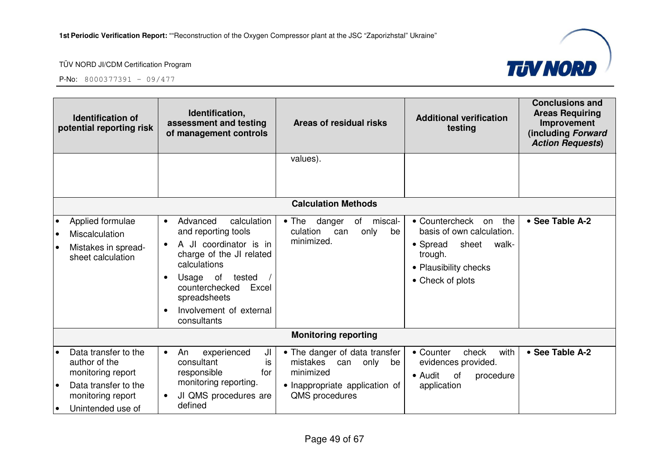

|                        | <b>Identification of</b><br>potential reporting risk                                                                         | Identification,<br>assessment and testing<br>of management controls                                                                                                                                                                       | Areas of residual risks                                                                                                         | <b>Additional verification</b><br>testing                                                                                                      | <b>Conclusions and</b><br><b>Areas Requiring</b><br>Improvement<br>(including Forward<br><b>Action Requests)</b> |
|------------------------|------------------------------------------------------------------------------------------------------------------------------|-------------------------------------------------------------------------------------------------------------------------------------------------------------------------------------------------------------------------------------------|---------------------------------------------------------------------------------------------------------------------------------|------------------------------------------------------------------------------------------------------------------------------------------------|------------------------------------------------------------------------------------------------------------------|
|                        |                                                                                                                              |                                                                                                                                                                                                                                           | values).                                                                                                                        |                                                                                                                                                |                                                                                                                  |
|                        |                                                                                                                              |                                                                                                                                                                                                                                           |                                                                                                                                 |                                                                                                                                                |                                                                                                                  |
|                        |                                                                                                                              |                                                                                                                                                                                                                                           | <b>Calculation Methods</b>                                                                                                      |                                                                                                                                                |                                                                                                                  |
| $\bullet$<br>$\bullet$ | Applied formulae<br>Miscalculation<br>Mistakes in spread-<br>sheet calculation                                               | Advanced<br>calculation<br>$\bullet$<br>and reporting tools<br>A JI coordinator is in<br>charge of the JI related<br>calculations<br>Usage of tested<br>counterchecked<br>Excel<br>spreadsheets<br>Involvement of external<br>consultants | • The danger<br>miscal-<br>of<br>culation<br>only<br>can<br>be<br>minimized.                                                    | the<br>• Countercheck<br>on<br>basis of own calculation.<br>sheet<br>• Spread<br>walk-<br>trough.<br>• Plausibility checks<br>• Check of plots | • See Table A-2                                                                                                  |
|                        | <b>Monitoring reporting</b>                                                                                                  |                                                                                                                                                                                                                                           |                                                                                                                                 |                                                                                                                                                |                                                                                                                  |
| $\bullet$              | Data transfer to the<br>author of the<br>monitoring report<br>Data transfer to the<br>monitoring report<br>Unintended use of | experienced<br>An<br>JI<br>$\bullet$<br>is<br>consultant<br>responsible<br>for<br>monitoring reporting.<br>JI QMS procedures are<br>defined                                                                                               | • The danger of data transfer<br>mistakes<br>only<br>can<br>be<br>minimized<br>• Inappropriate application of<br>QMS procedures | • Counter<br>check<br>with<br>evidences provided.<br>• Audit<br>0f<br>procedure<br>application                                                 | • See Table A-2                                                                                                  |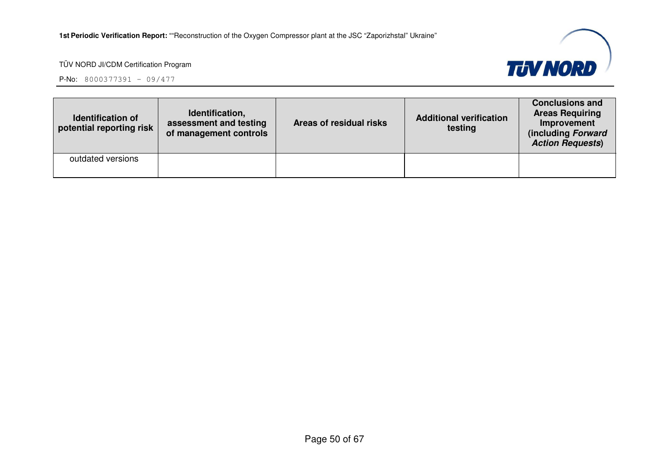

| <b>Identification of</b><br>potential reporting risk | Identification,<br>assessment and testing<br>of management controls | Areas of residual risks | <b>Additional verification</b><br>testing | <b>Conclusions and</b><br><b>Areas Requiring</b><br>Improvement<br>(including Forward<br><b>Action Requests)</b> |
|------------------------------------------------------|---------------------------------------------------------------------|-------------------------|-------------------------------------------|------------------------------------------------------------------------------------------------------------------|
| outdated versions                                    |                                                                     |                         |                                           |                                                                                                                  |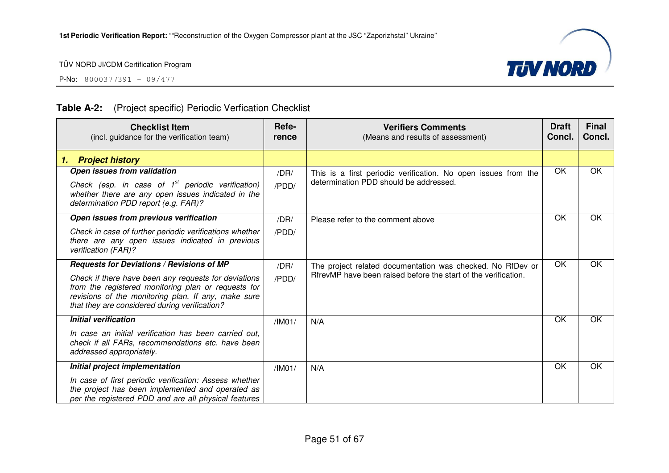P-No: 8000377391 – 09/477



## **Table A-2:** (Project specific) Periodic Verfication Checklist

| <b>Checklist Item</b><br>(incl. guidance for the verification team)                                                                                                                                                 | Refe-<br>rence | <b>Verifiers Comments</b><br>(Means and results of assessment)                                                                | <b>Draft</b><br>Concl. | <b>Final</b><br>Concl. |
|---------------------------------------------------------------------------------------------------------------------------------------------------------------------------------------------------------------------|----------------|-------------------------------------------------------------------------------------------------------------------------------|------------------------|------------------------|
| <b>Project history</b><br>1.                                                                                                                                                                                        |                |                                                                                                                               |                        |                        |
| Open issues from validation<br>Check (esp. in case of $1^{st}$ periodic verification)<br>whether there are any open issues indicated in the<br>determination PDD report (e.g. FAR)?                                 | /DR/<br>/PDD/  | This is a first periodic verification. No open issues from the<br>determination PDD should be addressed.                      | OK                     | OK                     |
| Open issues from previous verification                                                                                                                                                                              | /DR/           | Please refer to the comment above                                                                                             | OK                     | OK                     |
| Check in case of further periodic verifications whether<br>there are any open issues indicated in previous<br>verification (FAR)?                                                                                   | /PDD/          |                                                                                                                               |                        |                        |
| Requests for Deviations / Revisions of MP                                                                                                                                                                           | /DR/           | The project related documentation was checked. No RfDev or<br>RifrevMP have been raised before the start of the verification. | OK                     | OK                     |
| Check if there have been any requests for deviations<br>from the registered monitoring plan or requests for<br>revisions of the monitoring plan. If any, make sure<br>that they are considered during verification? | /PDD/          |                                                                                                                               |                        |                        |
| <b>Initial verification</b>                                                                                                                                                                                         | /IM01/         | N/A                                                                                                                           | OK                     | OK                     |
| In case an initial verification has been carried out.<br>check if all FARs, recommendations etc. have been<br>addressed appropriately.                                                                              |                |                                                                                                                               |                        |                        |
| Initial project implementation                                                                                                                                                                                      | /IM01/         | N/A                                                                                                                           | OK                     | OK                     |
| In case of first periodic verification: Assess whether<br>the project has been implemented and operated as<br>per the registered PDD and are all physical features                                                  |                |                                                                                                                               |                        |                        |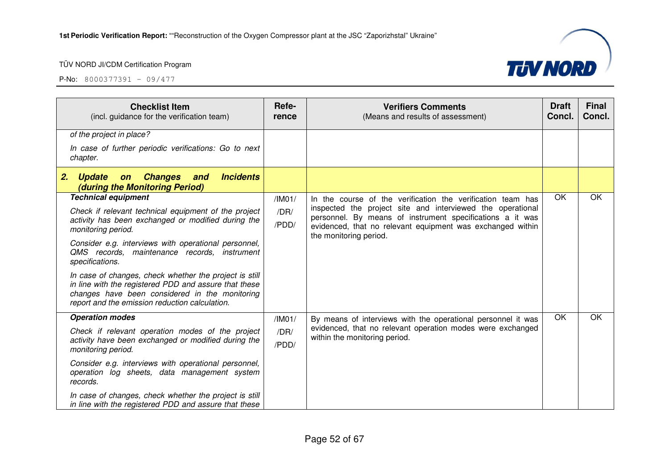| <b>Checklist Item</b><br>(incl. guidance for the verification team)                                                                                                                                                 | Refe-<br>rence | <b>Verifiers Comments</b><br>(Means and results of assessment)                                                          | <b>Draft</b><br>Concl. | <b>Final</b><br>Concl. |
|---------------------------------------------------------------------------------------------------------------------------------------------------------------------------------------------------------------------|----------------|-------------------------------------------------------------------------------------------------------------------------|------------------------|------------------------|
| of the project in place?                                                                                                                                                                                            |                |                                                                                                                         |                        |                        |
| In case of further periodic verifications: Go to next<br>chapter.                                                                                                                                                   |                |                                                                                                                         |                        |                        |
| <b>Incidents</b><br><b>Update</b><br><b>Changes</b><br>2.<br>and<br>on<br>(during the Monitoring Period)                                                                                                            |                |                                                                                                                         |                        |                        |
| <b>Technical equipment</b>                                                                                                                                                                                          | /IM01/         | In the course of the verification the verification team has                                                             | OK                     | OK                     |
| Check if relevant technical equipment of the project                                                                                                                                                                | /DR/           | inspected the project site and interviewed the operational<br>personnel. By means of instrument specifications a it was |                        |                        |
| activity has been exchanged or modified during the<br>monitoring period.                                                                                                                                            | /PDD/          | evidenced, that no relevant equipment was exchanged within<br>the monitoring period.                                    |                        |                        |
| Consider e.g. interviews with operational personnel,<br>QMS records, maintenance records, instrument<br>specifications.                                                                                             |                |                                                                                                                         |                        |                        |
| In case of changes, check whether the project is still<br>in line with the registered PDD and assure that these<br>changes have been considered in the monitoring<br>report and the emission reduction calculation. |                |                                                                                                                         |                        |                        |
| <b>Operation modes</b>                                                                                                                                                                                              | /IM01/         | By means of interviews with the operational personnel it was                                                            | OK                     | OK                     |
| Check if relevant operation modes of the project                                                                                                                                                                    | /DR/           | evidenced, that no relevant operation modes were exchanged                                                              |                        |                        |
| activity have been exchanged or modified during the<br>monitoring period.                                                                                                                                           | /PDD/          | within the monitoring period.                                                                                           |                        |                        |
| Consider e.g. interviews with operational personnel,<br>operation log sheets, data management system<br>records.                                                                                                    |                |                                                                                                                         |                        |                        |
| In case of changes, check whether the project is still<br>in line with the registered PDD and assure that these                                                                                                     |                |                                                                                                                         |                        |                        |

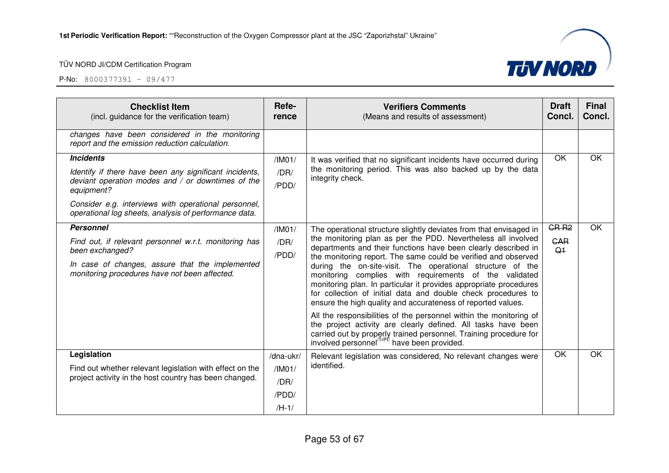

| <b>Checklist Item</b><br>(incl. guidance for the verification team)                                                                                                                                                                                            | Refe-<br>rence                                  | <b>Verifiers Comments</b><br>(Means and results of assessment)                                                                                                                                                                                                                                                                                                                                                                                                                                                                                                                                                                                                                                                                                                                                                                                                                | <b>Draft</b><br>Concl.                           | <b>Final</b><br>Concl. |
|----------------------------------------------------------------------------------------------------------------------------------------------------------------------------------------------------------------------------------------------------------------|-------------------------------------------------|-------------------------------------------------------------------------------------------------------------------------------------------------------------------------------------------------------------------------------------------------------------------------------------------------------------------------------------------------------------------------------------------------------------------------------------------------------------------------------------------------------------------------------------------------------------------------------------------------------------------------------------------------------------------------------------------------------------------------------------------------------------------------------------------------------------------------------------------------------------------------------|--------------------------------------------------|------------------------|
| changes have been considered in the monitoring<br>report and the emission reduction calculation.                                                                                                                                                               |                                                 |                                                                                                                                                                                                                                                                                                                                                                                                                                                                                                                                                                                                                                                                                                                                                                                                                                                                               |                                                  |                        |
| <b>Incidents</b><br>Identify if there have been any significant incidents,<br>deviant operation modes and / or downtimes of the<br>equipment?<br>Consider e.g. interviews with operational personnel,<br>operational log sheets, analysis of performance data. | /IM01/<br>/DR/<br>/PDD/                         | It was verified that no significant incidents have occurred during<br>the monitoring period. This was also backed up by the data<br>integrity check.                                                                                                                                                                                                                                                                                                                                                                                                                                                                                                                                                                                                                                                                                                                          | OK                                               | OK                     |
| <b>Personnel</b><br>Find out, if relevant personnel w.r.t. monitoring has<br>been exchanged?<br>In case of changes, assure that the implemented<br>monitoring procedures have not been affected.                                                               | /IMO1/<br>/DR/<br>/PDD/                         | The operational structure slightly deviates from that envisaged in<br>the monitoring plan as per the PDD. Nevertheless all involved<br>departments and their functions have been clearly described in<br>the monitoring report. The same could be verified and observed<br>during the on-site-visit. The operational structure of the<br>monitoring complies with requirements of the validated<br>monitoring plan. In particular it provides appropriate procedures<br>for collection of initial data and double check procedures to<br>ensure the high quality and accurateness of reported values.<br>All the responsibilities of the personnel within the monitoring of<br>the project activity are clearly defined. All tasks have been<br>carried out by properly trained personnel. Training procedure for<br>involved personnel <sup>/TrPf/</sup> have been provided. | GR <sub>R2</sub><br><b>CAR</b><br>Q <sub>1</sub> | OK                     |
| Legislation<br>Find out whether relevant legislation with effect on the<br>project activity in the host country has been changed.                                                                                                                              | /dna-ukr/<br>/IM01/<br>/DR/<br>/PDD/<br>$/H-1/$ | Relevant legislation was considered, No relevant changes were<br>identified.                                                                                                                                                                                                                                                                                                                                                                                                                                                                                                                                                                                                                                                                                                                                                                                                  | OK                                               | OK                     |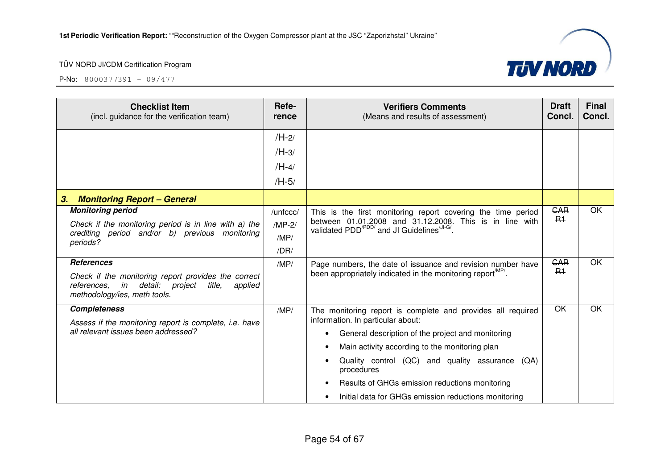

| <b>Checklist Item</b><br>(incl. guidance for the verification team)                                                                      | Refe-<br>rence | <b>Verifiers Comments</b><br>(Means and results of assessment)                                                                       | <b>Draft</b><br>Concl. | <b>Final</b><br>Concl. |
|------------------------------------------------------------------------------------------------------------------------------------------|----------------|--------------------------------------------------------------------------------------------------------------------------------------|------------------------|------------------------|
|                                                                                                                                          | $/H-2/$        |                                                                                                                                      |                        |                        |
|                                                                                                                                          | $/H-3/$        |                                                                                                                                      |                        |                        |
|                                                                                                                                          | $/H-4/$        |                                                                                                                                      |                        |                        |
|                                                                                                                                          | $/H-5/$        |                                                                                                                                      |                        |                        |
| 3.<br><b>Monitoring Report - General</b>                                                                                                 |                |                                                                                                                                      |                        |                        |
| <b>Monitoring period</b>                                                                                                                 | /unfccc/       | This is the first monitoring report covering the time period                                                                         | <b>CAR</b>             | OK                     |
| Check if the monitoring period is in line with a) the<br>crediting period and/or b) previous monitoring<br>periods?                      | $/MP-2/$       | between 01.01.2008 and 31.12.2008. This is in line with<br>validated PDD <sup>/PDD/</sup> and JI Guidelines <sup>/JI-G/</sup> .      | R <sub>1</sub>         |                        |
|                                                                                                                                          | /MP/           |                                                                                                                                      |                        |                        |
|                                                                                                                                          | /DR/           |                                                                                                                                      |                        |                        |
| <b>References</b><br>Check if the monitoring report provides the correct<br>detail:<br>in<br>references.<br>project<br>title.<br>applied | /MP/           | Page numbers, the date of issuance and revision number have<br>been appropriately indicated in the monitoring report <sup>MP</sup> . | <b>GAR</b><br>$R+$     | OK                     |
| methodology/ies, meth tools.                                                                                                             |                |                                                                                                                                      |                        |                        |
| <b>Completeness</b>                                                                                                                      | /MP/           | The monitoring report is complete and provides all required<br>information. In particular about:                                     | OK                     | OK                     |
| Assess if the monitoring report is complete, i.e. have<br>all relevant issues been addressed?                                            |                |                                                                                                                                      |                        |                        |
|                                                                                                                                          |                | General description of the project and monitoring                                                                                    |                        |                        |
|                                                                                                                                          |                | Main activity according to the monitoring plan                                                                                       |                        |                        |
|                                                                                                                                          |                | Quality control (QC) and quality assurance<br>(QA)<br>procedures                                                                     |                        |                        |
|                                                                                                                                          |                | Results of GHGs emission reductions monitoring                                                                                       |                        |                        |
|                                                                                                                                          |                | Initial data for GHGs emission reductions monitoring                                                                                 |                        |                        |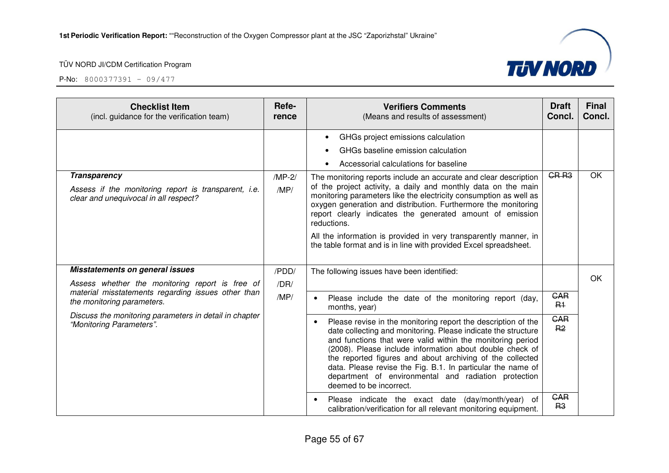

| <b>Checklist Item</b><br>(incl. guidance for the verification team)                                                  | Refe-<br>rence   | <b>Verifiers Comments</b><br>(Means and results of assessment)                                                                                                                                                                                                                                                                                                                                                                                                          | <b>Draft</b><br>Concl.       | <b>Final</b><br>Concl. |
|----------------------------------------------------------------------------------------------------------------------|------------------|-------------------------------------------------------------------------------------------------------------------------------------------------------------------------------------------------------------------------------------------------------------------------------------------------------------------------------------------------------------------------------------------------------------------------------------------------------------------------|------------------------------|------------------------|
|                                                                                                                      |                  | GHGs project emissions calculation                                                                                                                                                                                                                                                                                                                                                                                                                                      |                              |                        |
|                                                                                                                      |                  | GHGs baseline emission calculation                                                                                                                                                                                                                                                                                                                                                                                                                                      |                              |                        |
|                                                                                                                      |                  | Accessorial calculations for baseline                                                                                                                                                                                                                                                                                                                                                                                                                                   |                              |                        |
| <b>Transparency</b><br>Assess if the monitoring report is transparent, i.e.<br>clear and unequivocal in all respect? | $/MP-2/$<br>/MP/ | The monitoring reports include an accurate and clear description<br>of the project activity, a daily and monthly data on the main<br>monitoring parameters like the electricity consumption as well as<br>oxygen generation and distribution. Furthermore the monitoring<br>report clearly indicates the generated amount of emission<br>reductions.                                                                                                                    | CR <sub>R3</sub>             | <b>OK</b>              |
| <b>Misstatements on general issues</b>                                                                               |                  | All the information is provided in very transparently manner, in<br>the table format and is in line with provided Excel spreadsheet.                                                                                                                                                                                                                                                                                                                                    |                              |                        |
| Assess whether the monitoring report is free of                                                                      | /PDD/<br>/DR/    | The following issues have been identified:                                                                                                                                                                                                                                                                                                                                                                                                                              |                              | OK                     |
| material misstatements regarding issues other than<br>the monitoring parameters.                                     | /MP/             | Please include the date of the monitoring report (day,<br>months, year)                                                                                                                                                                                                                                                                                                                                                                                                 | <b>GAR</b><br>$R+$           |                        |
| Discuss the monitoring parameters in detail in chapter<br>"Monitoring Parameters".                                   |                  | Please revise in the monitoring report the description of the<br>date collecting and monitoring. Please indicate the structure<br>and functions that were valid within the monitoring period<br>(2008). Please include information about double check of<br>the reported figures and about archiving of the collected<br>data. Please revise the Fig. B.1. In particular the name of<br>department of environmental and radiation protection<br>deemed to be incorrect. | <b>GAR</b><br>R <sub>2</sub> |                        |
|                                                                                                                      |                  | Please indicate the exact date (day/month/year) of<br>calibration/verification for all relevant monitoring equipment.                                                                                                                                                                                                                                                                                                                                                   | <b>GAR</b><br>R <sub>3</sub> |                        |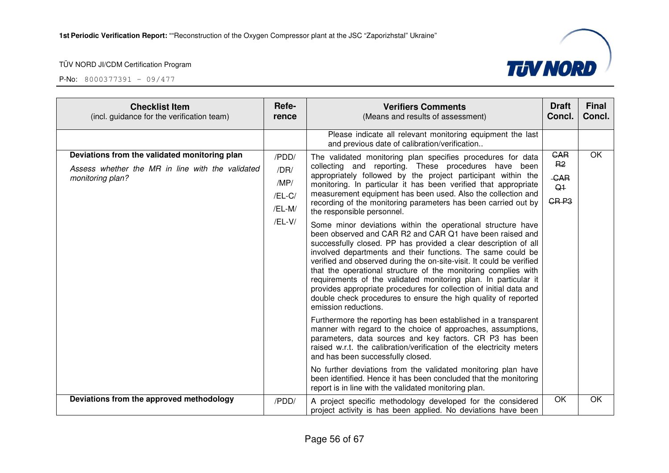

| <b>Checklist Item</b><br>(incl. guidance for the verification team)                                                   | Refe-<br>rence                                      | <b>Verifiers Comments</b><br>(Means and results of assessment)                                                                                                                                                                                                                                                                                                                                                                                                                                                                                                                                                                                                                                                                                                                                                                                                                                                                                                                                                                                                                                                                                                                                                                                                                                                                                                                                                                                                                                                                                                             | <b>Draft</b><br>Concl.                                                           | Final<br>Concl. |
|-----------------------------------------------------------------------------------------------------------------------|-----------------------------------------------------|----------------------------------------------------------------------------------------------------------------------------------------------------------------------------------------------------------------------------------------------------------------------------------------------------------------------------------------------------------------------------------------------------------------------------------------------------------------------------------------------------------------------------------------------------------------------------------------------------------------------------------------------------------------------------------------------------------------------------------------------------------------------------------------------------------------------------------------------------------------------------------------------------------------------------------------------------------------------------------------------------------------------------------------------------------------------------------------------------------------------------------------------------------------------------------------------------------------------------------------------------------------------------------------------------------------------------------------------------------------------------------------------------------------------------------------------------------------------------------------------------------------------------------------------------------------------------|----------------------------------------------------------------------------------|-----------------|
|                                                                                                                       |                                                     | Please indicate all relevant monitoring equipment the last<br>and previous date of calibration/verification                                                                                                                                                                                                                                                                                                                                                                                                                                                                                                                                                                                                                                                                                                                                                                                                                                                                                                                                                                                                                                                                                                                                                                                                                                                                                                                                                                                                                                                                |                                                                                  |                 |
| Deviations from the validated monitoring plan<br>Assess whether the MR in line with the validated<br>monitoring plan? | /PDD/<br>/DR/<br>/MP/<br>/EL-C/<br>/EL-M/<br>/EL-V/ | The validated monitoring plan specifies procedures for data<br>collecting and reporting. These procedures have been<br>appropriately followed by the project participant within the<br>monitoring. In particular it has been verified that appropriate<br>measurement equipment has been used. Also the collection and<br>recording of the monitoring parameters has been carried out by<br>the responsible personnel.<br>Some minor deviations within the operational structure have<br>been observed and CAR R2 and CAR Q1 have been raised and<br>successfully closed. PP has provided a clear description of all<br>involved departments and their functions. The same could be<br>verified and observed during the on-site-visit. It could be verified<br>that the operational structure of the monitoring complies with<br>requirements of the validated monitoring plan. In particular it<br>provides appropriate procedures for collection of initial data and<br>double check procedures to ensure the high quality of reported<br>emission reductions.<br>Furthermore the reporting has been established in a transparent<br>manner with regard to the choice of approaches, assumptions,<br>parameters, data sources and key factors. CR P3 has been<br>raised w.r.t. the calibration/verification of the electricity meters<br>and has been successfully closed.<br>No further deviations from the validated monitoring plan have<br>been identified. Hence it has been concluded that the monitoring<br>report is in line with the validated monitoring plan. | <b>GAR</b><br>R <sub>2</sub><br><b>CAR</b><br>Q <sub>1</sub><br>GR <sub>P3</sub> | OK              |
| Deviations from the approved methodology                                                                              | /PDD/                                               | A project specific methodology developed for the considered<br>project activity is has been applied. No deviations have been                                                                                                                                                                                                                                                                                                                                                                                                                                                                                                                                                                                                                                                                                                                                                                                                                                                                                                                                                                                                                                                                                                                                                                                                                                                                                                                                                                                                                                               | OK                                                                               | OK              |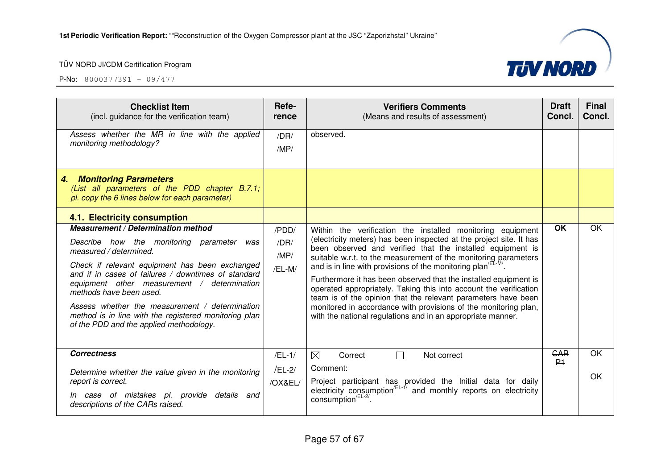

| <b>Checklist Item</b><br>(incl. guidance for the verification team)                                                                                                                                                                                                                                                                                                                                                                                          | Refe-<br>rence                  | <b>Verifiers Comments</b><br>(Means and results of assessment)                                                                                                                                                                                                                                                                                                                                                                                                                                                                                                                                                                                                                              | <b>Draft</b><br>Concl.       | <b>Final</b><br>Concl. |
|--------------------------------------------------------------------------------------------------------------------------------------------------------------------------------------------------------------------------------------------------------------------------------------------------------------------------------------------------------------------------------------------------------------------------------------------------------------|---------------------------------|---------------------------------------------------------------------------------------------------------------------------------------------------------------------------------------------------------------------------------------------------------------------------------------------------------------------------------------------------------------------------------------------------------------------------------------------------------------------------------------------------------------------------------------------------------------------------------------------------------------------------------------------------------------------------------------------|------------------------------|------------------------|
| Assess whether the MR in line with the applied<br>monitoring methodology?                                                                                                                                                                                                                                                                                                                                                                                    | /DR/<br>/MP/                    | observed.                                                                                                                                                                                                                                                                                                                                                                                                                                                                                                                                                                                                                                                                                   |                              |                        |
| <b>Monitoring Parameters</b><br>4.<br>(List all parameters of the PDD chapter B.7.1;<br>pl. copy the 6 lines below for each parameter)                                                                                                                                                                                                                                                                                                                       |                                 |                                                                                                                                                                                                                                                                                                                                                                                                                                                                                                                                                                                                                                                                                             |                              |                        |
| 4.1. Electricity consumption                                                                                                                                                                                                                                                                                                                                                                                                                                 |                                 |                                                                                                                                                                                                                                                                                                                                                                                                                                                                                                                                                                                                                                                                                             |                              |                        |
| <b>Measurement / Determination method</b><br>Describe how the monitoring parameter<br>was<br>measured / determined.<br>Check if relevant equipment has been exchanged<br>and if in cases of failures / downtimes of standard<br>equipment other measurement / determination<br>methods have been used.<br>Assess whether the measurement / determination<br>method is in line with the registered monitoring plan<br>of the PDD and the applied methodology. | /PDD/<br>/DR/<br>/MP/<br>/EL-M/ | Within the verification the installed monitoring equipment<br>(electricity meters) has been inspected at the project site. It has<br>been observed and verified that the installed equipment is<br>suitable w.r.t. to the measurement of the monitoring parameters<br>and is in line with provisions of the monitoring plan <sup>/EL-M/</sup> .<br>Furthermore it has been observed that the installed equipment is<br>operated appropriately. Taking this into account the verification<br>team is of the opinion that the relevant parameters have been<br>monitored in accordance with provisions of the monitoring plan,<br>with the national regulations and in an appropriate manner. | <b>OK</b>                    | OK                     |
| <b>Correctness</b><br>Determine whether the value given in the monitoring<br>report is correct.<br>In case of mistakes pl. provide details and<br>descriptions of the CARs raised.                                                                                                                                                                                                                                                                           | $/EL-1/$<br>$/EL-2/$<br>/OX&EL/ | $\boxtimes$<br>$\Box$<br>Correct<br>Not correct<br>Comment:<br>Project participant has provided the Initial data for daily electricity consumption <sup>/EL-1/</sup> and monthly reports on electricity<br>consumption <sup>/EL-2/</sup>                                                                                                                                                                                                                                                                                                                                                                                                                                                    | <b>GAR</b><br>P <sub>1</sub> | OK<br>OK               |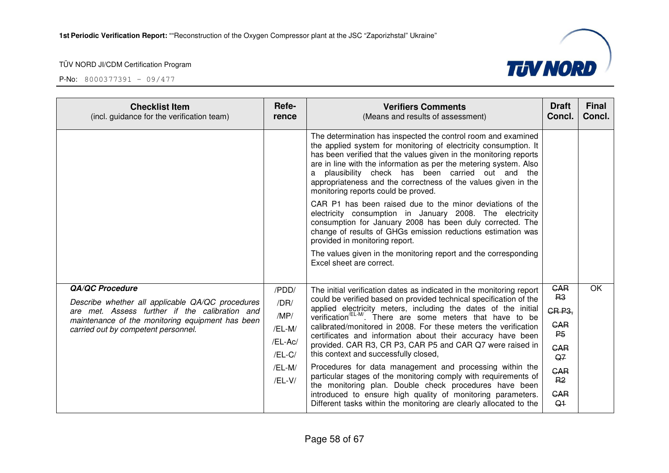**P-No:** 8000377391 - 09/477



**TIV NORD**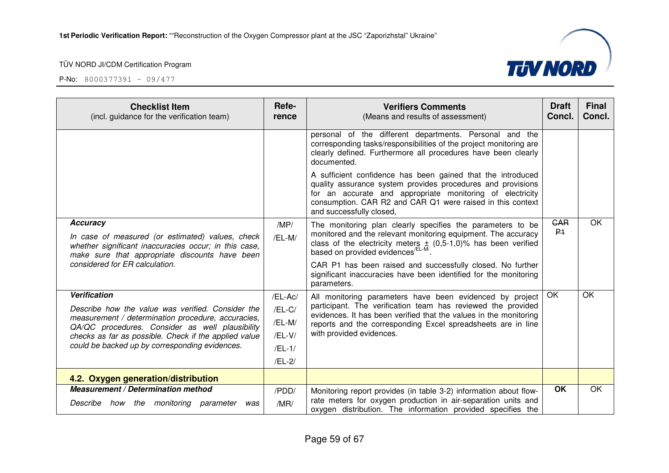| <b>Checklist Item</b><br>(incl. guidance for the verification team)                                                                                         | Refe-<br>rence | <b>Verifiers Comments</b><br>(Means and results of assessment)                                                                                                                                                                                                                    | <b>Draft</b><br>Concl. | <b>Final</b><br>Concl. |
|-------------------------------------------------------------------------------------------------------------------------------------------------------------|----------------|-----------------------------------------------------------------------------------------------------------------------------------------------------------------------------------------------------------------------------------------------------------------------------------|------------------------|------------------------|
|                                                                                                                                                             |                | personal of the different departments. Personal and the<br>corresponding tasks/responsibilities of the project monitoring are<br>clearly defined. Furthermore all procedures have been clearly<br>documented.                                                                     |                        |                        |
|                                                                                                                                                             |                | A sufficient confidence has been gained that the introduced<br>quality assurance system provides procedures and provisions<br>for an accurate and appropriate monitoring of electricity<br>consumption. CAR R2 and CAR Q1 were raised in this context<br>and successfully closed, |                        |                        |
| <b>Accuracy</b>                                                                                                                                             | /MP/           | The monitoring plan clearly specifies the parameters to be                                                                                                                                                                                                                        | <b>CAR</b>             | OK.                    |
| In case of measured (or estimated) values, check<br>whether significant inaccuracies occur; in this case,<br>make sure that appropriate discounts have been | /EL-M/         | monitored and the relevant monitoring equipment. The accuracy<br>class of the electricity meters $\pm$ (0,5-1,0)% has been verified based on provided evidences <sup>/EL-M/</sup> .                                                                                               | P <sub>1</sub>         |                        |
| considered for ER calculation.                                                                                                                              |                | CAR P1 has been raised and successfully closed. No further<br>significant inaccuracies have been identified for the monitoring<br>parameters.                                                                                                                                     |                        |                        |
| <b>Verification</b>                                                                                                                                         | /EL-Ac/        | All monitoring parameters have been evidenced by project                                                                                                                                                                                                                          | OK                     | OK                     |
| Describe how the value was verified. Consider the                                                                                                           | $/EL-C/$       | participant. The verification team has reviewed the provided<br>evidences. It has been verified that the values in the monitoring                                                                                                                                                 |                        |                        |
| measurement / determination procedure, accuracies,<br>QA/QC procedures. Consider as well plausibility                                                       | /EL-M/         | reports and the corresponding Excel spreadsheets are in line                                                                                                                                                                                                                      |                        |                        |
| checks as far as possible. Check if the applied value                                                                                                       | /EL-V/         | with provided evidences.                                                                                                                                                                                                                                                          |                        |                        |
| could be backed up by corresponding evidences.                                                                                                              | $/EL-1/$       |                                                                                                                                                                                                                                                                                   |                        |                        |
|                                                                                                                                                             | /EL-2/         |                                                                                                                                                                                                                                                                                   |                        |                        |
| 4.2. Oxygen generation/distribution                                                                                                                         |                |                                                                                                                                                                                                                                                                                   |                        |                        |
| <b>Measurement / Determination method</b>                                                                                                                   | /PDD/          | Monitoring report provides (in table 3-2) information about flow-                                                                                                                                                                                                                 | <b>OK</b>              | OK                     |
| Describe how the monitoring parameter<br>was                                                                                                                | /MR/           | rate meters for oxygen production in air-separation units and<br>oxygen distribution. The information provided specifies the                                                                                                                                                      |                        |                        |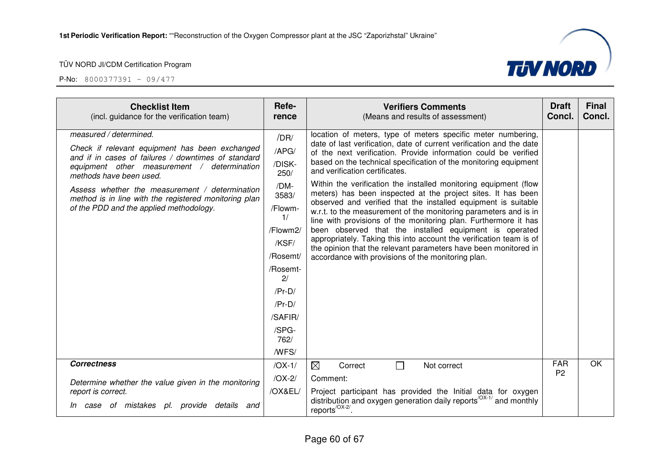

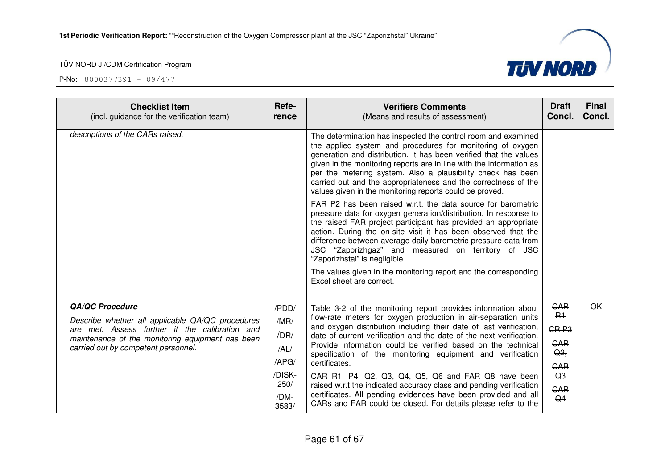

| <b>Checklist Item</b><br>(incl. guidance for the verification team)                                | Refe-<br>rence | <b>Verifiers Comments</b><br>(Means and results of assessment)                                                                                                                                                                                                                                                                                                                                                                                                      | <b>Draft</b><br>Concl.       | <b>Final</b><br>Concl. |
|----------------------------------------------------------------------------------------------------|----------------|---------------------------------------------------------------------------------------------------------------------------------------------------------------------------------------------------------------------------------------------------------------------------------------------------------------------------------------------------------------------------------------------------------------------------------------------------------------------|------------------------------|------------------------|
| descriptions of the CARs raised.                                                                   |                | The determination has inspected the control room and examined<br>the applied system and procedures for monitoring of oxygen<br>generation and distribution. It has been verified that the values<br>given in the monitoring reports are in line with the information as<br>per the metering system. Also a plausibility check has been<br>carried out and the appropriateness and the correctness of the<br>values given in the monitoring reports could be proved. |                              |                        |
|                                                                                                    |                | FAR P2 has been raised w.r.t. the data source for barometric<br>pressure data for oxygen generation/distribution. In response to<br>the raised FAR project participant has provided an appropriate<br>action. During the on-site visit it has been observed that the<br>difference between average daily barometric pressure data from<br>JSC "Zaporizhgaz" and measured on territory of JSC<br>"Zaporizhstal" is negligible.                                       |                              |                        |
|                                                                                                    |                | The values given in the monitoring report and the corresponding<br>Excel sheet are correct.                                                                                                                                                                                                                                                                                                                                                                         |                              |                        |
| <b>QA/QC Procedure</b>                                                                             | /PDD/          | Table 3-2 of the monitoring report provides information about                                                                                                                                                                                                                                                                                                                                                                                                       | <b>GAR</b>                   | OK                     |
| Describe whether all applicable QA/QC procedures                                                   | /MR/           | flow-rate meters for oxygen production in air-separation units<br>and oxygen distribution including their date of last verification,                                                                                                                                                                                                                                                                                                                                | $R+$<br>GR <sub>P3</sub>     |                        |
| are met. Assess further if the calibration and<br>maintenance of the monitoring equipment has been | /DR/           | date of current verification and the date of the next verification.                                                                                                                                                                                                                                                                                                                                                                                                 |                              |                        |
| carried out by competent personnel.                                                                | /AL/           | Provide information could be verified based on the technical<br>specification of the monitoring equipment and verification                                                                                                                                                                                                                                                                                                                                          | <b>GAR</b><br>Q2             |                        |
|                                                                                                    | /APG/          | certificates.                                                                                                                                                                                                                                                                                                                                                                                                                                                       | <b>GAR</b>                   |                        |
|                                                                                                    | /DISK-<br>250/ | CAR R1, P4, Q2, Q3, Q4, Q5, Q6 and FAR Q8 have been                                                                                                                                                                                                                                                                                                                                                                                                                 | Q3                           |                        |
|                                                                                                    | /DM-           | raised w.r.t the indicated accuracy class and pending verification<br>certificates. All pending evidences have been provided and all                                                                                                                                                                                                                                                                                                                                | <b>GAR</b><br>Q <sub>4</sub> |                        |
|                                                                                                    | 3583/          | CARs and FAR could be closed. For details please refer to the                                                                                                                                                                                                                                                                                                                                                                                                       |                              |                        |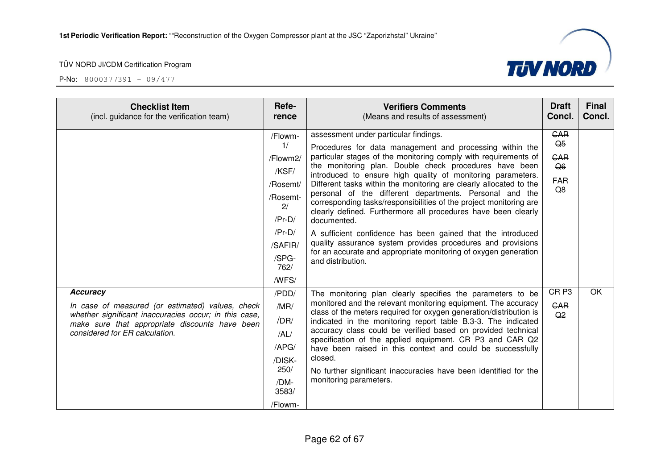| <b>Checklist Item</b><br>(incl. guidance for the verification team)                                                                                                                                              | Refe-<br>rence                                                                                                                | <b>Verifiers Comments</b><br>(Means and results of assessment)                                                                                                                                                                                                                                                                                                                                                                                                                                                                                                                                                                                                                                                                                                                                             | <b>Draft</b><br>Concl.                                               | <b>Final</b><br>Concl. |
|------------------------------------------------------------------------------------------------------------------------------------------------------------------------------------------------------------------|-------------------------------------------------------------------------------------------------------------------------------|------------------------------------------------------------------------------------------------------------------------------------------------------------------------------------------------------------------------------------------------------------------------------------------------------------------------------------------------------------------------------------------------------------------------------------------------------------------------------------------------------------------------------------------------------------------------------------------------------------------------------------------------------------------------------------------------------------------------------------------------------------------------------------------------------------|----------------------------------------------------------------------|------------------------|
|                                                                                                                                                                                                                  | /Flowm-<br>1/<br>/Flowm2/<br>/KSF/<br>/Rosemt/<br>/Rosemt-<br>2/<br>$/Pr-D/$<br>$/Pr-D/$<br>/SAFIR/<br>/SPG-<br>762/<br>/WFS/ | assessment under particular findings.<br>Procedures for data management and processing within the<br>particular stages of the monitoring comply with requirements of<br>the monitoring plan. Double check procedures have been<br>introduced to ensure high quality of monitoring parameters.<br>Different tasks within the monitoring are clearly allocated to the<br>personal of the different departments. Personal and the<br>corresponding tasks/responsibilities of the project monitoring are<br>clearly defined. Furthermore all procedures have been clearly<br>documented.<br>A sufficient confidence has been gained that the introduced<br>quality assurance system provides procedures and provisions<br>for an accurate and appropriate monitoring of oxygen generation<br>and distribution. | <b>GAR</b><br>Q <sub>5</sub><br><b>CAR</b><br>Q6<br><b>FAR</b><br>Q8 |                        |
| <b>Accuracy</b><br>In case of measured (or estimated) values, check<br>whether significant inaccuracies occur; in this case,<br>make sure that appropriate discounts have been<br>considered for ER calculation. | /PDD/<br>/MR/<br>/DR/<br>/AL/<br>/APG/<br>/DISK-<br>250/<br>/DM-<br>3583/<br>/Flowm-                                          | The monitoring plan clearly specifies the parameters to be<br>monitored and the relevant monitoring equipment. The accuracy<br>class of the meters required for oxygen generation/distribution is<br>indicated in the monitoring report table B.3-3. The indicated<br>accuracy class could be verified based on provided technical<br>specification of the applied equipment. CR P3 and CAR Q2<br>have been raised in this context and could be successfully<br>closed.<br>No further significant inaccuracies have been identified for the<br>monitoring parameters.                                                                                                                                                                                                                                      | GR <sub>P3</sub><br><b>GAR</b><br>Q <sub>2</sub>                     | OK                     |

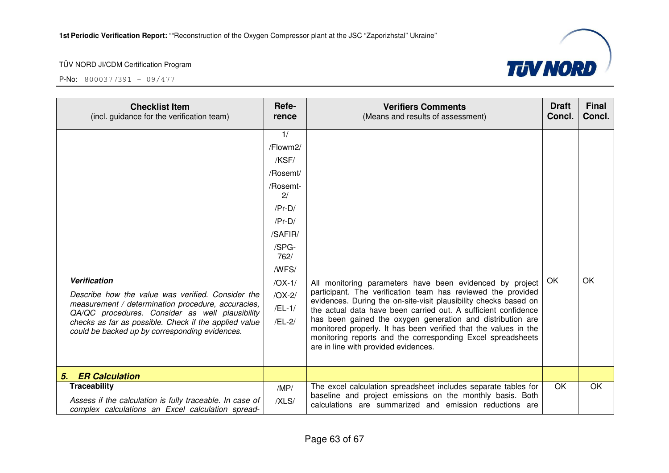| <b>Checklist Item</b><br>(incl. guidance for the verification team)                                                                                                                                                                                                                          | Refe-<br>rence                                                                                                                                                   | <b>Verifiers Comments</b><br>(Means and results of assessment)                                                                                                                                                                                                                                                                                                                                                                                                                                         | <b>Draft</b><br>Concl. | <b>Final</b><br>Concl. |
|----------------------------------------------------------------------------------------------------------------------------------------------------------------------------------------------------------------------------------------------------------------------------------------------|------------------------------------------------------------------------------------------------------------------------------------------------------------------|--------------------------------------------------------------------------------------------------------------------------------------------------------------------------------------------------------------------------------------------------------------------------------------------------------------------------------------------------------------------------------------------------------------------------------------------------------------------------------------------------------|------------------------|------------------------|
| <b>Verification</b><br>Describe how the value was verified. Consider the<br>measurement / determination procedure, accuracies,<br>QA/QC procedures. Consider as well plausibility<br>checks as far as possible. Check if the applied value<br>could be backed up by corresponding evidences. | 1/<br>/Flowm2/<br>/KSF/<br>/Rosemt/<br>/Rosemt-<br>2/<br>$/Pr-D/$<br>$/Pr-D/$<br>/SAFIR/<br>/SPG-<br>762/<br>/WFS/<br>$/OX-1/$<br>$/OX-2/$<br>$/EL-1/$<br>/EL-2/ | All monitoring parameters have been evidenced by project<br>participant. The verification team has reviewed the provided<br>evidences. During the on-site-visit plausibility checks based on<br>the actual data have been carried out. A sufficient confidence<br>has been gained the oxygen generation and distribution are<br>monitored properly. It has been verified that the values in the<br>monitoring reports and the corresponding Excel spreadsheets<br>are in line with provided evidences. | OK                     | <b>OK</b>              |
| <b>ER Calculation</b><br>5.                                                                                                                                                                                                                                                                  |                                                                                                                                                                  |                                                                                                                                                                                                                                                                                                                                                                                                                                                                                                        |                        |                        |
| <b>Traceability</b><br>Assess if the calculation is fully traceable. In case of<br>complex calculations an Excel calculation spread-                                                                                                                                                         | /MP/<br>/XLS/                                                                                                                                                    | The excel calculation spreadsheet includes separate tables for<br>baseline and project emissions on the monthly basis. Both<br>calculations are summarized and emission reductions are                                                                                                                                                                                                                                                                                                                 | OK.                    | OK                     |

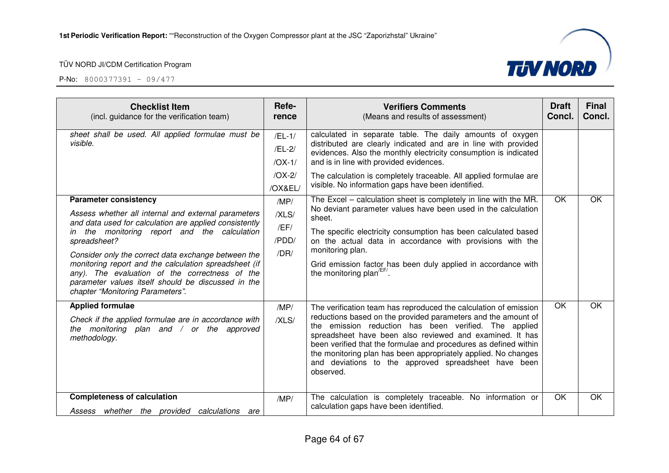

| <b>Checklist Item</b><br>(incl. guidance for the verification team)                                                                                                                                                                                                                                                                                                                                                                                                       | Refe-<br>rence                         | <b>Verifiers Comments</b><br>(Means and results of assessment)                                                                                                                                                                                                                                                                                                                                                                                                    | <b>Draft</b><br>Concl. | <b>Final</b><br>Concl. |
|---------------------------------------------------------------------------------------------------------------------------------------------------------------------------------------------------------------------------------------------------------------------------------------------------------------------------------------------------------------------------------------------------------------------------------------------------------------------------|----------------------------------------|-------------------------------------------------------------------------------------------------------------------------------------------------------------------------------------------------------------------------------------------------------------------------------------------------------------------------------------------------------------------------------------------------------------------------------------------------------------------|------------------------|------------------------|
| sheet shall be used. All applied formulae must be<br>visible.                                                                                                                                                                                                                                                                                                                                                                                                             | $/EL-1/$<br>/EL-2/<br>$/OX-1/$         | calculated in separate table. The daily amounts of oxygen<br>distributed are clearly indicated and are in line with provided<br>evidences. Also the monthly electricity consumption is indicated<br>and is in line with provided evidences.                                                                                                                                                                                                                       |                        |                        |
|                                                                                                                                                                                                                                                                                                                                                                                                                                                                           | $/OX-2/$<br>/OX&EL/                    | The calculation is completely traceable. All applied formulae are<br>visible. No information gaps have been identified.                                                                                                                                                                                                                                                                                                                                           |                        |                        |
| <b>Parameter consistency</b><br>Assess whether all internal and external parameters<br>and data used for calculation are applied consistently<br>in the monitoring report and the calculation<br>spreadsheet?<br>Consider only the correct data exchange between the<br>monitoring report and the calculation spreadsheet (if<br>any). The evaluation of the correctness of the<br>parameter values itself should be discussed in the<br>chapter "Monitoring Parameters". | /MP/<br>/XLS/<br>/EF/<br>/PDD/<br>/DR/ | The Excel - calculation sheet is completely in line with the MR.<br>No deviant parameter values have been used in the calculation<br>sheet.<br>The specific electricity consumption has been calculated based<br>on the actual data in accordance with provisions with the<br>monitoring plan.<br>Grid emission factor has been duly applied in accordance with<br>the monitoring plan <sup>/EF/</sup> .                                                          | OK                     | OK                     |
| <b>Applied formulae</b><br>Check if the applied formulae are in accordance with<br>the monitoring plan and $/$ or the approved<br>methodology.                                                                                                                                                                                                                                                                                                                            | /MP/<br>/XLS/                          | The verification team has reproduced the calculation of emission<br>reductions based on the provided parameters and the amount of<br>the emission reduction has been verified. The applied<br>spreadsheet have been also reviewed and examined. It has<br>been verified that the formulae and procedures as defined within<br>the monitoring plan has been appropriately applied. No changes<br>and deviations to the approved spreadsheet have been<br>observed. | OK                     | OK                     |
| <b>Completeness of calculation</b><br>Assess whether the provided<br>calculations<br>are                                                                                                                                                                                                                                                                                                                                                                                  | /MP/                                   | The calculation is completely traceable. No information or<br>calculation gaps have been identified.                                                                                                                                                                                                                                                                                                                                                              | OK                     | OK                     |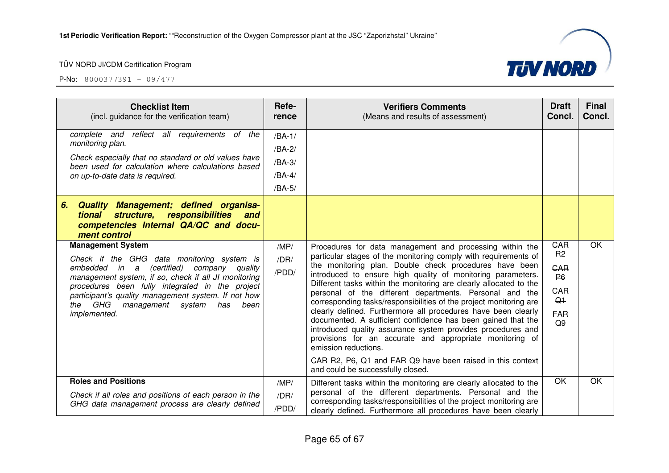

| <b>Checklist Item</b><br>(incl. guidance for the verification team)                                                                                                                                                                                                                                                                                        | Refe-<br>rence                                     | <b>Verifiers Comments</b><br>(Means and results of assessment)                                                                                                                                                                                                                                                                                                                                                                                                                                                                                                                                                                                                                                                                                                                                                                                     | <b>Draft</b><br>Concl.                                                                                           | <b>Final</b><br>Concl. |
|------------------------------------------------------------------------------------------------------------------------------------------------------------------------------------------------------------------------------------------------------------------------------------------------------------------------------------------------------------|----------------------------------------------------|----------------------------------------------------------------------------------------------------------------------------------------------------------------------------------------------------------------------------------------------------------------------------------------------------------------------------------------------------------------------------------------------------------------------------------------------------------------------------------------------------------------------------------------------------------------------------------------------------------------------------------------------------------------------------------------------------------------------------------------------------------------------------------------------------------------------------------------------------|------------------------------------------------------------------------------------------------------------------|------------------------|
| complete and reflect all requirements of the<br>monitoring plan.<br>Check especially that no standard or old values have<br>been used for calculation where calculations based<br>on up-to-date data is required.                                                                                                                                          | $/BA-1/$<br>/BA-2/<br>/BA-3/<br>$/BA-4/$<br>/BA-5/ |                                                                                                                                                                                                                                                                                                                                                                                                                                                                                                                                                                                                                                                                                                                                                                                                                                                    |                                                                                                                  |                        |
| Quality Management; defined organisa-<br>6.<br>structure, responsibilities and<br>tional<br>competencies Internal QA/QC and docu-<br>ment control                                                                                                                                                                                                          |                                                    |                                                                                                                                                                                                                                                                                                                                                                                                                                                                                                                                                                                                                                                                                                                                                                                                                                                    |                                                                                                                  |                        |
| <b>Management System</b><br>Check if the GHG data monitoring system is<br>(certified)<br>embedded<br>in a<br>company quality<br>management system, if so, check if all JI monitoring<br>procedures been fully integrated in the project<br>participant's quality management system. If not how<br>the GHG management system<br>has<br>been<br>implemented. | /MP/<br>/DR/<br>/PDD/                              | Procedures for data management and processing within the<br>particular stages of the monitoring comply with requirements of<br>the monitoring plan. Double check procedures have been<br>introduced to ensure high quality of monitoring parameters.<br>Different tasks within the monitoring are clearly allocated to the<br>personal of the different departments. Personal and the<br>corresponding tasks/responsibilities of the project monitoring are<br>clearly defined. Furthermore all procedures have been clearly<br>documented. A sufficient confidence has been gained that the<br>introduced quality assurance system provides procedures and<br>provisions for an accurate and appropriate monitoring of<br>emission reductions.<br>CAR R2, P6, Q1 and FAR Q9 have been raised in this context<br>and could be successfully closed. | <b>GAR</b><br>R <sub>2</sub><br><b>GAR</b><br><b>P6</b><br><b>GAR</b><br>Q <sub>1</sub><br>FAR<br>Q <sub>9</sub> | OK                     |
| <b>Roles and Positions</b><br>Check if all roles and positions of each person in the<br>GHG data management process are clearly defined                                                                                                                                                                                                                    | /MP/<br>/DR/<br>/PDD/                              | Different tasks within the monitoring are clearly allocated to the<br>personal of the different departments. Personal and the<br>corresponding tasks/responsibilities of the project monitoring are<br>clearly defined. Furthermore all procedures have been clearly                                                                                                                                                                                                                                                                                                                                                                                                                                                                                                                                                                               | OK                                                                                                               | OK                     |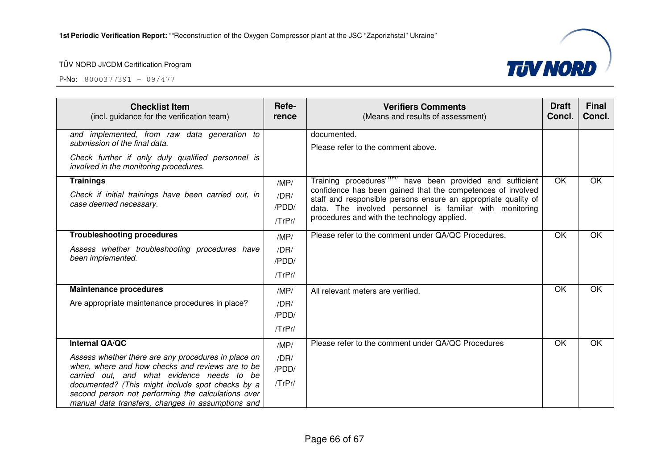

| <b>Checklist Item</b><br>(incl. guidance for the verification team)                            | Refe-<br>rence | <b>Verifiers Comments</b><br>(Means and results of assessment)                                                                                                                                                                           | <b>Draft</b><br>Concl. | <b>Final</b><br>Concl. |
|------------------------------------------------------------------------------------------------|----------------|------------------------------------------------------------------------------------------------------------------------------------------------------------------------------------------------------------------------------------------|------------------------|------------------------|
| and implemented, from raw data generation to<br>submission of the final data.                  |                | documented.                                                                                                                                                                                                                              |                        |                        |
|                                                                                                |                | Please refer to the comment above.                                                                                                                                                                                                       |                        |                        |
| Check further if only duly qualified personnel is<br>involved in the monitoring procedures.    |                |                                                                                                                                                                                                                                          |                        |                        |
| <b>Trainings</b>                                                                               | /MP/           | Training procedures <sup>(IPPT</sup> have been provided and sufficient                                                                                                                                                                   | OK                     | <b>OK</b>              |
| Check if initial trainings have been carried out, in<br>case deemed necessary.                 | /DR/<br>/PDD/  | confidence has been gained that the competences of involved<br>staff and responsible persons ensure an appropriate quality of<br>data. The involved personnel is familiar with monitoring<br>procedures and with the technology applied. |                        |                        |
|                                                                                                | /TrPr/         |                                                                                                                                                                                                                                          |                        |                        |
| <b>Troubleshooting procedures</b>                                                              | /MP/           | Please refer to the comment under QA/QC Procedures.                                                                                                                                                                                      | OK                     | OK                     |
| Assess whether troubleshooting procedures have                                                 | /DR/           |                                                                                                                                                                                                                                          |                        |                        |
| been implemented.                                                                              | /PDD/          |                                                                                                                                                                                                                                          |                        |                        |
|                                                                                                | /TrPr/         |                                                                                                                                                                                                                                          |                        |                        |
| <b>Maintenance procedures</b>                                                                  | /MP/           | All relevant meters are verified.                                                                                                                                                                                                        | OK                     | <b>OK</b>              |
| Are appropriate maintenance procedures in place?                                               | /DR/           |                                                                                                                                                                                                                                          |                        |                        |
|                                                                                                | /PDD/          |                                                                                                                                                                                                                                          |                        |                        |
|                                                                                                | /TrPr/         |                                                                                                                                                                                                                                          |                        |                        |
| Internal QA/QC                                                                                 | /MP/           | Please refer to the comment under QA/QC Procedures                                                                                                                                                                                       | OK                     | OK                     |
| Assess whether there are any procedures in place on                                            | /DR/           |                                                                                                                                                                                                                                          |                        |                        |
| when, where and how checks and reviews are to be<br>carried out, and what evidence needs to be | /PDD/          |                                                                                                                                                                                                                                          |                        |                        |
| documented? (This might include spot checks by a                                               | /TrPr/         |                                                                                                                                                                                                                                          |                        |                        |
| second person not performing the calculations over                                             |                |                                                                                                                                                                                                                                          |                        |                        |
| manual data transfers, changes in assumptions and                                              |                |                                                                                                                                                                                                                                          |                        |                        |